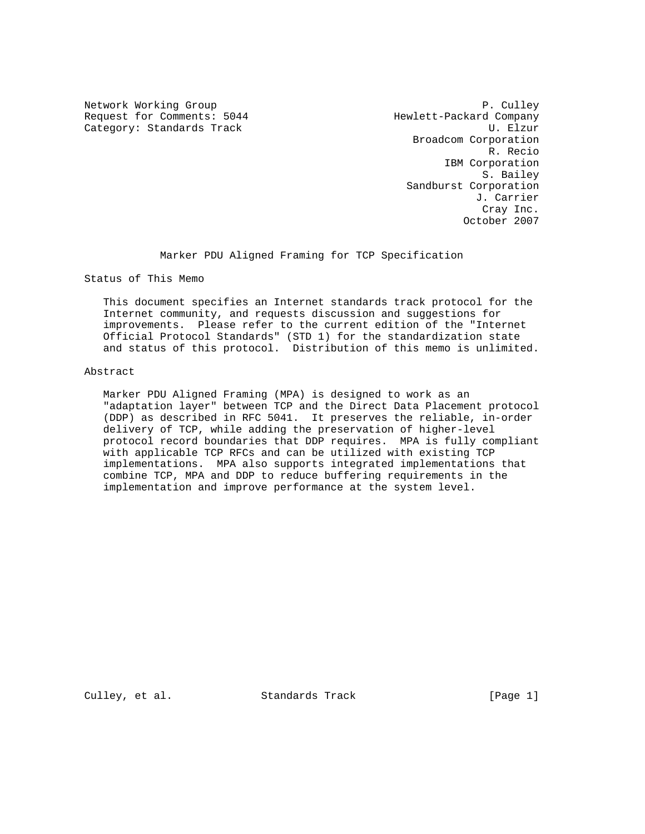Request for Comments: 5044 Hewlett-Packard Company Category: Standards Track U. Elzur

Network Working Group **P. Culley** P. Culley Broadcom Corporation R. Recio IBM Corporation S. Bailey Sandburst Corporation J. Carrier Cray Inc. October 2007

Marker PDU Aligned Framing for TCP Specification

Status of This Memo

 This document specifies an Internet standards track protocol for the Internet community, and requests discussion and suggestions for improvements. Please refer to the current edition of the "Internet Official Protocol Standards" (STD 1) for the standardization state and status of this protocol. Distribution of this memo is unlimited.

#### Abstract

 Marker PDU Aligned Framing (MPA) is designed to work as an "adaptation layer" between TCP and the Direct Data Placement protocol (DDP) as described in RFC 5041. It preserves the reliable, in-order delivery of TCP, while adding the preservation of higher-level protocol record boundaries that DDP requires. MPA is fully compliant with applicable TCP RFCs and can be utilized with existing TCP implementations. MPA also supports integrated implementations that combine TCP, MPA and DDP to reduce buffering requirements in the implementation and improve performance at the system level.

Culley, et al. Standards Track [Page 1]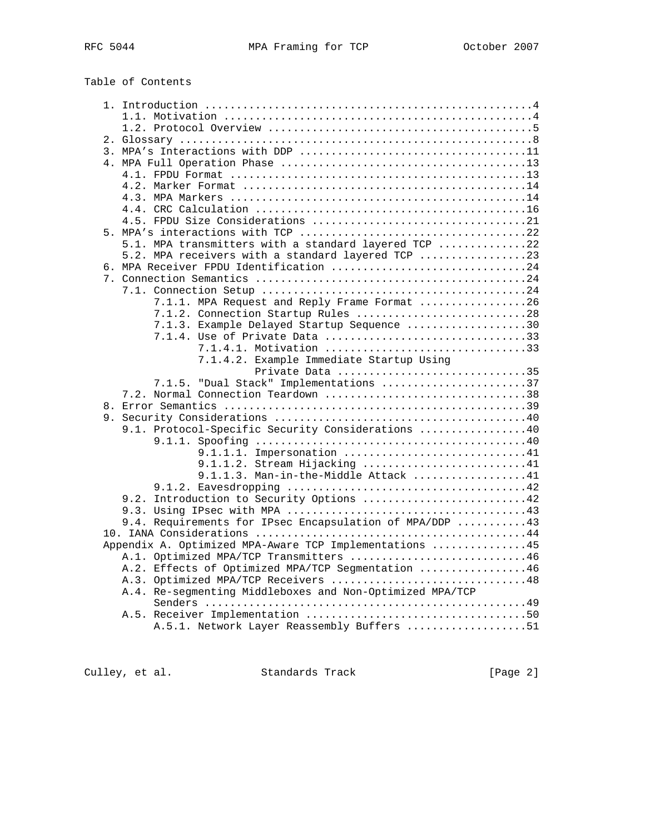Table of Contents

| 5.1. MPA transmitters with a standard layered TCP 22     |
|----------------------------------------------------------|
| 5.2. MPA receivers with a standard layered TCP 23        |
| 6. MPA Receiver FPDU Identification 24                   |
|                                                          |
|                                                          |
| 7.1.1. MPA Request and Reply Frame Format 26             |
| 7.1.2. Connection Startup Rules 28                       |
| 7.1.3. Example Delayed Startup Sequence 30               |
|                                                          |
| 7.1.4.1. Motivation 33                                   |
| 7.1.4.2. Example Immediate Startup Using                 |
| Private Data 35                                          |
| 7.1.5. "Dual Stack" Implementations 37                   |
| 7.2. Normal Connection Teardown 38                       |
|                                                          |
|                                                          |
| 9.1. Protocol-Specific Security Considerations 40        |
|                                                          |
| 9.1.1.1. Impersonation 41                                |
| 9.1.1.2. Stream Hijacking 41                             |
| 9.1.1.3. Man-in-the-Middle Attack 41                     |
|                                                          |
| 9.2. Introduction to Security Options 42                 |
|                                                          |
| 9.4. Requirements for IPsec Encapsulation of MPA/DDP 43  |
|                                                          |
| Appendix A. Optimized MPA-Aware TCP Implementations 45   |
| A.1. Optimized MPA/TCP Transmitters 46                   |
| A.2. Effects of Optimized MPA/TCP Segmentation 46        |
| A.3. Optimized MPA/TCP Receivers 48                      |
| A.4. Re-segmenting Middleboxes and Non-Optimized MPA/TCP |
|                                                          |
|                                                          |
| A.5.1. Network Layer Reassembly Buffers 51               |

Culley, et al. Standards Track [Page 2]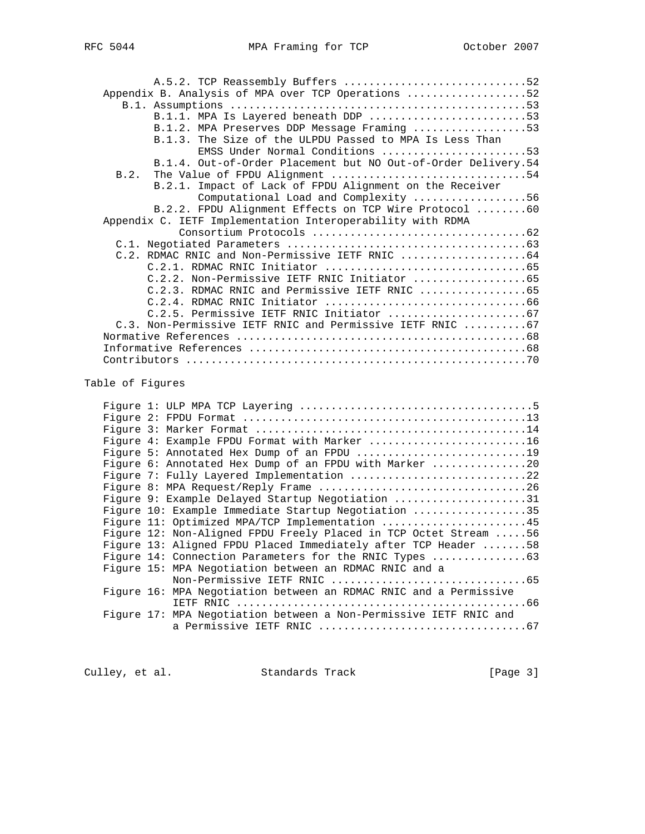| A.5.2. TCP Reassembly Buffers 52                                 |  |
|------------------------------------------------------------------|--|
| Appendix B. Analysis of MPA over TCP Operations 52               |  |
|                                                                  |  |
| B.1.1. MPA Is Layered beneath DDP 53                             |  |
| B.1.2. MPA Preserves DDP Message Framing 53                      |  |
| B.1.3. The Size of the ULPDU Passed to MPA Is Less Than          |  |
| EMSS Under Normal Conditions 53                                  |  |
| B.1.4. Out-of-Order Placement but NO Out-of-Order Delivery.54    |  |
| The Value of FPDU Alignment 54<br>B.2.                           |  |
| B.2.1. Impact of Lack of FPDU Alignment on the Receiver          |  |
| Computational Load and Complexity 56                             |  |
| B.2.2. FPDU Alignment Effects on TCP Wire Protocol 60            |  |
| Appendix C. IETF Implementation Interoperability with RDMA       |  |
|                                                                  |  |
|                                                                  |  |
| C.2. RDMAC RNIC and Non-Permissive IETF RNIC 64                  |  |
|                                                                  |  |
| C.2.2. Non-Permissive IETF RNIC Initiator 65                     |  |
| C.2.3. RDMAC RNIC and Permissive IETF RNIC 65                    |  |
|                                                                  |  |
|                                                                  |  |
| C.3. Non-Permissive IETF RNIC and Permissive IETF RNIC 67        |  |
|                                                                  |  |
|                                                                  |  |
|                                                                  |  |
| Table of Fiqures                                                 |  |
|                                                                  |  |
|                                                                  |  |
|                                                                  |  |
|                                                                  |  |
| Figure 4: Example FPDU Format with Marker 16                     |  |
| Figure 5: Annotated Hex Dump of an FPDU 19                       |  |
| Figure 6: Annotated Hex Dump of an FPDU with Marker 20           |  |
| Figure 7: Fully Layered Implementation 22                        |  |
| Figure 8: MPA Request/Reply Frame 26                             |  |
| Figure 9: Example Delayed Startup Negotiation 31                 |  |
| Figure 10: Example Immediate Startup Negotiation 35              |  |
| Figure 11: Optimized MPA/TCP Implementation 45                   |  |
| Figure 12: Non-Aligned FPDU Freely Placed in TCP Octet Stream 56 |  |
| Figure 13: Aligned FPDU Placed Immediately after TCP Header 58   |  |

Figure 14: Connection Parameters for the RNIC Types .................63

Figure 16: MPA Negotiation between an RDMAC RNIC and a Permissive

Figure 17: MPA Negotiation between a Non-Permissive IETF RNIC and

Culley, et al. Standards Track [Page 3]

Non-Permissive IETF RNIC ...............................65

IETF RNIC ..............................................66

a Permissive IETF RNIC .................................67

Figure 15: MPA Negotiation between an RDMAC RNIC and a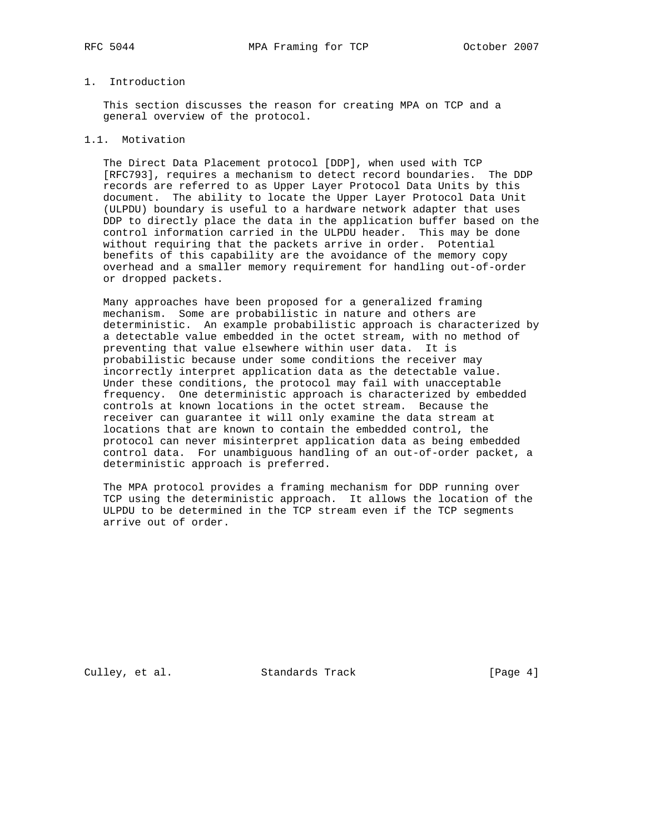# 1. Introduction

 This section discusses the reason for creating MPA on TCP and a general overview of the protocol.

### 1.1. Motivation

 The Direct Data Placement protocol [DDP], when used with TCP [RFC793], requires a mechanism to detect record boundaries. The DDP records are referred to as Upper Layer Protocol Data Units by this document. The ability to locate the Upper Layer Protocol Data Unit (ULPDU) boundary is useful to a hardware network adapter that uses DDP to directly place the data in the application buffer based on the control information carried in the ULPDU header. This may be done without requiring that the packets arrive in order. Potential benefits of this capability are the avoidance of the memory copy overhead and a smaller memory requirement for handling out-of-order or dropped packets.

 Many approaches have been proposed for a generalized framing mechanism. Some are probabilistic in nature and others are deterministic. An example probabilistic approach is characterized by a detectable value embedded in the octet stream, with no method of preventing that value elsewhere within user data. It is probabilistic because under some conditions the receiver may incorrectly interpret application data as the detectable value. Under these conditions, the protocol may fail with unacceptable frequency. One deterministic approach is characterized by embedded controls at known locations in the octet stream. Because the receiver can guarantee it will only examine the data stream at locations that are known to contain the embedded control, the protocol can never misinterpret application data as being embedded control data. For unambiguous handling of an out-of-order packet, a deterministic approach is preferred.

 The MPA protocol provides a framing mechanism for DDP running over TCP using the deterministic approach. It allows the location of the ULPDU to be determined in the TCP stream even if the TCP segments arrive out of order.

Culley, et al. Standards Track [Page 4]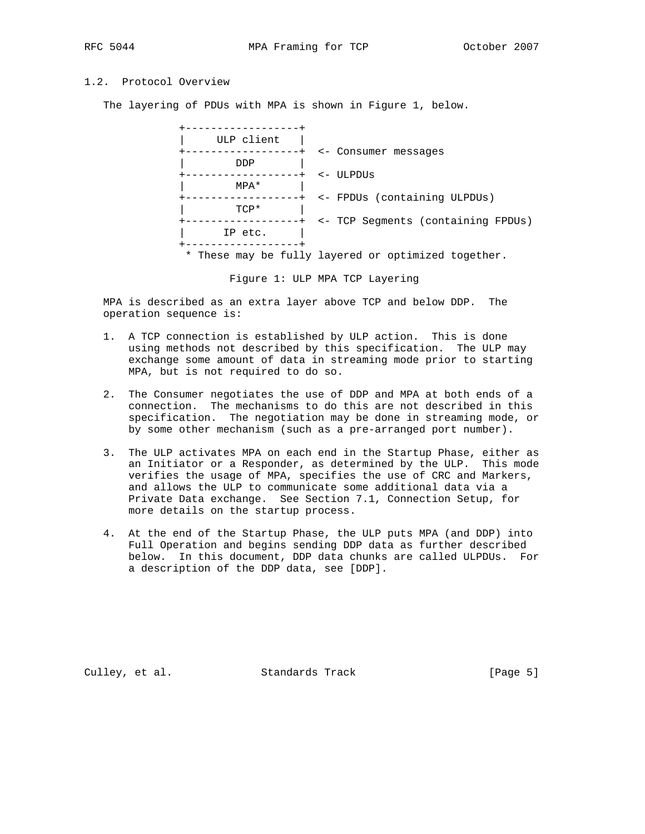# 1.2. Protocol Overview

The layering of PDUs with MPA is shown in Figure 1, below.



Figure 1: ULP MPA TCP Layering

 MPA is described as an extra layer above TCP and below DDP. The operation sequence is:

- 1. A TCP connection is established by ULP action. This is done using methods not described by this specification. The ULP may exchange some amount of data in streaming mode prior to starting MPA, but is not required to do so.
- 2. The Consumer negotiates the use of DDP and MPA at both ends of a connection. The mechanisms to do this are not described in this specification. The negotiation may be done in streaming mode, or by some other mechanism (such as a pre-arranged port number).
- 3. The ULP activates MPA on each end in the Startup Phase, either as an Initiator or a Responder, as determined by the ULP. This mode verifies the usage of MPA, specifies the use of CRC and Markers, and allows the ULP to communicate some additional data via a Private Data exchange. See Section 7.1, Connection Setup, for more details on the startup process.
- 4. At the end of the Startup Phase, the ULP puts MPA (and DDP) into Full Operation and begins sending DDP data as further described below. In this document, DDP data chunks are called ULPDUs. For a description of the DDP data, see [DDP].

Culley, et al. Standards Track [Page 5]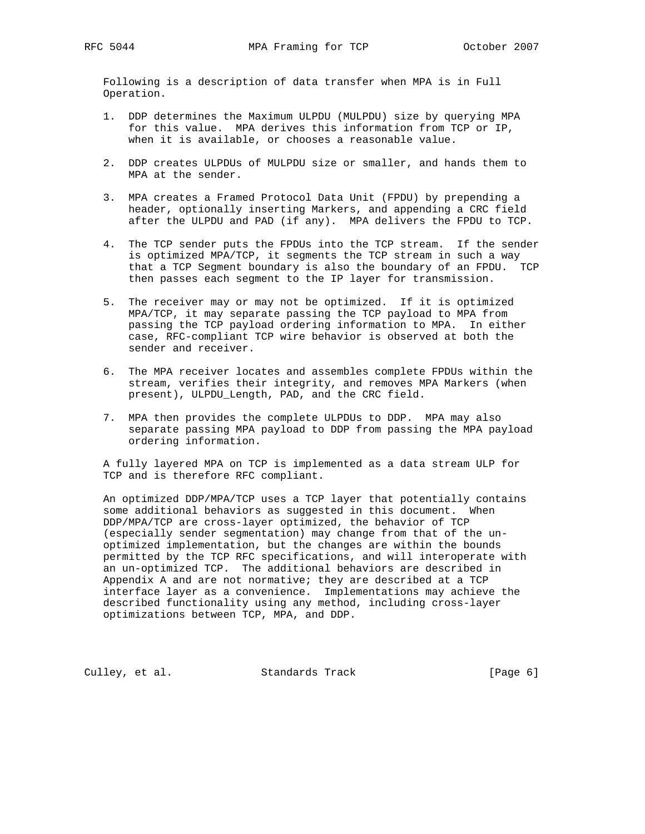Following is a description of data transfer when MPA is in Full Operation.

- 1. DDP determines the Maximum ULPDU (MULPDU) size by querying MPA for this value. MPA derives this information from TCP or IP, when it is available, or chooses a reasonable value.
- 2. DDP creates ULPDUs of MULPDU size or smaller, and hands them to MPA at the sender.
- 3. MPA creates a Framed Protocol Data Unit (FPDU) by prepending a header, optionally inserting Markers, and appending a CRC field after the ULPDU and PAD (if any). MPA delivers the FPDU to TCP.
- 4. The TCP sender puts the FPDUs into the TCP stream. If the sender is optimized MPA/TCP, it segments the TCP stream in such a way that a TCP Segment boundary is also the boundary of an FPDU. TCP then passes each segment to the IP layer for transmission.
- 5. The receiver may or may not be optimized. If it is optimized MPA/TCP, it may separate passing the TCP payload to MPA from passing the TCP payload ordering information to MPA. In either case, RFC-compliant TCP wire behavior is observed at both the sender and receiver.
- 6. The MPA receiver locates and assembles complete FPDUs within the stream, verifies their integrity, and removes MPA Markers (when present), ULPDU\_Length, PAD, and the CRC field.
- 7. MPA then provides the complete ULPDUs to DDP. MPA may also separate passing MPA payload to DDP from passing the MPA payload ordering information.

 A fully layered MPA on TCP is implemented as a data stream ULP for TCP and is therefore RFC compliant.

 An optimized DDP/MPA/TCP uses a TCP layer that potentially contains some additional behaviors as suggested in this document. When DDP/MPA/TCP are cross-layer optimized, the behavior of TCP (especially sender segmentation) may change from that of the un optimized implementation, but the changes are within the bounds permitted by the TCP RFC specifications, and will interoperate with an un-optimized TCP. The additional behaviors are described in Appendix A and are not normative; they are described at a TCP interface layer as a convenience. Implementations may achieve the described functionality using any method, including cross-layer optimizations between TCP, MPA, and DDP.

Culley, et al. Standards Track [Page 6]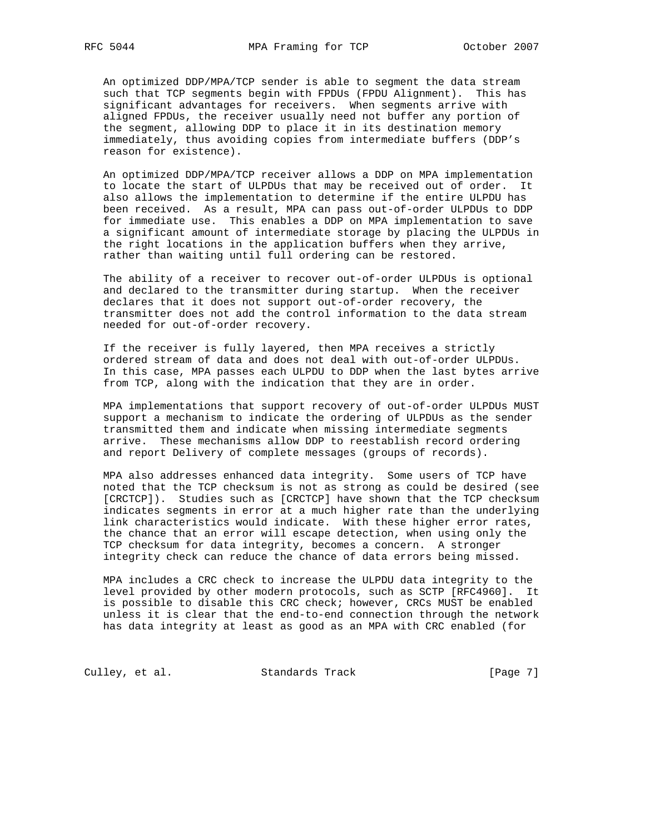An optimized DDP/MPA/TCP sender is able to segment the data stream such that TCP segments begin with FPDUs (FPDU Alignment). This has significant advantages for receivers. When segments arrive with aligned FPDUs, the receiver usually need not buffer any portion of the segment, allowing DDP to place it in its destination memory immediately, thus avoiding copies from intermediate buffers (DDP's reason for existence).

 An optimized DDP/MPA/TCP receiver allows a DDP on MPA implementation to locate the start of ULPDUs that may be received out of order. It also allows the implementation to determine if the entire ULPDU has been received. As a result, MPA can pass out-of-order ULPDUs to DDP for immediate use. This enables a DDP on MPA implementation to save a significant amount of intermediate storage by placing the ULPDUs in the right locations in the application buffers when they arrive, rather than waiting until full ordering can be restored.

 The ability of a receiver to recover out-of-order ULPDUs is optional and declared to the transmitter during startup. When the receiver declares that it does not support out-of-order recovery, the transmitter does not add the control information to the data stream needed for out-of-order recovery.

 If the receiver is fully layered, then MPA receives a strictly ordered stream of data and does not deal with out-of-order ULPDUs. In this case, MPA passes each ULPDU to DDP when the last bytes arrive from TCP, along with the indication that they are in order.

 MPA implementations that support recovery of out-of-order ULPDUs MUST support a mechanism to indicate the ordering of ULPDUs as the sender transmitted them and indicate when missing intermediate segments arrive. These mechanisms allow DDP to reestablish record ordering and report Delivery of complete messages (groups of records).

 MPA also addresses enhanced data integrity. Some users of TCP have noted that the TCP checksum is not as strong as could be desired (see [CRCTCP]). Studies such as [CRCTCP] have shown that the TCP checksum indicates segments in error at a much higher rate than the underlying link characteristics would indicate. With these higher error rates, the chance that an error will escape detection, when using only the TCP checksum for data integrity, becomes a concern. A stronger integrity check can reduce the chance of data errors being missed.

 MPA includes a CRC check to increase the ULPDU data integrity to the level provided by other modern protocols, such as SCTP [RFC4960]. It is possible to disable this CRC check; however, CRCs MUST be enabled unless it is clear that the end-to-end connection through the network has data integrity at least as good as an MPA with CRC enabled (for

Culley, et al. Standards Track [Page 7]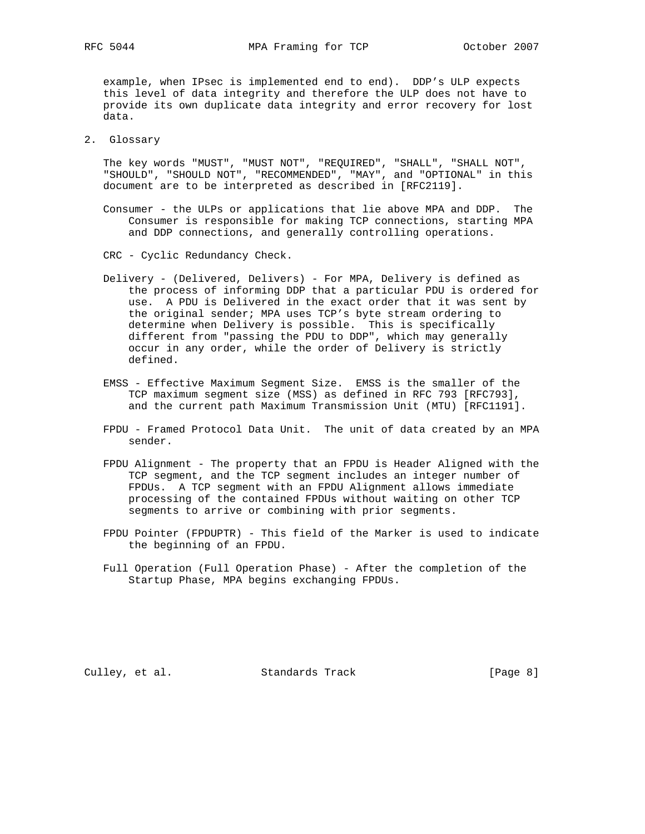example, when IPsec is implemented end to end). DDP's ULP expects this level of data integrity and therefore the ULP does not have to provide its own duplicate data integrity and error recovery for lost data.

2. Glossary

 The key words "MUST", "MUST NOT", "REQUIRED", "SHALL", "SHALL NOT", "SHOULD", "SHOULD NOT", "RECOMMENDED", "MAY", and "OPTIONAL" in this document are to be interpreted as described in [RFC2119].

- Consumer the ULPs or applications that lie above MPA and DDP. The Consumer is responsible for making TCP connections, starting MPA and DDP connections, and generally controlling operations.
- CRC Cyclic Redundancy Check.
- Delivery (Delivered, Delivers) For MPA, Delivery is defined as the process of informing DDP that a particular PDU is ordered for use. A PDU is Delivered in the exact order that it was sent by the original sender; MPA uses TCP's byte stream ordering to determine when Delivery is possible. This is specifically different from "passing the PDU to DDP", which may generally occur in any order, while the order of Delivery is strictly defined.
- EMSS Effective Maximum Segment Size. EMSS is the smaller of the TCP maximum segment size (MSS) as defined in RFC 793 [RFC793], and the current path Maximum Transmission Unit (MTU) [RFC1191].
- FPDU Framed Protocol Data Unit. The unit of data created by an MPA sender.
- FPDU Alignment The property that an FPDU is Header Aligned with the TCP segment, and the TCP segment includes an integer number of FPDUs. A TCP segment with an FPDU Alignment allows immediate processing of the contained FPDUs without waiting on other TCP segments to arrive or combining with prior segments.
- FPDU Pointer (FPDUPTR) This field of the Marker is used to indicate the beginning of an FPDU.
- Full Operation (Full Operation Phase) After the completion of the Startup Phase, MPA begins exchanging FPDUs.

Culley, et al. Standards Track [Page 8]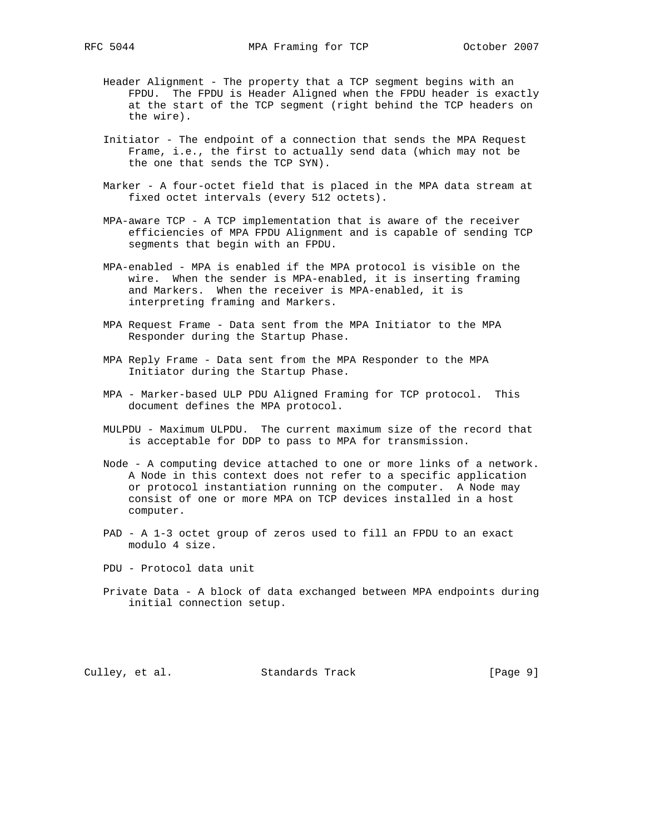- Header Alignment The property that a TCP segment begins with an FPDU. The FPDU is Header Aligned when the FPDU header is exactly at the start of the TCP segment (right behind the TCP headers on the wire).
- Initiator The endpoint of a connection that sends the MPA Request Frame, i.e., the first to actually send data (which may not be the one that sends the TCP SYN).
- Marker A four-octet field that is placed in the MPA data stream at fixed octet intervals (every 512 octets).
- MPA-aware TCP A TCP implementation that is aware of the receiver efficiencies of MPA FPDU Alignment and is capable of sending TCP segments that begin with an FPDU.
- MPA-enabled MPA is enabled if the MPA protocol is visible on the wire. When the sender is MPA-enabled, it is inserting framing and Markers. When the receiver is MPA-enabled, it is interpreting framing and Markers.
- MPA Request Frame Data sent from the MPA Initiator to the MPA Responder during the Startup Phase.
- MPA Reply Frame Data sent from the MPA Responder to the MPA Initiator during the Startup Phase.
- MPA Marker-based ULP PDU Aligned Framing for TCP protocol. This document defines the MPA protocol.
- MULPDU Maximum ULPDU. The current maximum size of the record that is acceptable for DDP to pass to MPA for transmission.
- Node A computing device attached to one or more links of a network. A Node in this context does not refer to a specific application or protocol instantiation running on the computer. A Node may consist of one or more MPA on TCP devices installed in a host computer.
- PAD A 1-3 octet group of zeros used to fill an FPDU to an exact modulo 4 size.
- PDU Protocol data unit
- Private Data A block of data exchanged between MPA endpoints during initial connection setup.

Culley, et al. Standards Track [Page 9]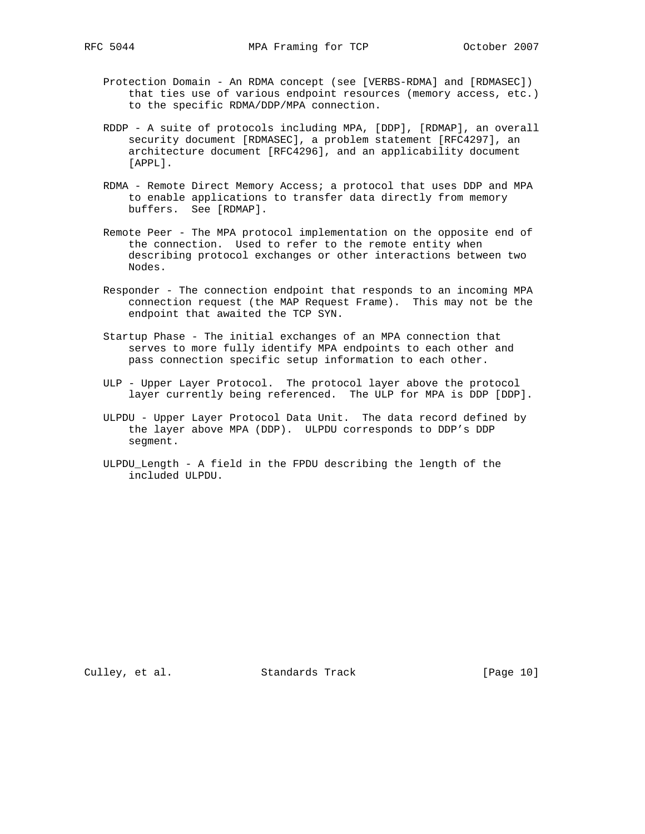- Protection Domain An RDMA concept (see [VERBS-RDMA] and [RDMASEC]) that ties use of various endpoint resources (memory access, etc.) to the specific RDMA/DDP/MPA connection.
- RDDP A suite of protocols including MPA, [DDP], [RDMAP], an overall security document [RDMASEC], a problem statement [RFC4297], an architecture document [RFC4296], and an applicability document [APPL].
- RDMA Remote Direct Memory Access; a protocol that uses DDP and MPA to enable applications to transfer data directly from memory buffers. See [RDMAP].
- Remote Peer The MPA protocol implementation on the opposite end of the connection. Used to refer to the remote entity when describing protocol exchanges or other interactions between two Nodes.
- Responder The connection endpoint that responds to an incoming MPA connection request (the MAP Request Frame). This may not be the endpoint that awaited the TCP SYN.
- Startup Phase The initial exchanges of an MPA connection that serves to more fully identify MPA endpoints to each other and pass connection specific setup information to each other.
- ULP Upper Layer Protocol. The protocol layer above the protocol layer currently being referenced. The ULP for MPA is DDP [DDP].
- ULPDU Upper Layer Protocol Data Unit. The data record defined by the layer above MPA (DDP). ULPDU corresponds to DDP's DDP segment.
- ULPDU\_Length A field in the FPDU describing the length of the included ULPDU.

Culley, et al. Standards Track [Page 10]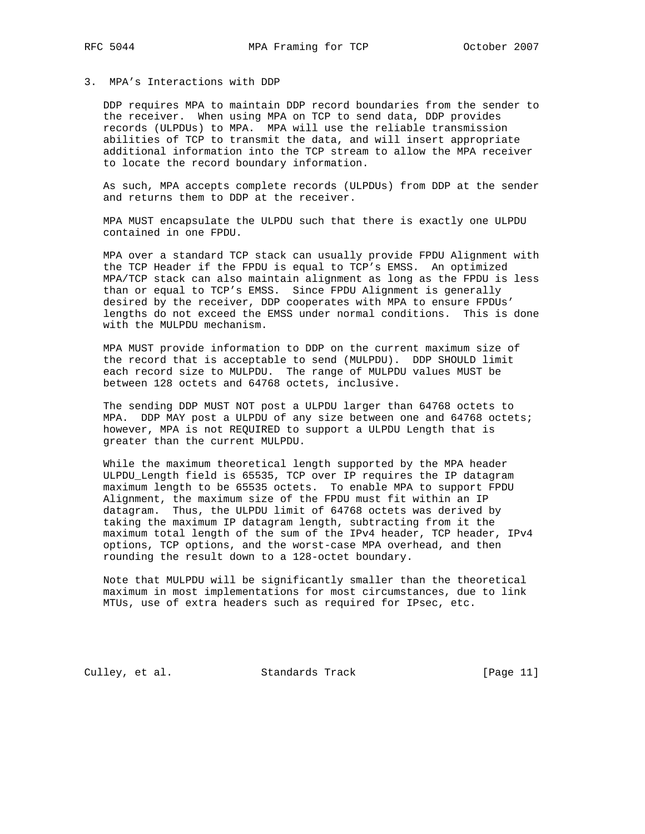### 3. MPA's Interactions with DDP

 DDP requires MPA to maintain DDP record boundaries from the sender to the receiver. When using MPA on TCP to send data, DDP provides records (ULPDUs) to MPA. MPA will use the reliable transmission abilities of TCP to transmit the data, and will insert appropriate additional information into the TCP stream to allow the MPA receiver to locate the record boundary information.

 As such, MPA accepts complete records (ULPDUs) from DDP at the sender and returns them to DDP at the receiver.

 MPA MUST encapsulate the ULPDU such that there is exactly one ULPDU contained in one FPDU.

 MPA over a standard TCP stack can usually provide FPDU Alignment with the TCP Header if the FPDU is equal to TCP's EMSS. An optimized MPA/TCP stack can also maintain alignment as long as the FPDU is less than or equal to TCP's EMSS. Since FPDU Alignment is generally desired by the receiver, DDP cooperates with MPA to ensure FPDUs' lengths do not exceed the EMSS under normal conditions. This is done with the MULPDU mechanism.

 MPA MUST provide information to DDP on the current maximum size of the record that is acceptable to send (MULPDU). DDP SHOULD limit each record size to MULPDU. The range of MULPDU values MUST be between 128 octets and 64768 octets, inclusive.

 The sending DDP MUST NOT post a ULPDU larger than 64768 octets to MPA. DDP MAY post a ULPDU of any size between one and 64768 octets; however, MPA is not REQUIRED to support a ULPDU Length that is greater than the current MULPDU.

 While the maximum theoretical length supported by the MPA header ULPDU\_Length field is 65535, TCP over IP requires the IP datagram maximum length to be 65535 octets. To enable MPA to support FPDU Alignment, the maximum size of the FPDU must fit within an IP datagram. Thus, the ULPDU limit of 64768 octets was derived by taking the maximum IP datagram length, subtracting from it the maximum total length of the sum of the IPv4 header, TCP header, IPv4 options, TCP options, and the worst-case MPA overhead, and then rounding the result down to a 128-octet boundary.

 Note that MULPDU will be significantly smaller than the theoretical maximum in most implementations for most circumstances, due to link MTUs, use of extra headers such as required for IPsec, etc.

Culley, et al. Standards Track [Page 11]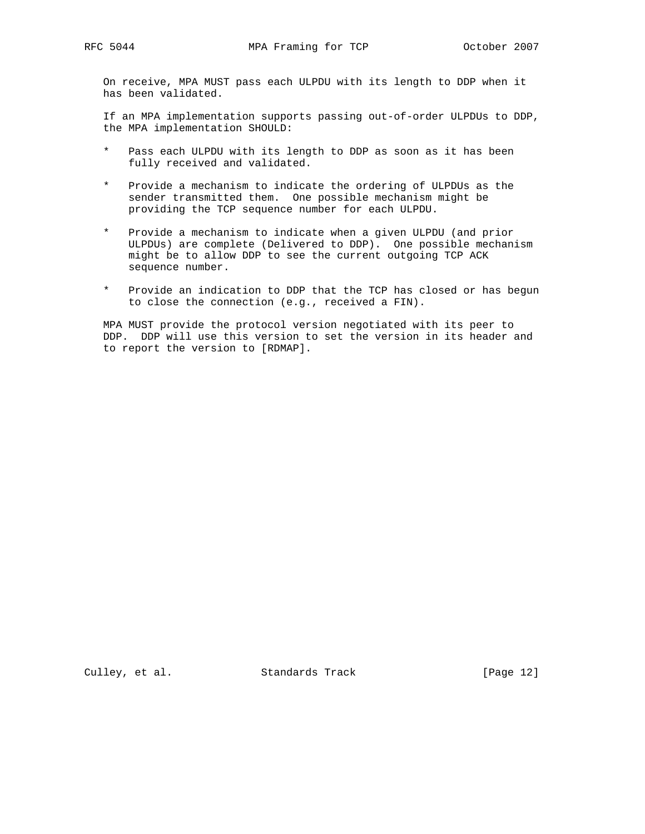On receive, MPA MUST pass each ULPDU with its length to DDP when it has been validated.

 If an MPA implementation supports passing out-of-order ULPDUs to DDP, the MPA implementation SHOULD:

- \* Pass each ULPDU with its length to DDP as soon as it has been fully received and validated.
- \* Provide a mechanism to indicate the ordering of ULPDUs as the sender transmitted them. One possible mechanism might be providing the TCP sequence number for each ULPDU.
- Provide a mechanism to indicate when a given ULPDU (and prior ULPDUs) are complete (Delivered to DDP). One possible mechanism might be to allow DDP to see the current outgoing TCP ACK sequence number.
- \* Provide an indication to DDP that the TCP has closed or has begun to close the connection (e.g., received a FIN).

 MPA MUST provide the protocol version negotiated with its peer to DDP. DDP will use this version to set the version in its header and to report the version to [RDMAP].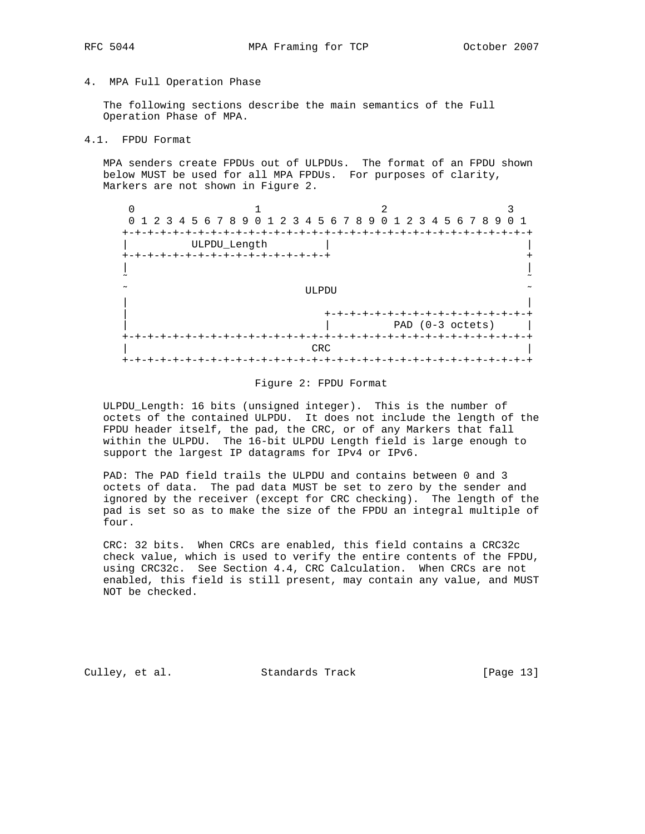4. MPA Full Operation Phase

 The following sections describe the main semantics of the Full Operation Phase of MPA.

4.1. FPDU Format

 MPA senders create FPDUs out of ULPDUs. The format of an FPDU shown below MUST be used for all MPA FPDUs. For purposes of clarity, Markers are not shown in Figure 2.

|                          | 0 1 2 3 4 5 6 7 8 9 0 1 2 3 4 5 6 7 8 9 0 1 2 3 4 5 6 7 8 9 0 1 |  |  |                          |  |  |  |       |                         |  |  |  |  |  |                    |  |                                         |  |
|--------------------------|-----------------------------------------------------------------|--|--|--------------------------|--|--|--|-------|-------------------------|--|--|--|--|--|--------------------|--|-----------------------------------------|--|
| +-+-+-+-+-+-+-+-+-+-+-+- |                                                                 |  |  |                          |  |  |  |       |                         |  |  |  |  |  |                    |  |                                         |  |
|                          |                                                                 |  |  | ULPDU_Length             |  |  |  |       |                         |  |  |  |  |  |                    |  |                                         |  |
|                          |                                                                 |  |  | -+-+-+-+-+-+-+-+-+-+-+-+ |  |  |  |       |                         |  |  |  |  |  |                    |  |                                         |  |
|                          |                                                                 |  |  |                          |  |  |  |       |                         |  |  |  |  |  |                    |  |                                         |  |
| ~                        |                                                                 |  |  |                          |  |  |  |       |                         |  |  |  |  |  |                    |  |                                         |  |
|                          |                                                                 |  |  |                          |  |  |  | ULPDU |                         |  |  |  |  |  |                    |  |                                         |  |
|                          |                                                                 |  |  |                          |  |  |  |       |                         |  |  |  |  |  |                    |  |                                         |  |
|                          |                                                                 |  |  |                          |  |  |  |       | +-+-+-+-+-+-+-+-+-+-+-+ |  |  |  |  |  |                    |  |                                         |  |
|                          |                                                                 |  |  |                          |  |  |  |       |                         |  |  |  |  |  | PAD $(0-3$ octets) |  |                                         |  |
| +-+-+-+-+-+-+-+-+-+-+-   |                                                                 |  |  |                          |  |  |  |       |                         |  |  |  |  |  |                    |  | -+-+-+-+-+-+-+-+-+-+-+-+-+-+-+-+-+-+-+- |  |
|                          |                                                                 |  |  |                          |  |  |  | CRC   |                         |  |  |  |  |  |                    |  |                                         |  |
|                          |                                                                 |  |  |                          |  |  |  |       |                         |  |  |  |  |  |                    |  |                                         |  |

#### Figure 2: FPDU Format

 ULPDU\_Length: 16 bits (unsigned integer). This is the number of octets of the contained ULPDU. It does not include the length of the FPDU header itself, the pad, the CRC, or of any Markers that fall within the ULPDU. The 16-bit ULPDU Length field is large enough to support the largest IP datagrams for IPv4 or IPv6.

 PAD: The PAD field trails the ULPDU and contains between 0 and 3 octets of data. The pad data MUST be set to zero by the sender and ignored by the receiver (except for CRC checking). The length of the pad is set so as to make the size of the FPDU an integral multiple of four.

 CRC: 32 bits. When CRCs are enabled, this field contains a CRC32c check value, which is used to verify the entire contents of the FPDU, using CRC32c. See Section 4.4, CRC Calculation. When CRCs are not enabled, this field is still present, may contain any value, and MUST NOT be checked.

Culley, et al. Standards Track [Page 13]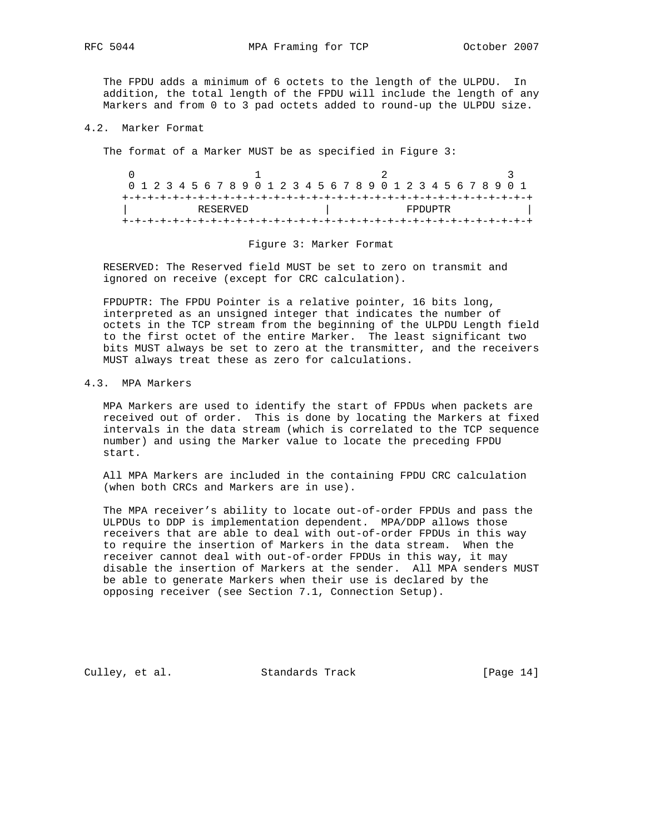RFC 5044 MPA Framing for TCP October 2007

 The FPDU adds a minimum of 6 octets to the length of the ULPDU. In addition, the total length of the FPDU will include the length of any Markers and from 0 to 3 pad octets added to round-up the ULPDU size.

#### 4.2. Marker Format

The format of a Marker MUST be as specified in Figure 3:

| 0 1 2 3 4 5 6 7 8 9 0 1 2 3 4 5 6 7 8 9 0 1 2 3 4 5 6 7 8 9 0 1 |  |  |  |  |  |  |  |  |  |  |          |  |  |  |  |  |  |  |  |  |  |  |  |  |  |  |
|-----------------------------------------------------------------|--|--|--|--|--|--|--|--|--|--|----------|--|--|--|--|--|--|--|--|--|--|--|--|--|--|--|
|                                                                 |  |  |  |  |  |  |  |  |  |  |          |  |  |  |  |  |  |  |  |  |  |  |  |  |  |  |
| RESERVED                                                        |  |  |  |  |  |  |  |  |  |  | FPDIJPTR |  |  |  |  |  |  |  |  |  |  |  |  |  |  |  |
|                                                                 |  |  |  |  |  |  |  |  |  |  |          |  |  |  |  |  |  |  |  |  |  |  |  |  |  |  |

#### Figure 3: Marker Format

 RESERVED: The Reserved field MUST be set to zero on transmit and ignored on receive (except for CRC calculation).

 FPDUPTR: The FPDU Pointer is a relative pointer, 16 bits long, interpreted as an unsigned integer that indicates the number of octets in the TCP stream from the beginning of the ULPDU Length field to the first octet of the entire Marker. The least significant two bits MUST always be set to zero at the transmitter, and the receivers MUST always treat these as zero for calculations.

# 4.3. MPA Markers

 MPA Markers are used to identify the start of FPDUs when packets are received out of order. This is done by locating the Markers at fixed intervals in the data stream (which is correlated to the TCP sequence number) and using the Marker value to locate the preceding FPDU start.

 All MPA Markers are included in the containing FPDU CRC calculation (when both CRCs and Markers are in use).

 The MPA receiver's ability to locate out-of-order FPDUs and pass the ULPDUs to DDP is implementation dependent. MPA/DDP allows those receivers that are able to deal with out-of-order FPDUs in this way to require the insertion of Markers in the data stream. When the receiver cannot deal with out-of-order FPDUs in this way, it may disable the insertion of Markers at the sender. All MPA senders MUST be able to generate Markers when their use is declared by the opposing receiver (see Section 7.1, Connection Setup).

Culley, et al. Standards Track [Page 14]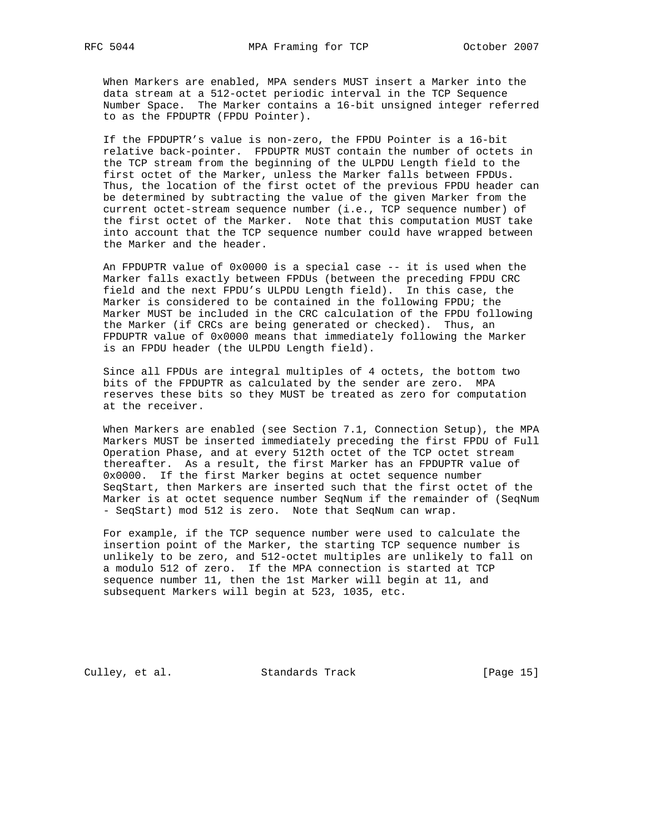When Markers are enabled, MPA senders MUST insert a Marker into the data stream at a 512-octet periodic interval in the TCP Sequence Number Space. The Marker contains a 16-bit unsigned integer referred to as the FPDUPTR (FPDU Pointer).

 If the FPDUPTR's value is non-zero, the FPDU Pointer is a 16-bit relative back-pointer. FPDUPTR MUST contain the number of octets in the TCP stream from the beginning of the ULPDU Length field to the first octet of the Marker, unless the Marker falls between FPDUs. Thus, the location of the first octet of the previous FPDU header can be determined by subtracting the value of the given Marker from the current octet-stream sequence number (i.e., TCP sequence number) of the first octet of the Marker. Note that this computation MUST take into account that the TCP sequence number could have wrapped between the Marker and the header.

 An FPDUPTR value of 0x0000 is a special case -- it is used when the Marker falls exactly between FPDUs (between the preceding FPDU CRC field and the next FPDU's ULPDU Length field). In this case, the Marker is considered to be contained in the following FPDU; the Marker MUST be included in the CRC calculation of the FPDU following the Marker (if CRCs are being generated or checked). Thus, an FPDUPTR value of 0x0000 means that immediately following the Marker is an FPDU header (the ULPDU Length field).

 Since all FPDUs are integral multiples of 4 octets, the bottom two bits of the FPDUPTR as calculated by the sender are zero. MPA reserves these bits so they MUST be treated as zero for computation at the receiver.

 When Markers are enabled (see Section 7.1, Connection Setup), the MPA Markers MUST be inserted immediately preceding the first FPDU of Full Operation Phase, and at every 512th octet of the TCP octet stream thereafter. As a result, the first Marker has an FPDUPTR value of 0x0000. If the first Marker begins at octet sequence number SeqStart, then Markers are inserted such that the first octet of the Marker is at octet sequence number SeqNum if the remainder of (SeqNum - SeqStart) mod 512 is zero. Note that SeqNum can wrap.

 For example, if the TCP sequence number were used to calculate the insertion point of the Marker, the starting TCP sequence number is unlikely to be zero, and 512-octet multiples are unlikely to fall on a modulo 512 of zero. If the MPA connection is started at TCP sequence number 11, then the 1st Marker will begin at 11, and subsequent Markers will begin at 523, 1035, etc.

Culley, et al. Standards Track [Page 15]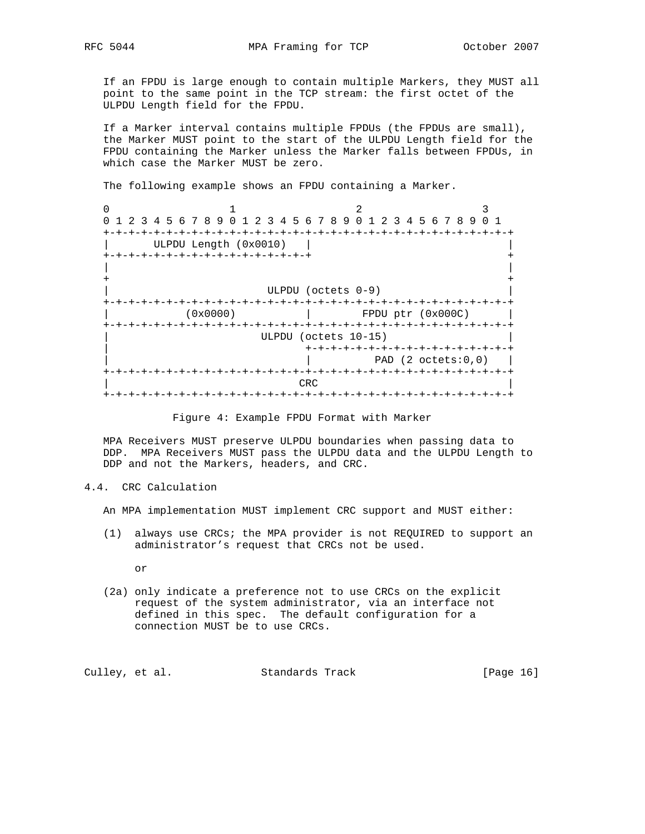If an FPDU is large enough to contain multiple Markers, they MUST all point to the same point in the TCP stream: the first octet of the ULPDU Length field for the FPDU.

 If a Marker interval contains multiple FPDUs (the FPDUs are small), the Marker MUST point to the start of the ULPDU Length field for the FPDU containing the Marker unless the Marker falls between FPDUs, in which case the Marker MUST be zero.

The following example shows an FPDU containing a Marker.

| 0 1 2 3 4 5 6 7 8 9 0 1 2 3 4 5 6 7 8 9 0 1 2 3 4 5 6 7 8 9 0 1 |                       |          |                           |  |                      |  |     |  |                    |  |                                 |  |  |  |  |
|-----------------------------------------------------------------|-----------------------|----------|---------------------------|--|----------------------|--|-----|--|--------------------|--|---------------------------------|--|--|--|--|
|                                                                 |                       |          |                           |  |                      |  |     |  |                    |  |                                 |  |  |  |  |
|                                                                 | ULPDU Length (0x0010) |          |                           |  |                      |  |     |  |                    |  |                                 |  |  |  |  |
| +-+-+-+-+-+-+-+-+-+-+-+-+-+-+-+-+-+                             |                       |          |                           |  |                      |  |     |  |                    |  |                                 |  |  |  |  |
|                                                                 |                       |          |                           |  |                      |  |     |  |                    |  |                                 |  |  |  |  |
|                                                                 |                       |          |                           |  |                      |  |     |  |                    |  |                                 |  |  |  |  |
|                                                                 |                       |          |                           |  |                      |  |     |  | ULPDU (octets 0-9) |  |                                 |  |  |  |  |
|                                                                 |                       |          |                           |  |                      |  |     |  |                    |  |                                 |  |  |  |  |
|                                                                 |                       | (0x0000) |                           |  |                      |  |     |  |                    |  | FPDU ptr (0x000C)               |  |  |  |  |
|                                                                 |                       |          |                           |  |                      |  |     |  |                    |  | -+-+-+-+-+-+-+-+-+-+            |  |  |  |  |
|                                                                 |                       |          |                           |  | ULPDU (octets 10-15) |  |     |  |                    |  |                                 |  |  |  |  |
|                                                                 |                       |          |                           |  |                      |  |     |  |                    |  | +-+-+-+-+-+-+-+-+-+-+-+-+-+-+-+ |  |  |  |  |
|                                                                 |                       |          |                           |  |                      |  |     |  |                    |  | PAD $(2 \text{octets: } 0, 0)$  |  |  |  |  |
|                                                                 |                       |          |                           |  |                      |  |     |  |                    |  |                                 |  |  |  |  |
|                                                                 |                       |          |                           |  |                      |  | CRC |  |                    |  |                                 |  |  |  |  |
|                                                                 |                       |          | +-+-+-+-+-+-+-+-+-+-+-+-+ |  |                      |  |     |  |                    |  |                                 |  |  |  |  |

Figure 4: Example FPDU Format with Marker

 MPA Receivers MUST preserve ULPDU boundaries when passing data to DDP. MPA Receivers MUST pass the ULPDU data and the ULPDU Length to DDP and not the Markers, headers, and CRC.

4.4. CRC Calculation

An MPA implementation MUST implement CRC support and MUST either:

 (1) always use CRCs; the MPA provider is not REQUIRED to support an administrator's request that CRCs not be used.

or

 (2a) only indicate a preference not to use CRCs on the explicit request of the system administrator, via an interface not defined in this spec. The default configuration for a connection MUST be to use CRCs.

| Culley, et al. | Standards Track | [Page 16] |
|----------------|-----------------|-----------|
|----------------|-----------------|-----------|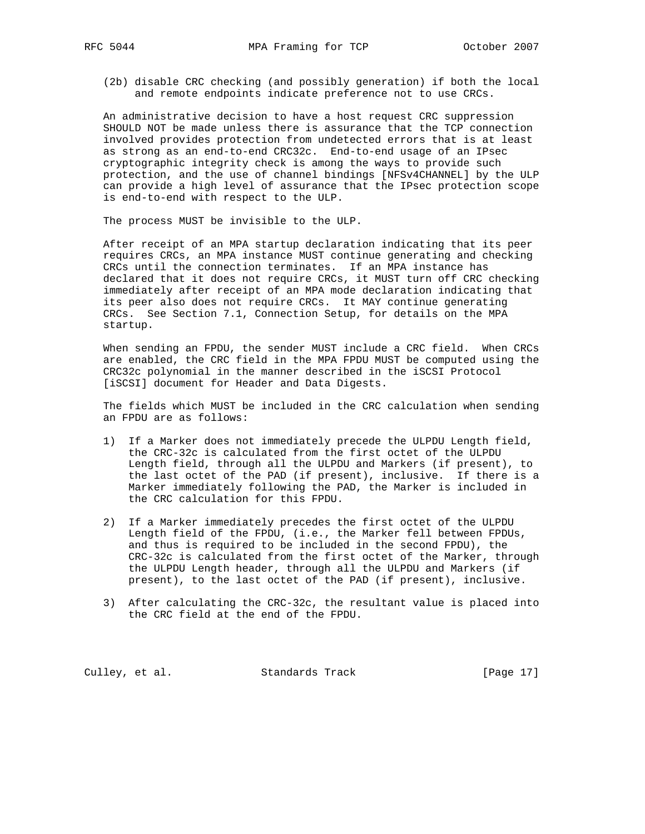(2b) disable CRC checking (and possibly generation) if both the local and remote endpoints indicate preference not to use CRCs.

 An administrative decision to have a host request CRC suppression SHOULD NOT be made unless there is assurance that the TCP connection involved provides protection from undetected errors that is at least as strong as an end-to-end CRC32c. End-to-end usage of an IPsec cryptographic integrity check is among the ways to provide such protection, and the use of channel bindings [NFSv4CHANNEL] by the ULP can provide a high level of assurance that the IPsec protection scope is end-to-end with respect to the ULP.

The process MUST be invisible to the ULP.

 After receipt of an MPA startup declaration indicating that its peer requires CRCs, an MPA instance MUST continue generating and checking CRCs until the connection terminates. If an MPA instance has declared that it does not require CRCs, it MUST turn off CRC checking immediately after receipt of an MPA mode declaration indicating that its peer also does not require CRCs. It MAY continue generating CRCs. See Section 7.1, Connection Setup, for details on the MPA startup.

 When sending an FPDU, the sender MUST include a CRC field. When CRCs are enabled, the CRC field in the MPA FPDU MUST be computed using the CRC32c polynomial in the manner described in the iSCSI Protocol [iSCSI] document for Header and Data Digests.

 The fields which MUST be included in the CRC calculation when sending an FPDU are as follows:

- 1) If a Marker does not immediately precede the ULPDU Length field, the CRC-32c is calculated from the first octet of the ULPDU Length field, through all the ULPDU and Markers (if present), to the last octet of the PAD (if present), inclusive. If there is a Marker immediately following the PAD, the Marker is included in the CRC calculation for this FPDU.
- 2) If a Marker immediately precedes the first octet of the ULPDU Length field of the FPDU, (i.e., the Marker fell between FPDUs, and thus is required to be included in the second FPDU), the CRC-32c is calculated from the first octet of the Marker, through the ULPDU Length header, through all the ULPDU and Markers (if present), to the last octet of the PAD (if present), inclusive.
- 3) After calculating the CRC-32c, the resultant value is placed into the CRC field at the end of the FPDU.

Culley, et al. Standards Track [Page 17]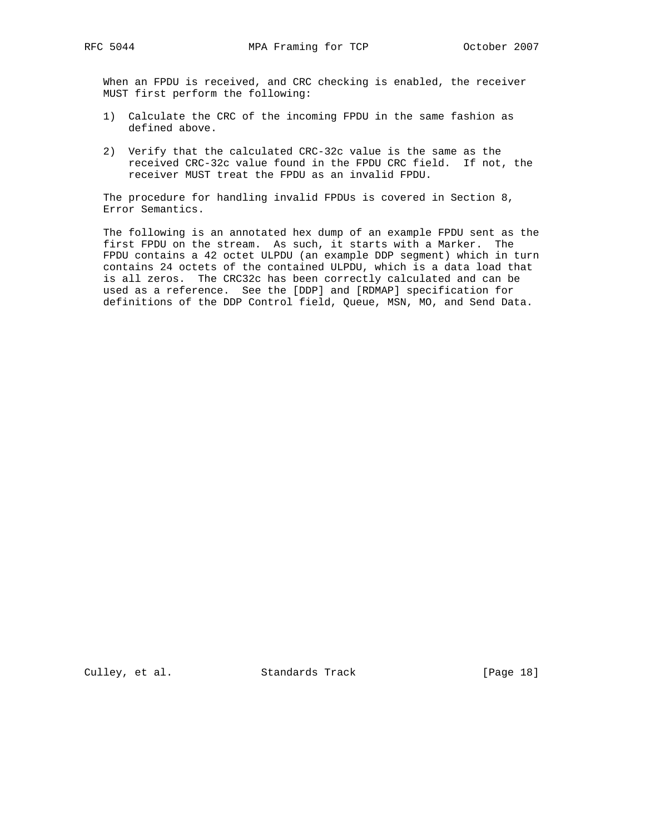When an FPDU is received, and CRC checking is enabled, the receiver MUST first perform the following:

- 1) Calculate the CRC of the incoming FPDU in the same fashion as defined above.
- 2) Verify that the calculated CRC-32c value is the same as the received CRC-32c value found in the FPDU CRC field. If not, the receiver MUST treat the FPDU as an invalid FPDU.

 The procedure for handling invalid FPDUs is covered in Section 8, Error Semantics.

 The following is an annotated hex dump of an example FPDU sent as the first FPDU on the stream. As such, it starts with a Marker. The FPDU contains a 42 octet ULPDU (an example DDP segment) which in turn contains 24 octets of the contained ULPDU, which is a data load that is all zeros. The CRC32c has been correctly calculated and can be used as a reference. See the [DDP] and [RDMAP] specification for definitions of the DDP Control field, Queue, MSN, MO, and Send Data.

Culley, et al. Standards Track [Page 18]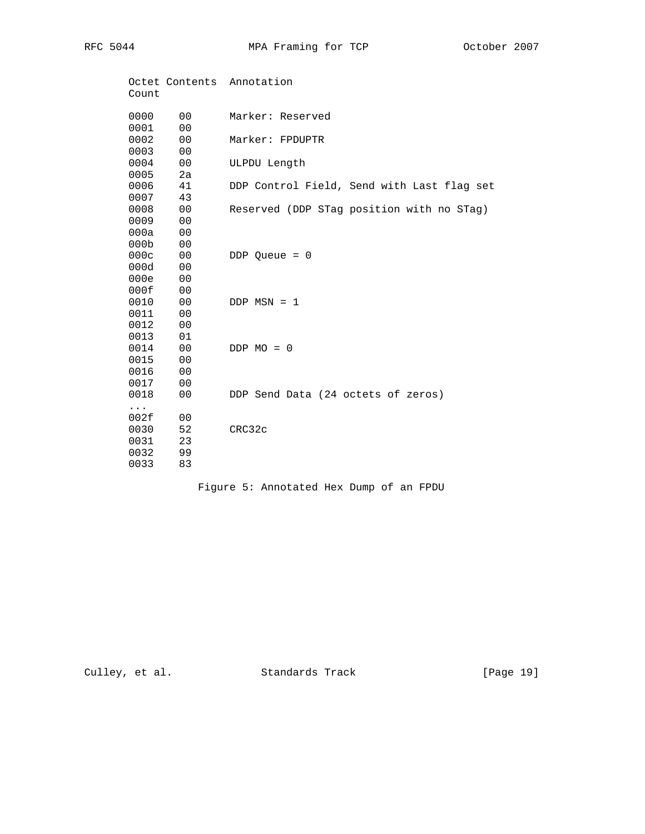RFC 5044 MPA Framing for TCP October 2007

| Count            |                | Octet Contents Annotation                  |
|------------------|----------------|--------------------------------------------|
| 0000             | 0 <sub>0</sub> | Marker: Reserved                           |
| 0001             | 0 <sub>0</sub> |                                            |
| 0002             | 0 <sub>0</sub> | Marker: FPDUPTR                            |
| 0003             | 0 <sub>0</sub> |                                            |
| 0004             | 0 <sub>0</sub> | ULPDU Length                               |
| 0005             | 2a             |                                            |
| 0006             | 41             | DDP Control Field, Send with Last flag set |
| 0007             | 43             |                                            |
| 0008             | 0 <sub>0</sub> | Reserved (DDP STag position with no STag)  |
| 0009             | 0 <sub>0</sub> |                                            |
| 000a             | 0 <sub>0</sub> |                                            |
| 000 <sub>b</sub> | 0 <sub>0</sub> |                                            |
| 000c             | 0 <sub>0</sub> | DDP Queue = $0$                            |
| 000d             | 0 <sub>0</sub> |                                            |
| 000e             | 0 <sub>0</sub> |                                            |
| 000f             | 0 <sub>0</sub> |                                            |
| 0010             | 0 <sub>0</sub> | $DDP$ MSN = 1                              |
| 0011             | 0 <sub>0</sub> |                                            |
| 0012             | 0 <sub>0</sub> |                                            |
| 0013             | 01             |                                            |
| 0014             | 0 <sub>0</sub> | $DDP MO = 0$                               |
| 0015             | 0 <sub>0</sub> |                                            |
| 0016             | 0 <sub>0</sub> |                                            |
| 0017             | 0 <sub>0</sub> |                                            |
| 0018             | 00             | DDP Send Data (24 octets of zeros)         |
| .                |                |                                            |
| 002f             | 00             |                                            |
| 0030             | 52             | CRC32c                                     |
| 0031             | 23             |                                            |
| 0032             | 99             |                                            |
| 0033             | 83             |                                            |

Figure 5: Annotated Hex Dump of an FPDU

Culley, et al. Standards Track [Page 19]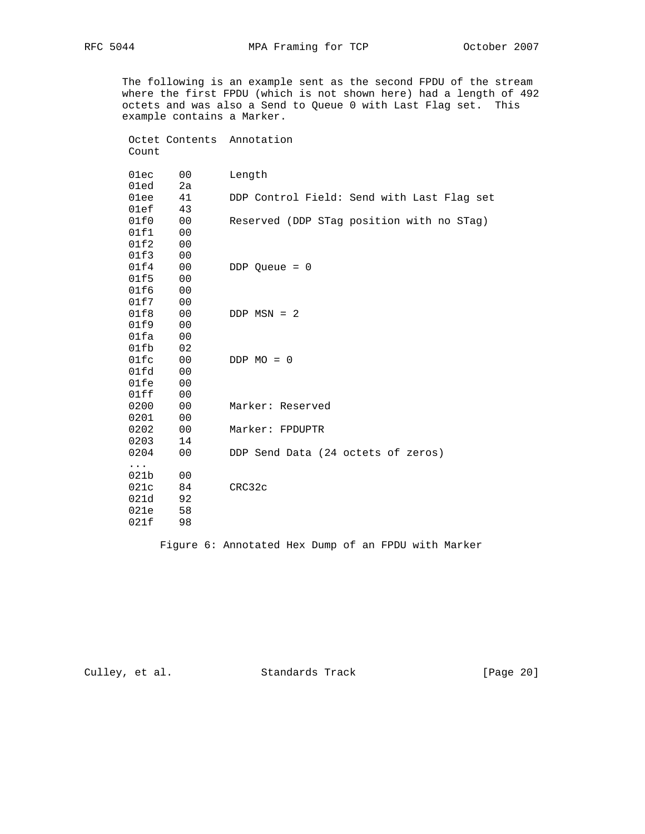Octet Contents Annotation

 The following is an example sent as the second FPDU of the stream where the first FPDU (which is not shown here) had a length of 492 octets and was also a Send to Queue 0 with Last Flag set. This example contains a Marker.

 Count 01ec 00 Length 01ed 2a 01ee 41 DDP Control Field: Send with Last Flag set 01ef 43 01f0 00 Reserved (DDP STag position with no STag) 01f1 00 01f2 00 01f3 00<br>01f4 00 DDP Queue = 0 01f5 00 01f6 00 01f7 00 01f8 00 DDP MSN = 2 01f9 00 01fa 00 01fb 02 01fc 00 DDP MO = 0 01fd 00  $01fe$ 01fe 00<br>01ff 00 0200 00 Marker: Reserved 0201 00 0202 00 Marker: FPDUPTR 0203 14 0204 00 DDP Send Data (24 octets of zeros) ... 021b 00 021c 84 CRC32c 021d 92<br>021e 58  $021e$ 021f 98

Figure 6: Annotated Hex Dump of an FPDU with Marker

Culley, et al. Standards Track [Page 20]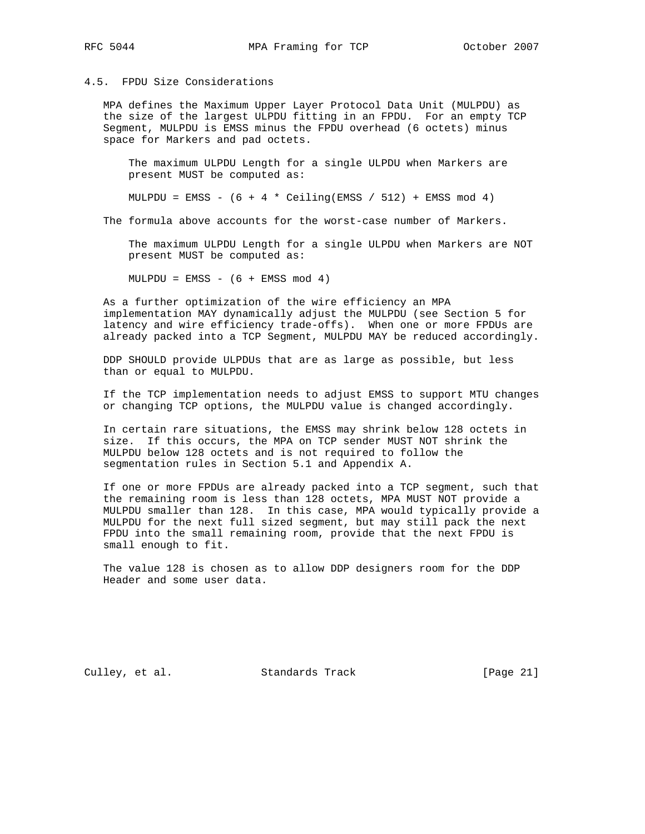### 4.5. FPDU Size Considerations

 MPA defines the Maximum Upper Layer Protocol Data Unit (MULPDU) as the size of the largest ULPDU fitting in an FPDU. For an empty TCP Segment, MULPDU is EMSS minus the FPDU overhead (6 octets) minus space for Markers and pad octets.

 The maximum ULPDU Length for a single ULPDU when Markers are present MUST be computed as:

MULPDU = EMSS -  $(6 + 4 *$  Ceiling(EMSS / 512) + EMSS mod 4)

The formula above accounts for the worst-case number of Markers.

 The maximum ULPDU Length for a single ULPDU when Markers are NOT present MUST be computed as:

 $MULPDU = EMSS - (6 + EMSS mod 4)$ 

 As a further optimization of the wire efficiency an MPA implementation MAY dynamically adjust the MULPDU (see Section 5 for latency and wire efficiency trade-offs). When one or more FPDUs are already packed into a TCP Segment, MULPDU MAY be reduced accordingly.

 DDP SHOULD provide ULPDUs that are as large as possible, but less than or equal to MULPDU.

 If the TCP implementation needs to adjust EMSS to support MTU changes or changing TCP options, the MULPDU value is changed accordingly.

 In certain rare situations, the EMSS may shrink below 128 octets in size. If this occurs, the MPA on TCP sender MUST NOT shrink the MULPDU below 128 octets and is not required to follow the segmentation rules in Section 5.1 and Appendix A.

 If one or more FPDUs are already packed into a TCP segment, such that the remaining room is less than 128 octets, MPA MUST NOT provide a MULPDU smaller than 128. In this case, MPA would typically provide a MULPDU for the next full sized segment, but may still pack the next FPDU into the small remaining room, provide that the next FPDU is small enough to fit.

 The value 128 is chosen as to allow DDP designers room for the DDP Header and some user data.

Culley, et al. Standards Track [Page 21]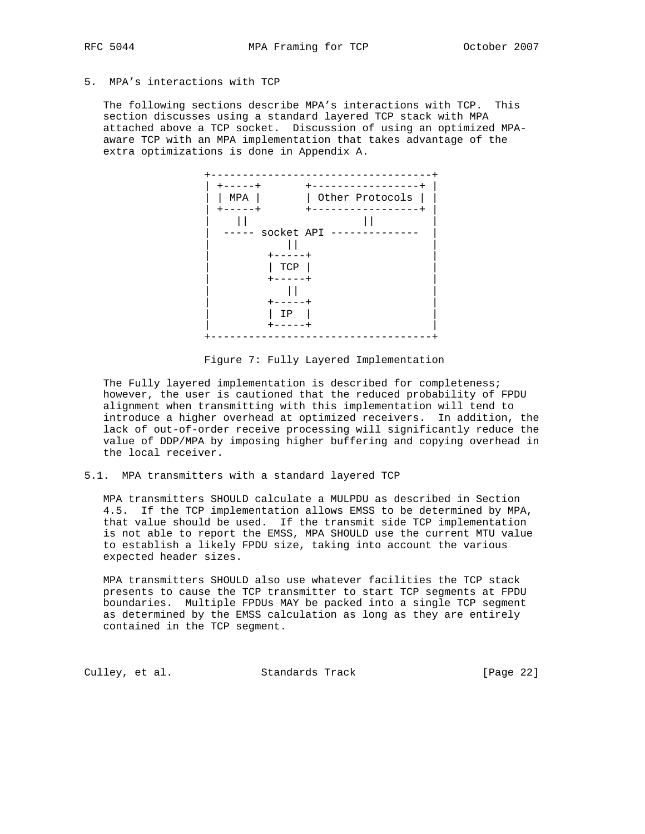# 5. MPA's interactions with TCP

 The following sections describe MPA's interactions with TCP. This section discusses using a standard layered TCP stack with MPA attached above a TCP socket. Discussion of using an optimized MPA aware TCP with an MPA implementation that takes advantage of the extra optimizations is done in Appendix A.



Figure 7: Fully Layered Implementation

 The Fully layered implementation is described for completeness; however, the user is cautioned that the reduced probability of FPDU alignment when transmitting with this implementation will tend to introduce a higher overhead at optimized receivers. In addition, the lack of out-of-order receive processing will significantly reduce the value of DDP/MPA by imposing higher buffering and copying overhead in the local receiver.

### 5.1. MPA transmitters with a standard layered TCP

 MPA transmitters SHOULD calculate a MULPDU as described in Section 4.5. If the TCP implementation allows EMSS to be determined by MPA, that value should be used. If the transmit side TCP implementation is not able to report the EMSS, MPA SHOULD use the current MTU value to establish a likely FPDU size, taking into account the various expected header sizes.

 MPA transmitters SHOULD also use whatever facilities the TCP stack presents to cause the TCP transmitter to start TCP segments at FPDU boundaries. Multiple FPDUs MAY be packed into a single TCP segment as determined by the EMSS calculation as long as they are entirely contained in the TCP segment.

Culley, et al. Standards Track [Page 22]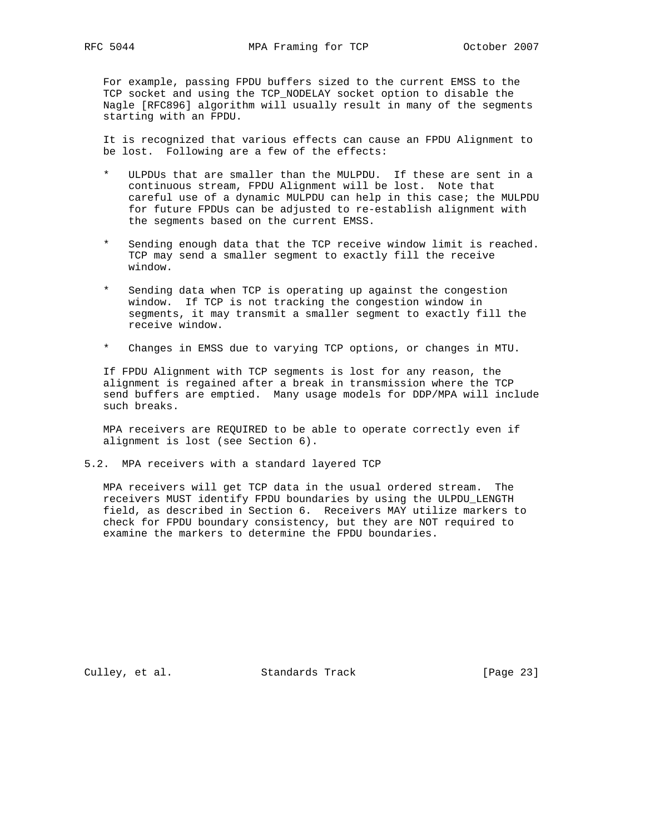For example, passing FPDU buffers sized to the current EMSS to the TCP socket and using the TCP\_NODELAY socket option to disable the Nagle [RFC896] algorithm will usually result in many of the segments starting with an FPDU.

 It is recognized that various effects can cause an FPDU Alignment to be lost. Following are a few of the effects:

- \* ULPDUs that are smaller than the MULPDU. If these are sent in a continuous stream, FPDU Alignment will be lost. Note that careful use of a dynamic MULPDU can help in this case; the MULPDU for future FPDUs can be adjusted to re-establish alignment with the segments based on the current EMSS.
- Sending enough data that the TCP receive window limit is reached. TCP may send a smaller segment to exactly fill the receive window.
- Sending data when TCP is operating up against the congestion window. If TCP is not tracking the congestion window in segments, it may transmit a smaller segment to exactly fill the receive window.
- \* Changes in EMSS due to varying TCP options, or changes in MTU.

 If FPDU Alignment with TCP segments is lost for any reason, the alignment is regained after a break in transmission where the TCP send buffers are emptied. Many usage models for DDP/MPA will include such breaks.

 MPA receivers are REQUIRED to be able to operate correctly even if alignment is lost (see Section 6).

### 5.2. MPA receivers with a standard layered TCP

 MPA receivers will get TCP data in the usual ordered stream. The receivers MUST identify FPDU boundaries by using the ULPDU\_LENGTH field, as described in Section 6. Receivers MAY utilize markers to check for FPDU boundary consistency, but they are NOT required to examine the markers to determine the FPDU boundaries.

Culley, et al. Standards Track [Page 23]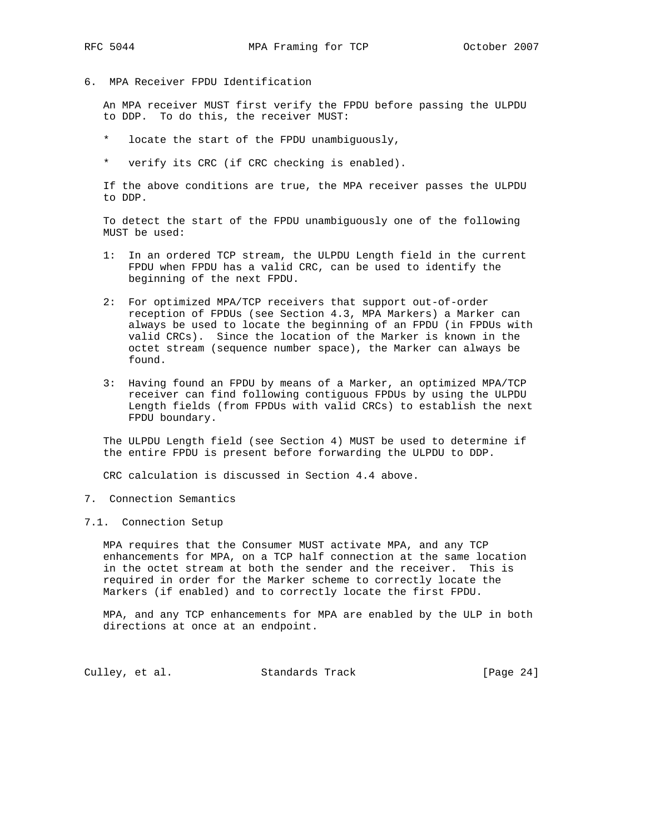- 
- 6. MPA Receiver FPDU Identification

 An MPA receiver MUST first verify the FPDU before passing the ULPDU to DDP. To do this, the receiver MUST:

- \* locate the start of the FPDU unambiguously,
- \* verify its CRC (if CRC checking is enabled).

 If the above conditions are true, the MPA receiver passes the ULPDU to DDP.

 To detect the start of the FPDU unambiguously one of the following MUST be used:

- 1: In an ordered TCP stream, the ULPDU Length field in the current FPDU when FPDU has a valid CRC, can be used to identify the beginning of the next FPDU.
- 2: For optimized MPA/TCP receivers that support out-of-order reception of FPDUs (see Section 4.3, MPA Markers) a Marker can always be used to locate the beginning of an FPDU (in FPDUs with valid CRCs). Since the location of the Marker is known in the octet stream (sequence number space), the Marker can always be found.
- 3: Having found an FPDU by means of a Marker, an optimized MPA/TCP receiver can find following contiguous FPDUs by using the ULPDU Length fields (from FPDUs with valid CRCs) to establish the next FPDU boundary.

 The ULPDU Length field (see Section 4) MUST be used to determine if the entire FPDU is present before forwarding the ULPDU to DDP.

CRC calculation is discussed in Section 4.4 above.

- 7. Connection Semantics
- 7.1. Connection Setup

 MPA requires that the Consumer MUST activate MPA, and any TCP enhancements for MPA, on a TCP half connection at the same location in the octet stream at both the sender and the receiver. This is required in order for the Marker scheme to correctly locate the Markers (if enabled) and to correctly locate the first FPDU.

 MPA, and any TCP enhancements for MPA are enabled by the ULP in both directions at once at an endpoint.

Culley, et al. Standards Track [Page 24]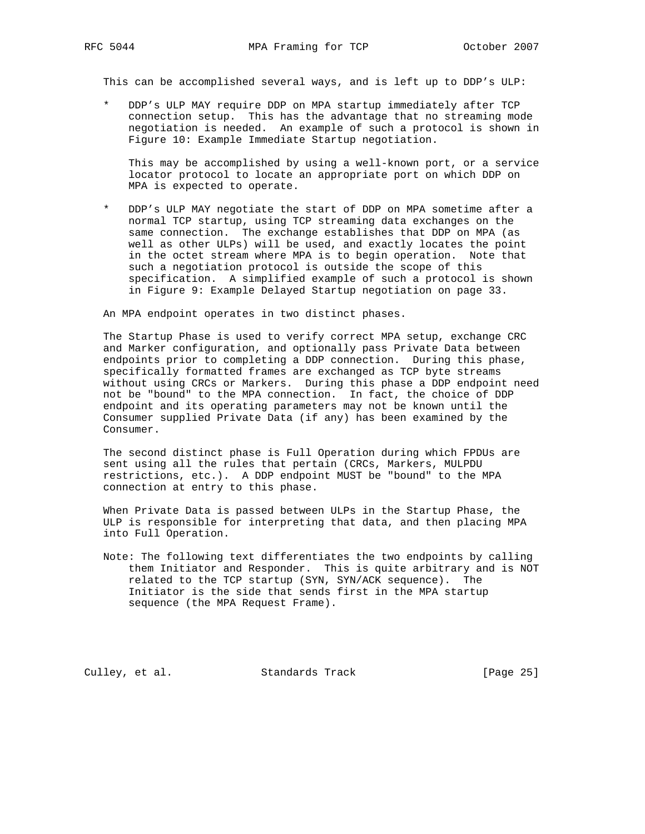This can be accomplished several ways, and is left up to DDP's ULP:

 \* DDP's ULP MAY require DDP on MPA startup immediately after TCP connection setup. This has the advantage that no streaming mode negotiation is needed. An example of such a protocol is shown in Figure 10: Example Immediate Startup negotiation.

 This may be accomplished by using a well-known port, or a service locator protocol to locate an appropriate port on which DDP on MPA is expected to operate.

DDP's ULP MAY negotiate the start of DDP on MPA sometime after a normal TCP startup, using TCP streaming data exchanges on the same connection. The exchange establishes that DDP on MPA (as well as other ULPs) will be used, and exactly locates the point in the octet stream where MPA is to begin operation. Note that such a negotiation protocol is outside the scope of this specification. A simplified example of such a protocol is shown in Figure 9: Example Delayed Startup negotiation on page 33.

An MPA endpoint operates in two distinct phases.

 The Startup Phase is used to verify correct MPA setup, exchange CRC and Marker configuration, and optionally pass Private Data between endpoints prior to completing a DDP connection. During this phase, specifically formatted frames are exchanged as TCP byte streams without using CRCs or Markers. During this phase a DDP endpoint need not be "bound" to the MPA connection. In fact, the choice of DDP endpoint and its operating parameters may not be known until the Consumer supplied Private Data (if any) has been examined by the Consumer.

 The second distinct phase is Full Operation during which FPDUs are sent using all the rules that pertain (CRCs, Markers, MULPDU restrictions, etc.). A DDP endpoint MUST be "bound" to the MPA connection at entry to this phase.

 When Private Data is passed between ULPs in the Startup Phase, the ULP is responsible for interpreting that data, and then placing MPA into Full Operation.

 Note: The following text differentiates the two endpoints by calling them Initiator and Responder. This is quite arbitrary and is NOT related to the TCP startup (SYN, SYN/ACK sequence). The Initiator is the side that sends first in the MPA startup sequence (the MPA Request Frame).

Culley, et al. Standards Track [Page 25]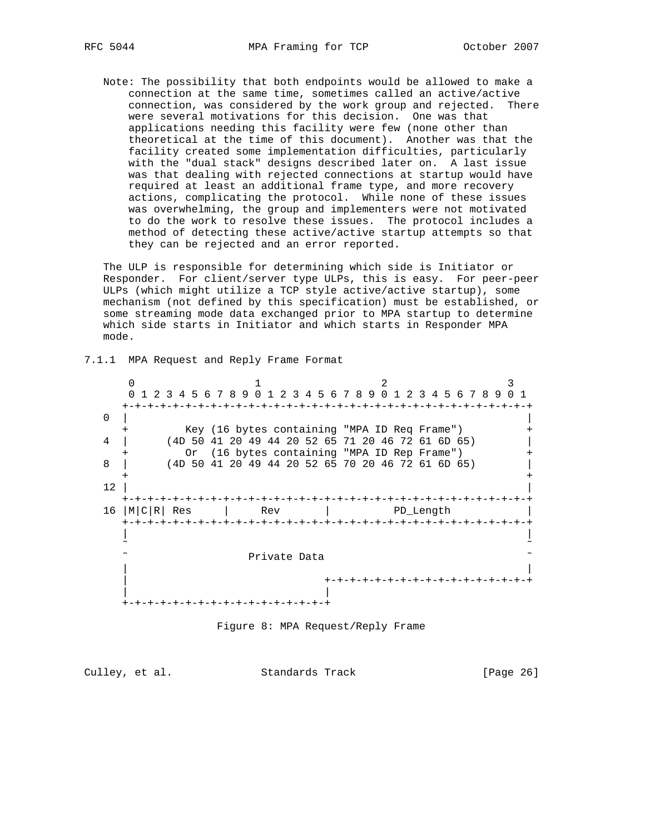Note: The possibility that both endpoints would be allowed to make a connection at the same time, sometimes called an active/active connection, was considered by the work group and rejected. There were several motivations for this decision. One was that applications needing this facility were few (none other than theoretical at the time of this document). Another was that the facility created some implementation difficulties, particularly with the "dual stack" designs described later on. A last issue was that dealing with rejected connections at startup would have required at least an additional frame type, and more recovery actions, complicating the protocol. While none of these issues was overwhelming, the group and implementers were not motivated to do the work to resolve these issues. The protocol includes a method of detecting these active/active startup attempts so that they can be rejected and an error reported.

 The ULP is responsible for determining which side is Initiator or Responder. For client/server type ULPs, this is easy. For peer-peer ULPs (which might utilize a TCP style active/active startup), some mechanism (not defined by this specification) must be established, or some streaming mode data exchanged prior to MPA startup to determine which side starts in Initiator and which starts in Responder MPA mode.

7.1.1 MPA Request and Reply Frame Format

0  $1$  2 3 0 1 2 3 4 5 6 7 8 9 0 1 2 3 4 5 6 7 8 9 0 1 2 3 4 5 6 7 8 9 0 1 +-+-+-+-+-+-+-+-+-+-+-+-+-+-+-+-+-+-+-+-+-+-+-+-+-+-+-+-+-+-+-+-+  $\overline{0}$  | Key (16 bytes containing "MPA ID Req Frame") 4 | (4D 50 41 20 49 44 20 52 65 71 20 46 72 61 6D 65) | Or (16 bytes containing "MPA ID Rep Frame") 8 | (4D 50 41 20 49 44 20 52 65 70 20 46 72 61 6D 65) | + +  $\frac{12}{ }$  | +-+-+-+-+-+-+-+-+-+-+-+-+-+-+-+-+-+-+-+-+-+-+-+-+-+-+-+-+-+-+-+-+ 16 |M|C|R| Res | Rev | PD\_Length +-+-+-+-+-+-+-+-+-+-+-+-+-+-+-+-+-+-+-+-+-+-+-+-+-+-+-+-+-+-+-+-+ | | ˜ ˜ Private Data | | | +-+-+-+-+-+-+-+-+-+-+-+-+-+-+-+-+ | | +-+-+-+-+-+-+-+-+-+-+-+-+-+-+-+-+

Figure 8: MPA Request/Reply Frame

| Culley, et al. | Standards Track | [Page 26] |
|----------------|-----------------|-----------|
|----------------|-----------------|-----------|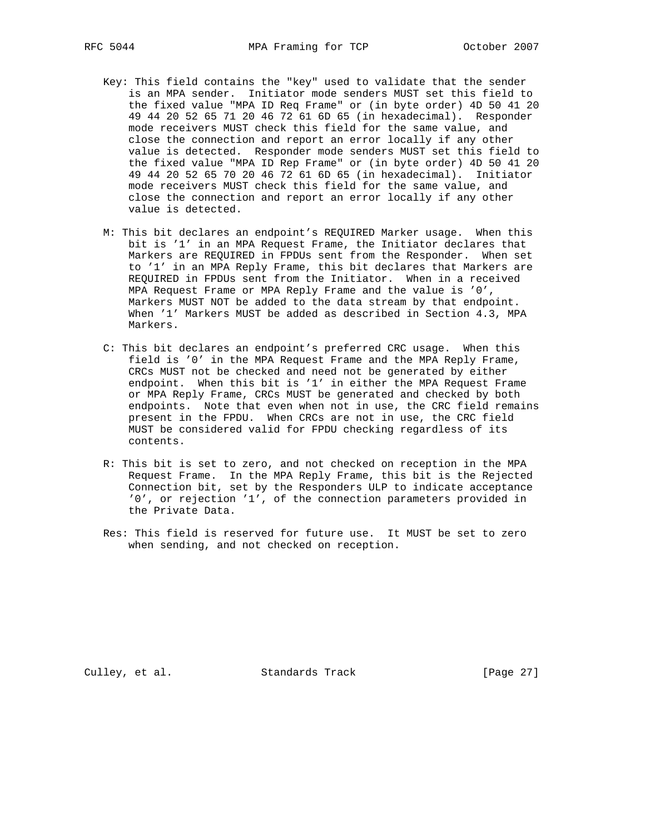- Key: This field contains the "key" used to validate that the sender is an MPA sender. Initiator mode senders MUST set this field to the fixed value "MPA ID Req Frame" or (in byte order) 4D 50 41 20 49 44 20 52 65 71 20 46 72 61 6D 65 (in hexadecimal). Responder mode receivers MUST check this field for the same value, and close the connection and report an error locally if any other value is detected. Responder mode senders MUST set this field to the fixed value "MPA ID Rep Frame" or (in byte order) 4D 50 41 20 49 44 20 52 65 70 20 46 72 61 6D 65 (in hexadecimal). Initiator mode receivers MUST check this field for the same value, and close the connection and report an error locally if any other value is detected.
- M: This bit declares an endpoint's REQUIRED Marker usage. When this bit is '1' in an MPA Request Frame, the Initiator declares that Markers are REQUIRED in FPDUs sent from the Responder. When set to '1' in an MPA Reply Frame, this bit declares that Markers are REQUIRED in FPDUs sent from the Initiator. When in a received MPA Request Frame or MPA Reply Frame and the value is '0', Markers MUST NOT be added to the data stream by that endpoint. When '1' Markers MUST be added as described in Section 4.3, MPA Markers.
- C: This bit declares an endpoint's preferred CRC usage. When this field is '0' in the MPA Request Frame and the MPA Reply Frame, CRCs MUST not be checked and need not be generated by either endpoint. When this bit is '1' in either the MPA Request Frame or MPA Reply Frame, CRCs MUST be generated and checked by both endpoints. Note that even when not in use, the CRC field remains present in the FPDU. When CRCs are not in use, the CRC field MUST be considered valid for FPDU checking regardless of its contents.
- R: This bit is set to zero, and not checked on reception in the MPA Request Frame. In the MPA Reply Frame, this bit is the Rejected Connection bit, set by the Responders ULP to indicate acceptance '0', or rejection '1', of the connection parameters provided in the Private Data.
- Res: This field is reserved for future use. It MUST be set to zero when sending, and not checked on reception.

Culley, et al. Standards Track [Page 27]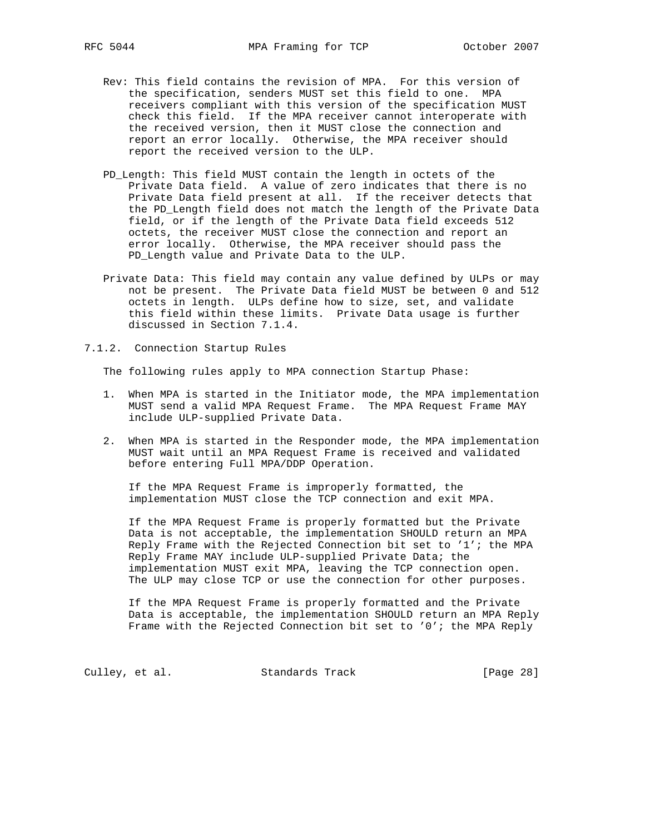- Rev: This field contains the revision of MPA. For this version of the specification, senders MUST set this field to one. MPA receivers compliant with this version of the specification MUST check this field. If the MPA receiver cannot interoperate with the received version, then it MUST close the connection and report an error locally. Otherwise, the MPA receiver should report the received version to the ULP.
- PD\_Length: This field MUST contain the length in octets of the Private Data field. A value of zero indicates that there is no Private Data field present at all. If the receiver detects that the PD\_Length field does not match the length of the Private Data field, or if the length of the Private Data field exceeds 512 octets, the receiver MUST close the connection and report an error locally. Otherwise, the MPA receiver should pass the PD\_Length value and Private Data to the ULP.
- Private Data: This field may contain any value defined by ULPs or may not be present. The Private Data field MUST be between 0 and 512 octets in length. ULPs define how to size, set, and validate this field within these limits. Private Data usage is further discussed in Section 7.1.4.
- 7.1.2. Connection Startup Rules

The following rules apply to MPA connection Startup Phase:

- 1. When MPA is started in the Initiator mode, the MPA implementation MUST send a valid MPA Request Frame. The MPA Request Frame MAY include ULP-supplied Private Data.
- 2. When MPA is started in the Responder mode, the MPA implementation MUST wait until an MPA Request Frame is received and validated before entering Full MPA/DDP Operation.

 If the MPA Request Frame is improperly formatted, the implementation MUST close the TCP connection and exit MPA.

 If the MPA Request Frame is properly formatted but the Private Data is not acceptable, the implementation SHOULD return an MPA Reply Frame with the Rejected Connection bit set to '1'; the MPA Reply Frame MAY include ULP-supplied Private Data; the implementation MUST exit MPA, leaving the TCP connection open. The ULP may close TCP or use the connection for other purposes.

 If the MPA Request Frame is properly formatted and the Private Data is acceptable, the implementation SHOULD return an MPA Reply Frame with the Rejected Connection bit set to '0'; the MPA Reply

Culley, et al. Standards Track [Page 28]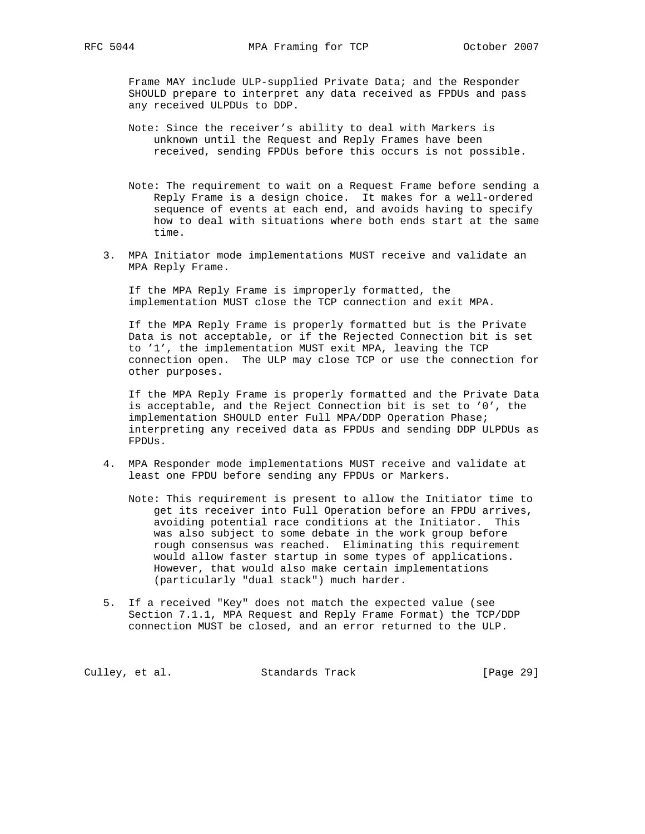Frame MAY include ULP-supplied Private Data; and the Responder SHOULD prepare to interpret any data received as FPDUs and pass any received ULPDUs to DDP.

- Note: Since the receiver's ability to deal with Markers is unknown until the Request and Reply Frames have been received, sending FPDUs before this occurs is not possible.
- Note: The requirement to wait on a Request Frame before sending a Reply Frame is a design choice. It makes for a well-ordered sequence of events at each end, and avoids having to specify how to deal with situations where both ends start at the same time.
- 3. MPA Initiator mode implementations MUST receive and validate an MPA Reply Frame.

 If the MPA Reply Frame is improperly formatted, the implementation MUST close the TCP connection and exit MPA.

 If the MPA Reply Frame is properly formatted but is the Private Data is not acceptable, or if the Rejected Connection bit is set to '1', the implementation MUST exit MPA, leaving the TCP connection open. The ULP may close TCP or use the connection for other purposes.

 If the MPA Reply Frame is properly formatted and the Private Data is acceptable, and the Reject Connection bit is set to '0', the implementation SHOULD enter Full MPA/DDP Operation Phase; interpreting any received data as FPDUs and sending DDP ULPDUs as FPDUs.

- 4. MPA Responder mode implementations MUST receive and validate at least one FPDU before sending any FPDUs or Markers.
	- Note: This requirement is present to allow the Initiator time to get its receiver into Full Operation before an FPDU arrives, avoiding potential race conditions at the Initiator. This was also subject to some debate in the work group before rough consensus was reached. Eliminating this requirement would allow faster startup in some types of applications. However, that would also make certain implementations (particularly "dual stack") much harder.
- 5. If a received "Key" does not match the expected value (see Section 7.1.1, MPA Request and Reply Frame Format) the TCP/DDP connection MUST be closed, and an error returned to the ULP.

Culley, et al. Standards Track [Page 29]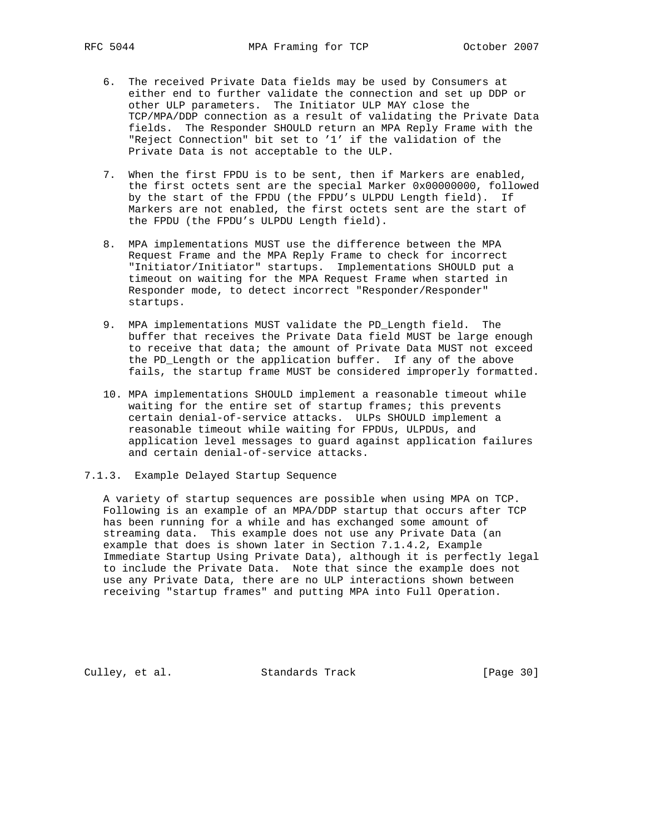- 6. The received Private Data fields may be used by Consumers at either end to further validate the connection and set up DDP or other ULP parameters. The Initiator ULP MAY close the TCP/MPA/DDP connection as a result of validating the Private Data fields. The Responder SHOULD return an MPA Reply Frame with the "Reject Connection" bit set to '1' if the validation of the Private Data is not acceptable to the ULP.
- 7. When the first FPDU is to be sent, then if Markers are enabled, the first octets sent are the special Marker 0x00000000, followed by the start of the FPDU (the FPDU's ULPDU Length field). If Markers are not enabled, the first octets sent are the start of the FPDU (the FPDU's ULPDU Length field).
- 8. MPA implementations MUST use the difference between the MPA Request Frame and the MPA Reply Frame to check for incorrect "Initiator/Initiator" startups. Implementations SHOULD put a timeout on waiting for the MPA Request Frame when started in Responder mode, to detect incorrect "Responder/Responder" startups.
- 9. MPA implementations MUST validate the PD\_Length field. The buffer that receives the Private Data field MUST be large enough to receive that data; the amount of Private Data MUST not exceed the PD\_Length or the application buffer. If any of the above fails, the startup frame MUST be considered improperly formatted.
- 10. MPA implementations SHOULD implement a reasonable timeout while waiting for the entire set of startup frames; this prevents certain denial-of-service attacks. ULPs SHOULD implement a reasonable timeout while waiting for FPDUs, ULPDUs, and application level messages to guard against application failures and certain denial-of-service attacks.
- 7.1.3. Example Delayed Startup Sequence

 A variety of startup sequences are possible when using MPA on TCP. Following is an example of an MPA/DDP startup that occurs after TCP has been running for a while and has exchanged some amount of streaming data. This example does not use any Private Data (an example that does is shown later in Section 7.1.4.2, Example Immediate Startup Using Private Data), although it is perfectly legal to include the Private Data. Note that since the example does not use any Private Data, there are no ULP interactions shown between receiving "startup frames" and putting MPA into Full Operation.

Culley, et al. Standards Track [Page 30]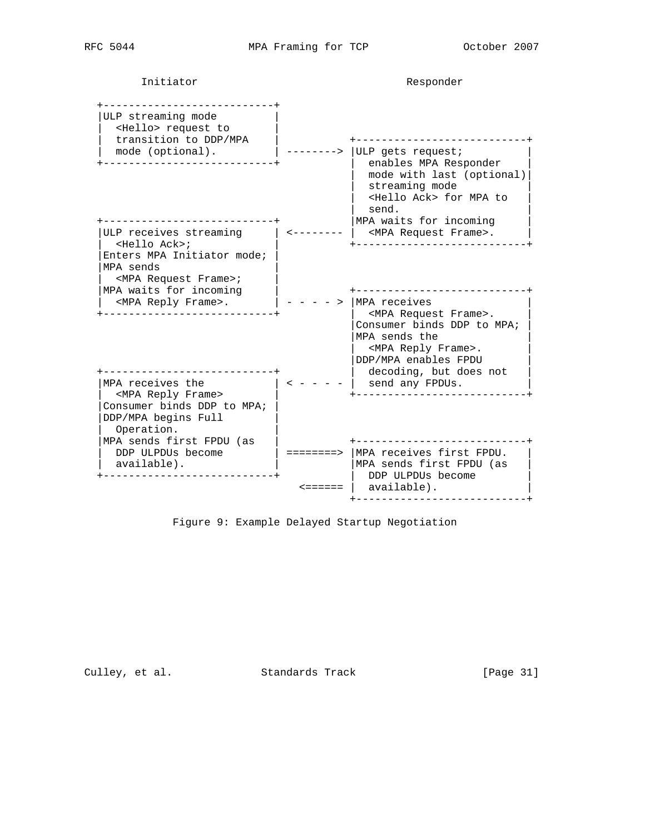Initiator **Responder** 

| ULP streaming mode<br><hello> request to<br/>transition to DDP/MPA</hello>                                              |         |                                                                                                                                                                                          |
|-------------------------------------------------------------------------------------------------------------------------|---------|------------------------------------------------------------------------------------------------------------------------------------------------------------------------------------------|
| mode (optional).                                                                                                        |         | ULP gets request;<br>enables MPA Responder<br>mode with last (optional)<br>streaming mode<br><hello ack=""> for MPA to<br/>send.<br/>MPA waits for incoming</hello>                      |
| ULP receives streaming<br>$Hell$ Ack>;                                                                                  |         | <mpa frame="" request="">.<br/>____________________</mpa>                                                                                                                                |
| Enters MPA Initiator mode;<br>MPA sends<br><mpa frame="" request="">;<br/>MPA waits for incoming</mpa>                  |         | -------------                                                                                                                                                                            |
| <mpa frame="" reply="">.<br/>_____________________<br/>---------------------</mpa>                                      |         | MPA receives<br><mpa frame="" request="">.<br/>Consumer binds DDP to MPA;<br/>MPA sends the<br/><mpa frame="" reply="">.<br/>DDP/MPA enables FPDU<br/>decoding, but does not</mpa></mpa> |
| MPA receives the<br><mpa frame="" reply=""><br/>Consumer binds DDP to MPA;<br/>DDP/MPA begins Full<br/>Operation.</mpa> |         | send any FPDUs.                                                                                                                                                                          |
| MPA sends first FPDU (as<br>DDP ULPDUs become<br>available).                                                            |         | $======>$ MPA receives first FPDU.<br>MPA sends first FPDU (as                                                                                                                           |
|                                                                                                                         | <====== | DDP ULPDUs become<br>available).                                                                                                                                                         |
|                                                                                                                         |         |                                                                                                                                                                                          |

Figure 9: Example Delayed Startup Negotiation

Culley, et al. Standards Track [Page 31]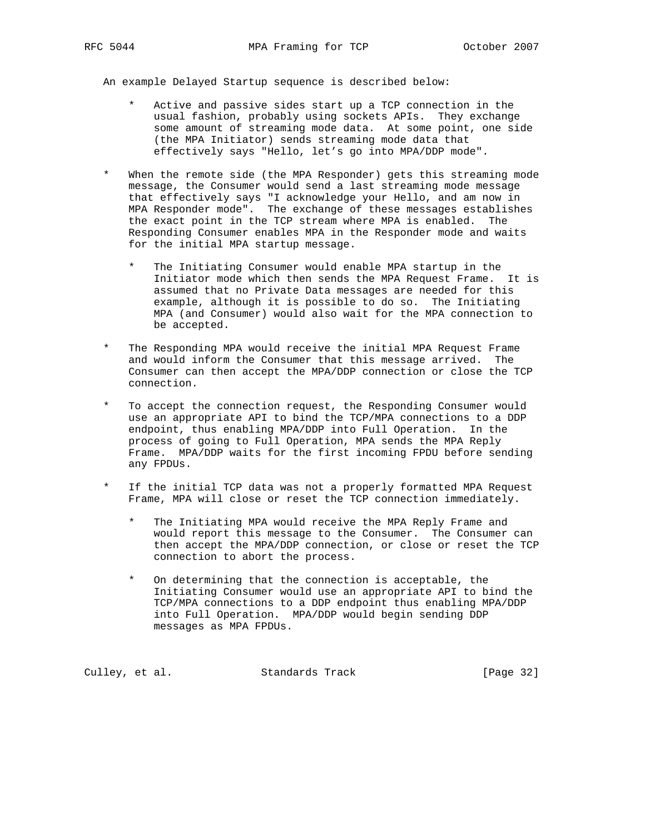An example Delayed Startup sequence is described below:

- Active and passive sides start up a TCP connection in the usual fashion, probably using sockets APIs. They exchange some amount of streaming mode data. At some point, one side (the MPA Initiator) sends streaming mode data that effectively says "Hello, let's go into MPA/DDP mode".
- When the remote side (the MPA Responder) gets this streaming mode message, the Consumer would send a last streaming mode message that effectively says "I acknowledge your Hello, and am now in MPA Responder mode". The exchange of these messages establishes the exact point in the TCP stream where MPA is enabled. The Responding Consumer enables MPA in the Responder mode and waits for the initial MPA startup message.
	- The Initiating Consumer would enable MPA startup in the Initiator mode which then sends the MPA Request Frame. It is assumed that no Private Data messages are needed for this example, although it is possible to do so. The Initiating MPA (and Consumer) would also wait for the MPA connection to be accepted.
- The Responding MPA would receive the initial MPA Request Frame and would inform the Consumer that this message arrived. The Consumer can then accept the MPA/DDP connection or close the TCP connection.
- To accept the connection request, the Responding Consumer would use an appropriate API to bind the TCP/MPA connections to a DDP endpoint, thus enabling MPA/DDP into Full Operation. In the process of going to Full Operation, MPA sends the MPA Reply Frame. MPA/DDP waits for the first incoming FPDU before sending any FPDUs.
- If the initial TCP data was not a properly formatted MPA Request Frame, MPA will close or reset the TCP connection immediately.
	- The Initiating MPA would receive the MPA Reply Frame and would report this message to the Consumer. The Consumer can then accept the MPA/DDP connection, or close or reset the TCP connection to abort the process.
	- On determining that the connection is acceptable, the Initiating Consumer would use an appropriate API to bind the TCP/MPA connections to a DDP endpoint thus enabling MPA/DDP into Full Operation. MPA/DDP would begin sending DDP messages as MPA FPDUs.

Culley, et al. Standards Track [Page 32]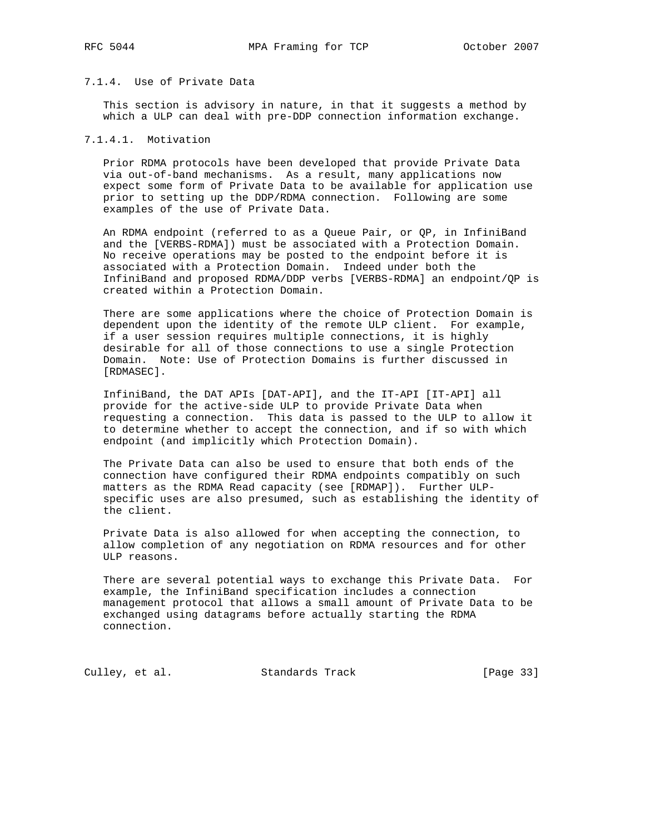### 7.1.4. Use of Private Data

 This section is advisory in nature, in that it suggests a method by which a ULP can deal with pre-DDP connection information exchange.

# 7.1.4.1. Motivation

 Prior RDMA protocols have been developed that provide Private Data via out-of-band mechanisms. As a result, many applications now expect some form of Private Data to be available for application use prior to setting up the DDP/RDMA connection. Following are some examples of the use of Private Data.

 An RDMA endpoint (referred to as a Queue Pair, or QP, in InfiniBand and the [VERBS-RDMA]) must be associated with a Protection Domain. No receive operations may be posted to the endpoint before it is associated with a Protection Domain. Indeed under both the InfiniBand and proposed RDMA/DDP verbs [VERBS-RDMA] an endpoint/QP is created within a Protection Domain.

 There are some applications where the choice of Protection Domain is dependent upon the identity of the remote ULP client. For example, if a user session requires multiple connections, it is highly desirable for all of those connections to use a single Protection Domain. Note: Use of Protection Domains is further discussed in [RDMASEC].

 InfiniBand, the DAT APIs [DAT-API], and the IT-API [IT-API] all provide for the active-side ULP to provide Private Data when requesting a connection. This data is passed to the ULP to allow it to determine whether to accept the connection, and if so with which endpoint (and implicitly which Protection Domain).

 The Private Data can also be used to ensure that both ends of the connection have configured their RDMA endpoints compatibly on such matters as the RDMA Read capacity (see [RDMAP]). Further ULP specific uses are also presumed, such as establishing the identity of the client.

 Private Data is also allowed for when accepting the connection, to allow completion of any negotiation on RDMA resources and for other ULP reasons.

 There are several potential ways to exchange this Private Data. For example, the InfiniBand specification includes a connection management protocol that allows a small amount of Private Data to be exchanged using datagrams before actually starting the RDMA connection.

Culley, et al. Standards Track [Page 33]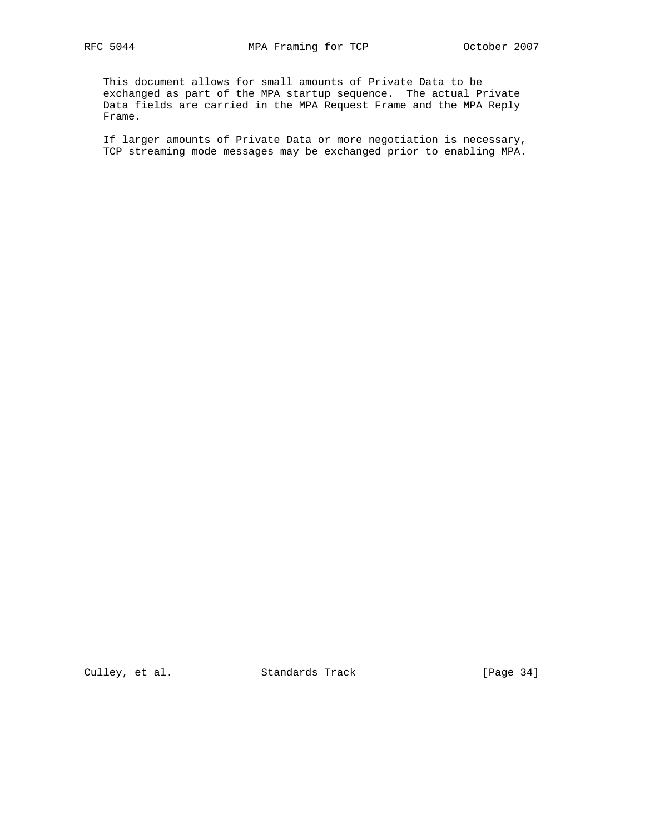This document allows for small amounts of Private Data to be exchanged as part of the MPA startup sequence. The actual Private Data fields are carried in the MPA Request Frame and the MPA Reply Frame.

 If larger amounts of Private Data or more negotiation is necessary, TCP streaming mode messages may be exchanged prior to enabling MPA.

Culley, et al. Standards Track [Page 34]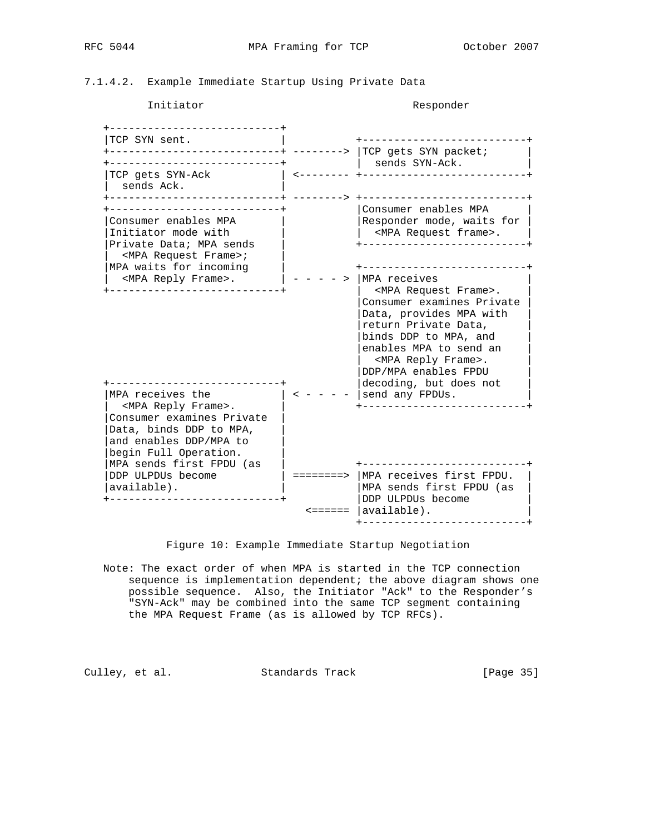7.1.4.2. Example Immediate Startup Using Private Data

#### Initiator Responder

 +---------------------------+ |TCP SYN sent. | +--------------------------+ +--------------------------+ --------> |TCP gets SYN packet; +---------------------------+ | sends SYN-Ack. | |TCP gets SYN-Ack | <-------- +--------------------------+ | sends Ack. | +---------------------------+ --------> +--------------------------+ +---------------------------+ |Consumer enables MPA | |Consumer enables MPA | |Responder mode, waits for |  $|$ Initiator mode with  $|$   $|$  <MPA Request frame>.  $|$  |Private Data; MPA sends | +--------------------------+ | <MPA Request Frame>; | |MPA waits for incoming |  $\qquad$  +---------------------------+ | <MPA Reply Frame>. | - - - - > |MPA receives | +---------------------------+ | <MPA Request Frame>. | |Consumer examines Private | |Data, provides MPA with | |return Private Data, | |binds DDP to MPA, and | |enables MPA to send an | | <MPA Reply Frame>. | |DDP/MPA enables FPDU | +---------------------------+ |decoding, but does not | | MPA receives the  $| 2 - - - - |$  send any FPDUs. | <MPA Reply Frame>. | +--------------------------+ |Consumer examines Private | |Data, binds DDP to MPA, | |and enables DDP/MPA to | begin Full Operation. |MPA sends first FPDU (as | +--------------------------+ |DDP ULPDUs become  $\parallel$  =======> |MPA receives first FPDU. | |MPA sends first FPDU (as )| | |MPA sends first FPDU (as +---------------------------+ |DDP ULPDUs become | <====== |available). +--------------------------+

Figure 10: Example Immediate Startup Negotiation

 Note: The exact order of when MPA is started in the TCP connection sequence is implementation dependent; the above diagram shows one possible sequence. Also, the Initiator "Ack" to the Responder's "SYN-Ack" may be combined into the same TCP segment containing the MPA Request Frame (as is allowed by TCP RFCs).

Culley, et al. Standards Track [Page 35]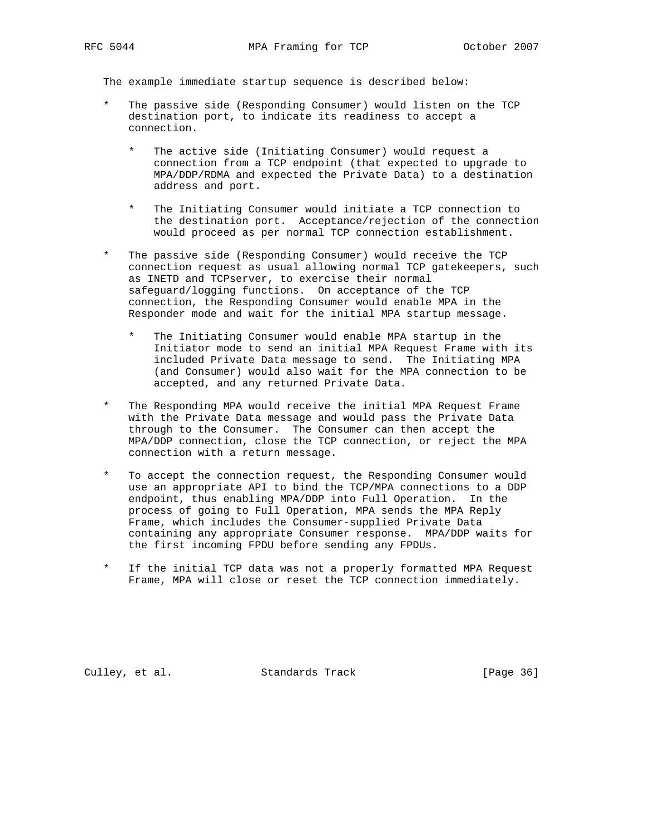The example immediate startup sequence is described below:

- The passive side (Responding Consumer) would listen on the TCP destination port, to indicate its readiness to accept a connection.
	- The active side (Initiating Consumer) would request a connection from a TCP endpoint (that expected to upgrade to MPA/DDP/RDMA and expected the Private Data) to a destination address and port.
	- The Initiating Consumer would initiate a TCP connection to the destination port. Acceptance/rejection of the connection would proceed as per normal TCP connection establishment.
- The passive side (Responding Consumer) would receive the TCP connection request as usual allowing normal TCP gatekeepers, such as INETD and TCPserver, to exercise their normal safeguard/logging functions. On acceptance of the TCP connection, the Responding Consumer would enable MPA in the Responder mode and wait for the initial MPA startup message.
	- The Initiating Consumer would enable MPA startup in the Initiator mode to send an initial MPA Request Frame with its included Private Data message to send. The Initiating MPA (and Consumer) would also wait for the MPA connection to be accepted, and any returned Private Data.
- The Responding MPA would receive the initial MPA Request Frame with the Private Data message and would pass the Private Data through to the Consumer. The Consumer can then accept the MPA/DDP connection, close the TCP connection, or reject the MPA connection with a return message.
- To accept the connection request, the Responding Consumer would use an appropriate API to bind the TCP/MPA connections to a DDP endpoint, thus enabling MPA/DDP into Full Operation. In the process of going to Full Operation, MPA sends the MPA Reply Frame, which includes the Consumer-supplied Private Data containing any appropriate Consumer response. MPA/DDP waits for the first incoming FPDU before sending any FPDUs.
- If the initial TCP data was not a properly formatted MPA Request Frame, MPA will close or reset the TCP connection immediately.

Culley, et al. Standards Track [Page 36]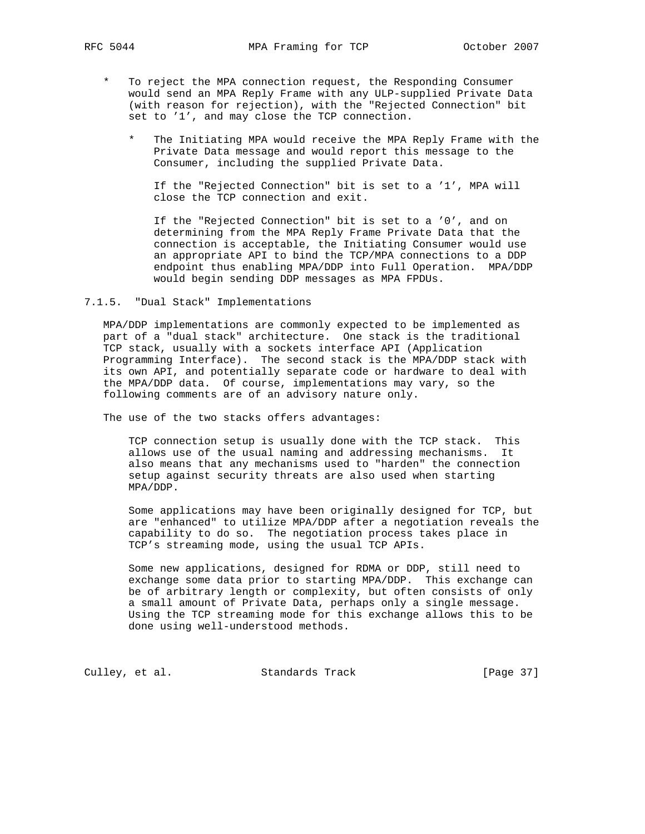- To reject the MPA connection request, the Responding Consumer would send an MPA Reply Frame with any ULP-supplied Private Data (with reason for rejection), with the "Rejected Connection" bit set to '1', and may close the TCP connection.
	- The Initiating MPA would receive the MPA Reply Frame with the Private Data message and would report this message to the Consumer, including the supplied Private Data.

 If the "Rejected Connection" bit is set to a '1', MPA will close the TCP connection and exit.

 If the "Rejected Connection" bit is set to a '0', and on determining from the MPA Reply Frame Private Data that the connection is acceptable, the Initiating Consumer would use an appropriate API to bind the TCP/MPA connections to a DDP endpoint thus enabling MPA/DDP into Full Operation. MPA/DDP would begin sending DDP messages as MPA FPDUs.

7.1.5. "Dual Stack" Implementations

 MPA/DDP implementations are commonly expected to be implemented as part of a "dual stack" architecture. One stack is the traditional TCP stack, usually with a sockets interface API (Application Programming Interface). The second stack is the MPA/DDP stack with its own API, and potentially separate code or hardware to deal with the MPA/DDP data. Of course, implementations may vary, so the following comments are of an advisory nature only.

The use of the two stacks offers advantages:

 TCP connection setup is usually done with the TCP stack. This allows use of the usual naming and addressing mechanisms. It also means that any mechanisms used to "harden" the connection setup against security threats are also used when starting MPA/DDP.

 Some applications may have been originally designed for TCP, but are "enhanced" to utilize MPA/DDP after a negotiation reveals the capability to do so. The negotiation process takes place in TCP's streaming mode, using the usual TCP APIs.

 Some new applications, designed for RDMA or DDP, still need to exchange some data prior to starting MPA/DDP. This exchange can be of arbitrary length or complexity, but often consists of only a small amount of Private Data, perhaps only a single message. Using the TCP streaming mode for this exchange allows this to be done using well-understood methods.

Culley, et al. Standards Track [Page 37]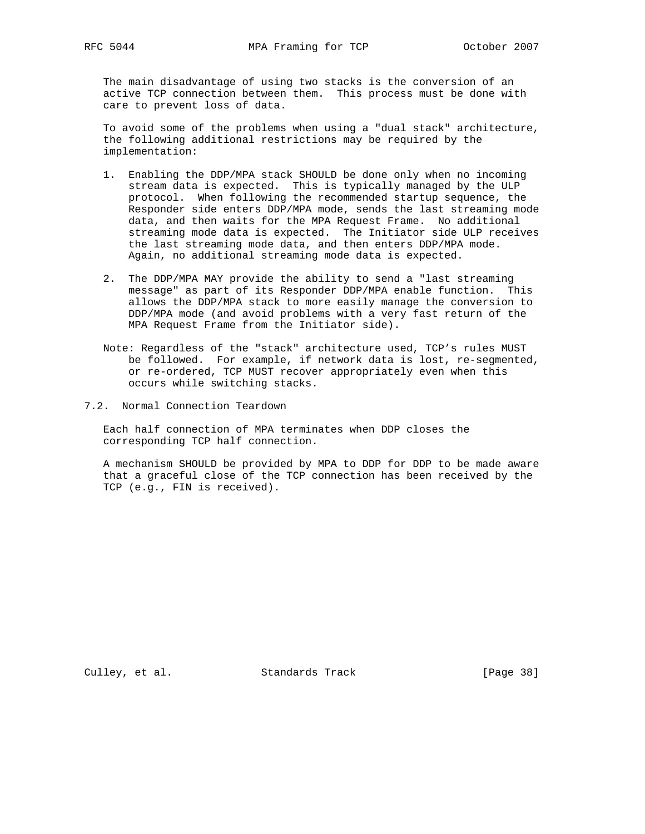The main disadvantage of using two stacks is the conversion of an active TCP connection between them. This process must be done with care to prevent loss of data.

 To avoid some of the problems when using a "dual stack" architecture, the following additional restrictions may be required by the implementation:

- 1. Enabling the DDP/MPA stack SHOULD be done only when no incoming stream data is expected. This is typically managed by the ULP protocol. When following the recommended startup sequence, the Responder side enters DDP/MPA mode, sends the last streaming mode data, and then waits for the MPA Request Frame. No additional streaming mode data is expected. The Initiator side ULP receives the last streaming mode data, and then enters DDP/MPA mode. Again, no additional streaming mode data is expected.
- 2. The DDP/MPA MAY provide the ability to send a "last streaming message" as part of its Responder DDP/MPA enable function. This allows the DDP/MPA stack to more easily manage the conversion to DDP/MPA mode (and avoid problems with a very fast return of the MPA Request Frame from the Initiator side).
- Note: Regardless of the "stack" architecture used, TCP's rules MUST be followed. For example, if network data is lost, re-segmented, or re-ordered, TCP MUST recover appropriately even when this occurs while switching stacks.
- 7.2. Normal Connection Teardown

 Each half connection of MPA terminates when DDP closes the corresponding TCP half connection.

 A mechanism SHOULD be provided by MPA to DDP for DDP to be made aware that a graceful close of the TCP connection has been received by the TCP (e.g., FIN is received).

Culley, et al. Standards Track [Page 38]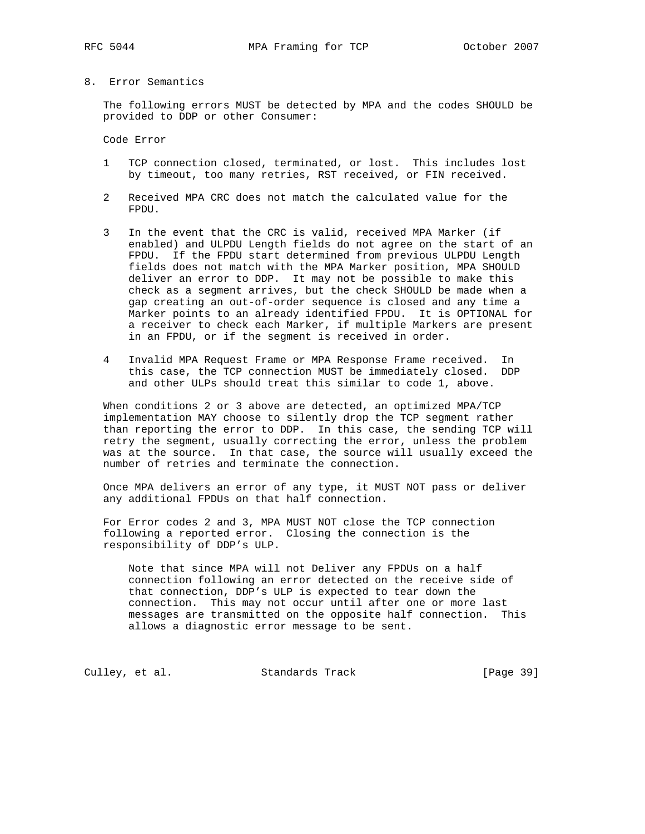## 8. Error Semantics

 The following errors MUST be detected by MPA and the codes SHOULD be provided to DDP or other Consumer:

Code Error

- 1 TCP connection closed, terminated, or lost. This includes lost by timeout, too many retries, RST received, or FIN received.
- 2 Received MPA CRC does not match the calculated value for the FPDU.
- 3 In the event that the CRC is valid, received MPA Marker (if enabled) and ULPDU Length fields do not agree on the start of an FPDU. If the FPDU start determined from previous ULPDU Length fields does not match with the MPA Marker position, MPA SHOULD deliver an error to DDP. It may not be possible to make this check as a segment arrives, but the check SHOULD be made when a gap creating an out-of-order sequence is closed and any time a Marker points to an already identified FPDU. It is OPTIONAL for a receiver to check each Marker, if multiple Markers are present in an FPDU, or if the segment is received in order.
- 4 Invalid MPA Request Frame or MPA Response Frame received. In this case, the TCP connection MUST be immediately closed. DDP and other ULPs should treat this similar to code 1, above.

 When conditions 2 or 3 above are detected, an optimized MPA/TCP implementation MAY choose to silently drop the TCP segment rather than reporting the error to DDP. In this case, the sending TCP will retry the segment, usually correcting the error, unless the problem was at the source. In that case, the source will usually exceed the number of retries and terminate the connection.

 Once MPA delivers an error of any type, it MUST NOT pass or deliver any additional FPDUs on that half connection.

 For Error codes 2 and 3, MPA MUST NOT close the TCP connection following a reported error. Closing the connection is the responsibility of DDP's ULP.

 Note that since MPA will not Deliver any FPDUs on a half connection following an error detected on the receive side of that connection, DDP's ULP is expected to tear down the connection. This may not occur until after one or more last messages are transmitted on the opposite half connection. This allows a diagnostic error message to be sent.

Culley, et al. Standards Track [Page 39]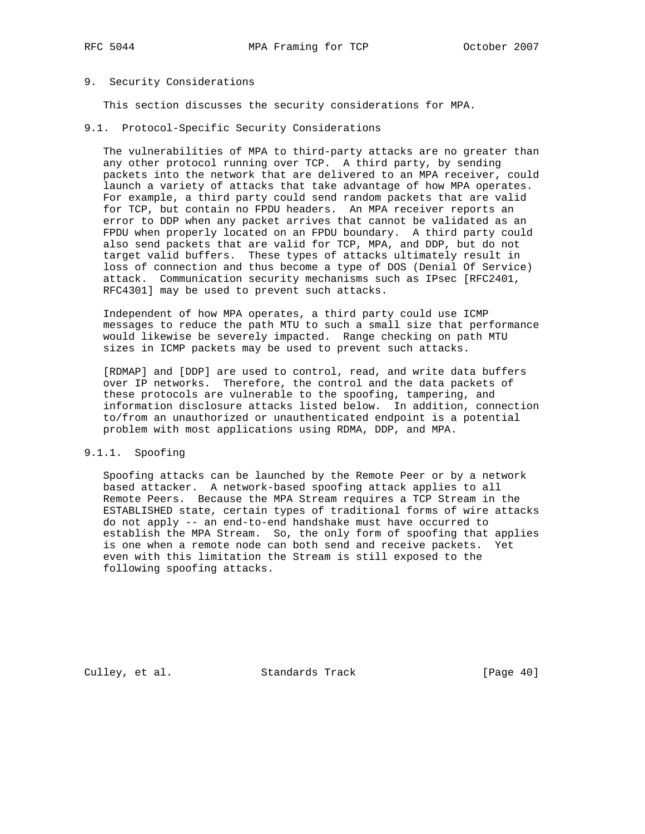#### 9. Security Considerations

This section discusses the security considerations for MPA.

9.1. Protocol-Specific Security Considerations

 The vulnerabilities of MPA to third-party attacks are no greater than any other protocol running over TCP. A third party, by sending packets into the network that are delivered to an MPA receiver, could launch a variety of attacks that take advantage of how MPA operates. For example, a third party could send random packets that are valid for TCP, but contain no FPDU headers. An MPA receiver reports an error to DDP when any packet arrives that cannot be validated as an FPDU when properly located on an FPDU boundary. A third party could also send packets that are valid for TCP, MPA, and DDP, but do not target valid buffers. These types of attacks ultimately result in loss of connection and thus become a type of DOS (Denial Of Service) attack. Communication security mechanisms such as IPsec [RFC2401, RFC4301] may be used to prevent such attacks.

 Independent of how MPA operates, a third party could use ICMP messages to reduce the path MTU to such a small size that performance would likewise be severely impacted. Range checking on path MTU sizes in ICMP packets may be used to prevent such attacks.

 [RDMAP] and [DDP] are used to control, read, and write data buffers over IP networks. Therefore, the control and the data packets of these protocols are vulnerable to the spoofing, tampering, and information disclosure attacks listed below. In addition, connection to/from an unauthorized or unauthenticated endpoint is a potential problem with most applications using RDMA, DDP, and MPA.

#### 9.1.1. Spoofing

 Spoofing attacks can be launched by the Remote Peer or by a network based attacker. A network-based spoofing attack applies to all Remote Peers. Because the MPA Stream requires a TCP Stream in the ESTABLISHED state, certain types of traditional forms of wire attacks do not apply -- an end-to-end handshake must have occurred to establish the MPA Stream. So, the only form of spoofing that applies is one when a remote node can both send and receive packets. Yet even with this limitation the Stream is still exposed to the following spoofing attacks.

Culley, et al. Standards Track [Page 40]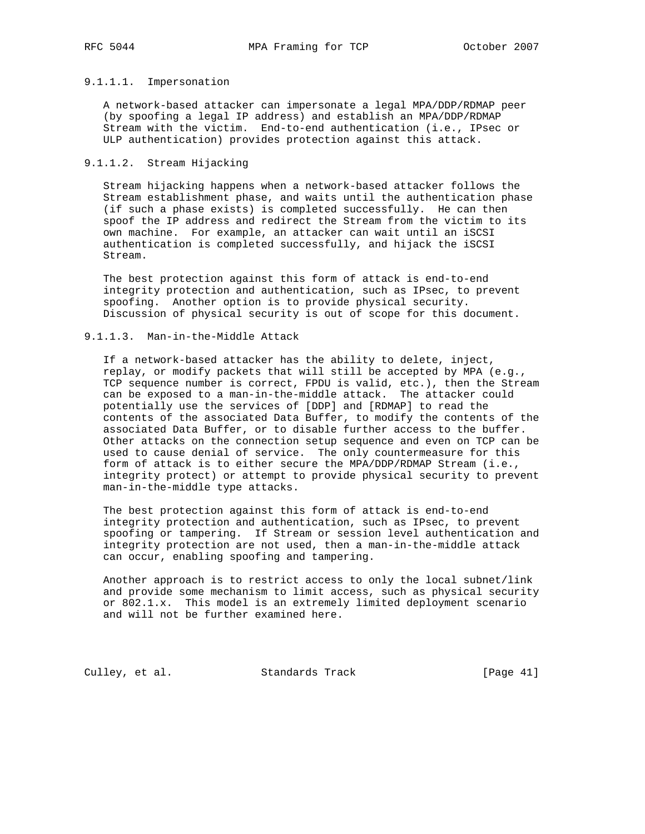## 9.1.1.1. Impersonation

 A network-based attacker can impersonate a legal MPA/DDP/RDMAP peer (by spoofing a legal IP address) and establish an MPA/DDP/RDMAP Stream with the victim. End-to-end authentication (i.e., IPsec or ULP authentication) provides protection against this attack.

## 9.1.1.2. Stream Hijacking

 Stream hijacking happens when a network-based attacker follows the Stream establishment phase, and waits until the authentication phase (if such a phase exists) is completed successfully. He can then spoof the IP address and redirect the Stream from the victim to its own machine. For example, an attacker can wait until an iSCSI authentication is completed successfully, and hijack the iSCSI Stream.

 The best protection against this form of attack is end-to-end integrity protection and authentication, such as IPsec, to prevent spoofing. Another option is to provide physical security. Discussion of physical security is out of scope for this document.

## 9.1.1.3. Man-in-the-Middle Attack

 If a network-based attacker has the ability to delete, inject, replay, or modify packets that will still be accepted by MPA (e.g., TCP sequence number is correct, FPDU is valid, etc.), then the Stream can be exposed to a man-in-the-middle attack. The attacker could potentially use the services of [DDP] and [RDMAP] to read the contents of the associated Data Buffer, to modify the contents of the associated Data Buffer, or to disable further access to the buffer. Other attacks on the connection setup sequence and even on TCP can be used to cause denial of service. The only countermeasure for this form of attack is to either secure the MPA/DDP/RDMAP Stream (i.e., integrity protect) or attempt to provide physical security to prevent man-in-the-middle type attacks.

 The best protection against this form of attack is end-to-end integrity protection and authentication, such as IPsec, to prevent spoofing or tampering. If Stream or session level authentication and integrity protection are not used, then a man-in-the-middle attack can occur, enabling spoofing and tampering.

 Another approach is to restrict access to only the local subnet/link and provide some mechanism to limit access, such as physical security or 802.1.x. This model is an extremely limited deployment scenario and will not be further examined here.

Culley, et al. Standards Track [Page 41]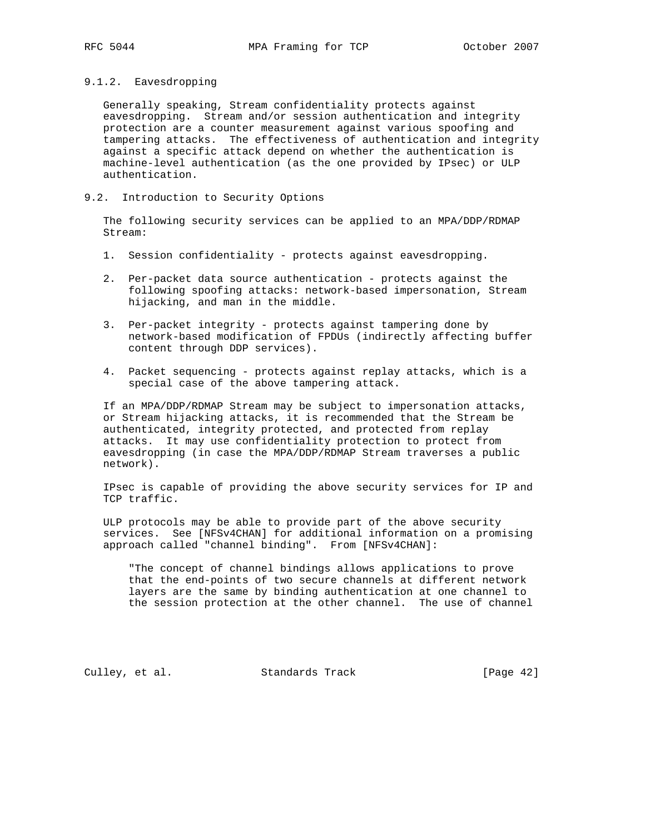## 9.1.2. Eavesdropping

 Generally speaking, Stream confidentiality protects against eavesdropping. Stream and/or session authentication and integrity protection are a counter measurement against various spoofing and tampering attacks. The effectiveness of authentication and integrity against a specific attack depend on whether the authentication is machine-level authentication (as the one provided by IPsec) or ULP authentication.

## 9.2. Introduction to Security Options

 The following security services can be applied to an MPA/DDP/RDMAP Stream:

- 1. Session confidentiality protects against eavesdropping.
- 2. Per-packet data source authentication protects against the following spoofing attacks: network-based impersonation, Stream hijacking, and man in the middle.
- 3. Per-packet integrity protects against tampering done by network-based modification of FPDUs (indirectly affecting buffer content through DDP services).
- 4. Packet sequencing protects against replay attacks, which is a special case of the above tampering attack.

 If an MPA/DDP/RDMAP Stream may be subject to impersonation attacks, or Stream hijacking attacks, it is recommended that the Stream be authenticated, integrity protected, and protected from replay attacks. It may use confidentiality protection to protect from eavesdropping (in case the MPA/DDP/RDMAP Stream traverses a public network).

 IPsec is capable of providing the above security services for IP and TCP traffic.

 ULP protocols may be able to provide part of the above security services. See [NFSv4CHAN] for additional information on a promising approach called "channel binding". From [NFSv4CHAN]:

 "The concept of channel bindings allows applications to prove that the end-points of two secure channels at different network layers are the same by binding authentication at one channel to the session protection at the other channel. The use of channel

Culley, et al. Standards Track [Page 42]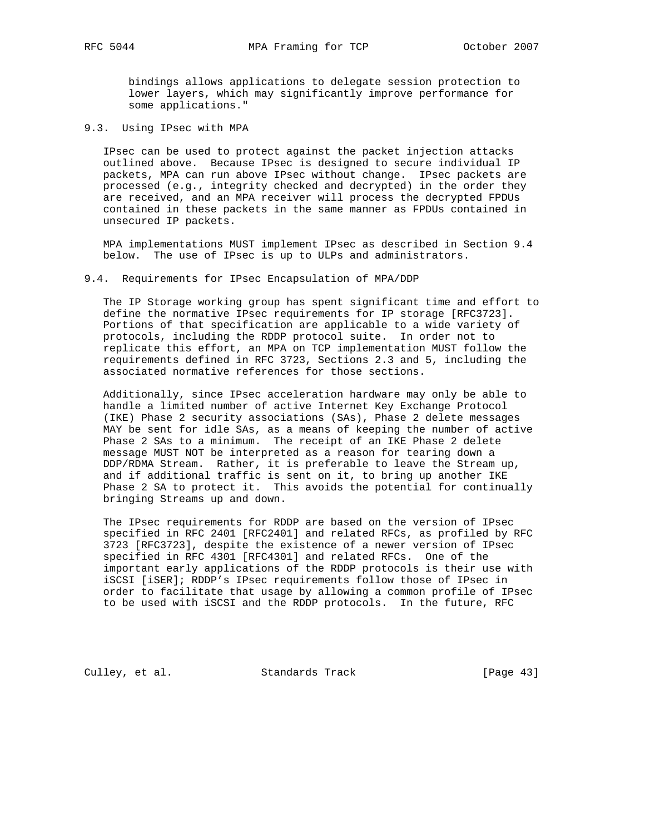bindings allows applications to delegate session protection to lower layers, which may significantly improve performance for some applications."

9.3. Using IPsec with MPA

 IPsec can be used to protect against the packet injection attacks outlined above. Because IPsec is designed to secure individual IP packets, MPA can run above IPsec without change. IPsec packets are processed (e.g., integrity checked and decrypted) in the order they are received, and an MPA receiver will process the decrypted FPDUs contained in these packets in the same manner as FPDUs contained in unsecured IP packets.

 MPA implementations MUST implement IPsec as described in Section 9.4 below. The use of IPsec is up to ULPs and administrators.

9.4. Requirements for IPsec Encapsulation of MPA/DDP

 The IP Storage working group has spent significant time and effort to define the normative IPsec requirements for IP storage [RFC3723]. Portions of that specification are applicable to a wide variety of protocols, including the RDDP protocol suite. In order not to replicate this effort, an MPA on TCP implementation MUST follow the requirements defined in RFC 3723, Sections 2.3 and 5, including the associated normative references for those sections.

 Additionally, since IPsec acceleration hardware may only be able to handle a limited number of active Internet Key Exchange Protocol (IKE) Phase 2 security associations (SAs), Phase 2 delete messages MAY be sent for idle SAs, as a means of keeping the number of active Phase 2 SAs to a minimum. The receipt of an IKE Phase 2 delete message MUST NOT be interpreted as a reason for tearing down a DDP/RDMA Stream. Rather, it is preferable to leave the Stream up, and if additional traffic is sent on it, to bring up another IKE Phase 2 SA to protect it. This avoids the potential for continually bringing Streams up and down.

 The IPsec requirements for RDDP are based on the version of IPsec specified in RFC 2401 [RFC2401] and related RFCs, as profiled by RFC 3723 [RFC3723], despite the existence of a newer version of IPsec specified in RFC 4301 [RFC4301] and related RFCs. One of the important early applications of the RDDP protocols is their use with iSCSI [iSER]; RDDP's IPsec requirements follow those of IPsec in order to facilitate that usage by allowing a common profile of IPsec to be used with iSCSI and the RDDP protocols. In the future, RFC

Culley, et al. Standards Track [Page 43]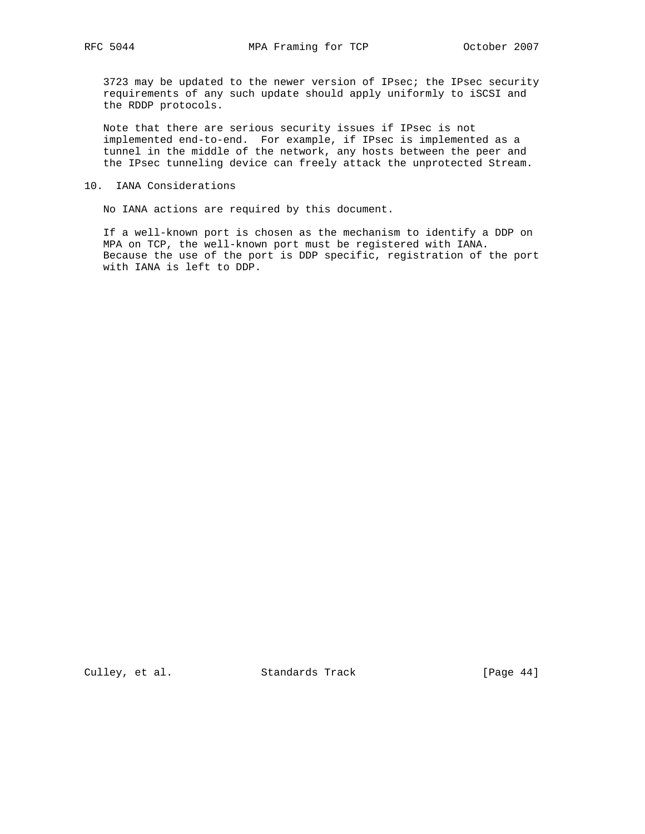3723 may be updated to the newer version of IPsec; the IPsec security requirements of any such update should apply uniformly to iSCSI and the RDDP protocols.

 Note that there are serious security issues if IPsec is not implemented end-to-end. For example, if IPsec is implemented as a tunnel in the middle of the network, any hosts between the peer and the IPsec tunneling device can freely attack the unprotected Stream.

#### 10. IANA Considerations

No IANA actions are required by this document.

 If a well-known port is chosen as the mechanism to identify a DDP on MPA on TCP, the well-known port must be registered with IANA. Because the use of the port is DDP specific, registration of the port with IANA is left to DDP.

Culley, et al. Standards Track [Page 44]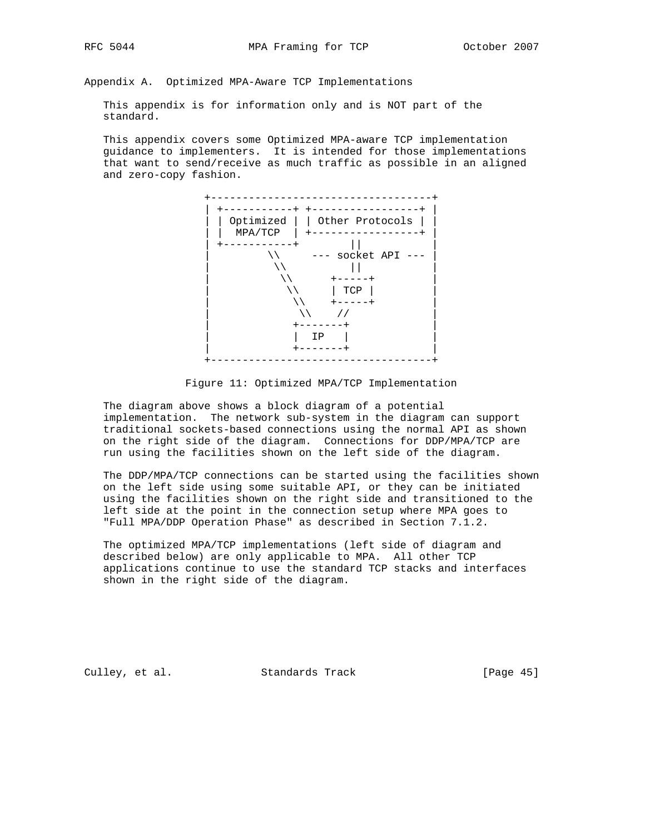Appendix A. Optimized MPA-Aware TCP Implementations

 This appendix is for information only and is NOT part of the standard.

 This appendix covers some Optimized MPA-aware TCP implementation guidance to implementers. It is intended for those implementations that want to send/receive as much traffic as possible in an aligned and zero-copy fashion.



Figure 11: Optimized MPA/TCP Implementation

 The diagram above shows a block diagram of a potential implementation. The network sub-system in the diagram can support traditional sockets-based connections using the normal API as shown on the right side of the diagram. Connections for DDP/MPA/TCP are run using the facilities shown on the left side of the diagram.

 The DDP/MPA/TCP connections can be started using the facilities shown on the left side using some suitable API, or they can be initiated using the facilities shown on the right side and transitioned to the left side at the point in the connection setup where MPA goes to "Full MPA/DDP Operation Phase" as described in Section 7.1.2.

 The optimized MPA/TCP implementations (left side of diagram and described below) are only applicable to MPA. All other TCP applications continue to use the standard TCP stacks and interfaces shown in the right side of the diagram.

Culley, et al. Standards Track [Page 45]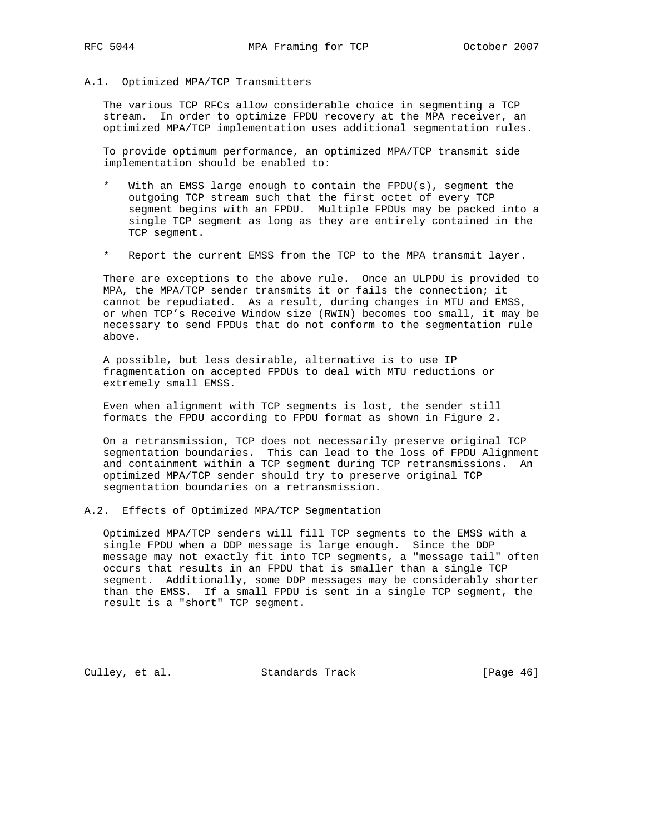## A.1. Optimized MPA/TCP Transmitters

 The various TCP RFCs allow considerable choice in segmenting a TCP stream. In order to optimize FPDU recovery at the MPA receiver, an optimized MPA/TCP implementation uses additional segmentation rules.

 To provide optimum performance, an optimized MPA/TCP transmit side implementation should be enabled to:

- \* With an EMSS large enough to contain the FPDU(s), segment the outgoing TCP stream such that the first octet of every TCP segment begins with an FPDU. Multiple FPDUs may be packed into a single TCP segment as long as they are entirely contained in the TCP segment.
- Report the current EMSS from the TCP to the MPA transmit layer.

 There are exceptions to the above rule. Once an ULPDU is provided to MPA, the MPA/TCP sender transmits it or fails the connection; it cannot be repudiated. As a result, during changes in MTU and EMSS, or when TCP's Receive Window size (RWIN) becomes too small, it may be necessary to send FPDUs that do not conform to the segmentation rule above.

 A possible, but less desirable, alternative is to use IP fragmentation on accepted FPDUs to deal with MTU reductions or extremely small EMSS.

 Even when alignment with TCP segments is lost, the sender still formats the FPDU according to FPDU format as shown in Figure 2.

 On a retransmission, TCP does not necessarily preserve original TCP segmentation boundaries. This can lead to the loss of FPDU Alignment and containment within a TCP segment during TCP retransmissions. An optimized MPA/TCP sender should try to preserve original TCP segmentation boundaries on a retransmission.

## A.2. Effects of Optimized MPA/TCP Segmentation

 Optimized MPA/TCP senders will fill TCP segments to the EMSS with a single FPDU when a DDP message is large enough. Since the DDP message may not exactly fit into TCP segments, a "message tail" often occurs that results in an FPDU that is smaller than a single TCP segment. Additionally, some DDP messages may be considerably shorter than the EMSS. If a small FPDU is sent in a single TCP segment, the result is a "short" TCP segment.

Culley, et al. Standards Track [Page 46]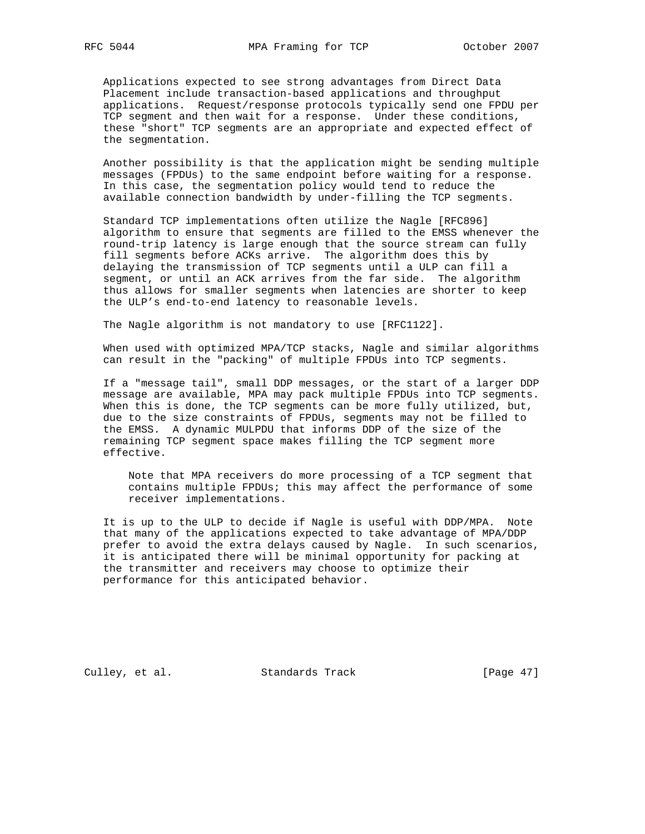Applications expected to see strong advantages from Direct Data Placement include transaction-based applications and throughput applications. Request/response protocols typically send one FPDU per TCP segment and then wait for a response. Under these conditions, these "short" TCP segments are an appropriate and expected effect of the segmentation.

 Another possibility is that the application might be sending multiple messages (FPDUs) to the same endpoint before waiting for a response. In this case, the segmentation policy would tend to reduce the available connection bandwidth by under-filling the TCP segments.

 Standard TCP implementations often utilize the Nagle [RFC896] algorithm to ensure that segments are filled to the EMSS whenever the round-trip latency is large enough that the source stream can fully fill segments before ACKs arrive. The algorithm does this by delaying the transmission of TCP segments until a ULP can fill a segment, or until an ACK arrives from the far side. The algorithm thus allows for smaller segments when latencies are shorter to keep the ULP's end-to-end latency to reasonable levels.

The Nagle algorithm is not mandatory to use [RFC1122].

 When used with optimized MPA/TCP stacks, Nagle and similar algorithms can result in the "packing" of multiple FPDUs into TCP segments.

 If a "message tail", small DDP messages, or the start of a larger DDP message are available, MPA may pack multiple FPDUs into TCP segments. When this is done, the TCP segments can be more fully utilized, but, due to the size constraints of FPDUs, segments may not be filled to the EMSS. A dynamic MULPDU that informs DDP of the size of the remaining TCP segment space makes filling the TCP segment more effective.

 Note that MPA receivers do more processing of a TCP segment that contains multiple FPDUs; this may affect the performance of some receiver implementations.

 It is up to the ULP to decide if Nagle is useful with DDP/MPA. Note that many of the applications expected to take advantage of MPA/DDP prefer to avoid the extra delays caused by Nagle. In such scenarios, it is anticipated there will be minimal opportunity for packing at the transmitter and receivers may choose to optimize their performance for this anticipated behavior.

Culley, et al. Standards Track [Page 47]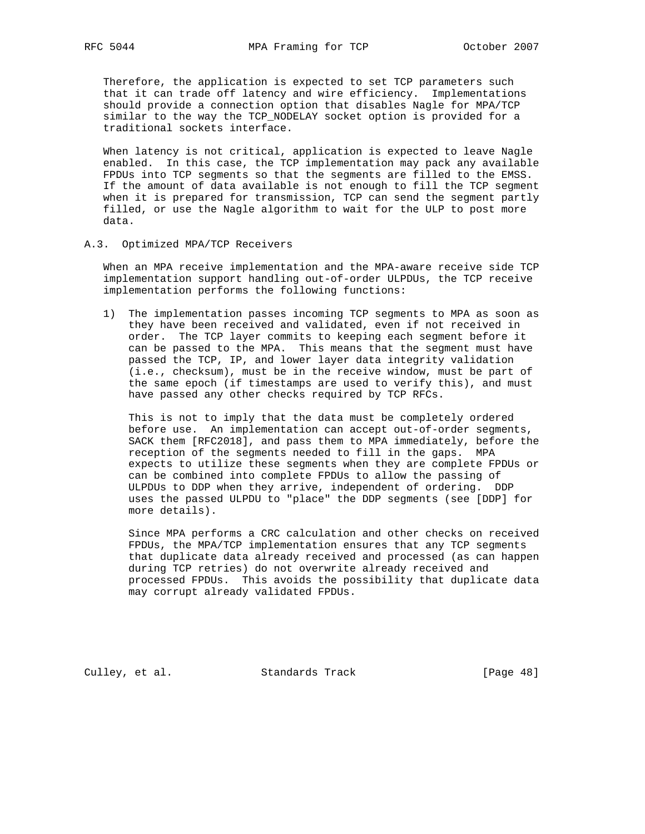Therefore, the application is expected to set TCP parameters such that it can trade off latency and wire efficiency. Implementations should provide a connection option that disables Nagle for MPA/TCP similar to the way the TCP\_NODELAY socket option is provided for a traditional sockets interface.

 When latency is not critical, application is expected to leave Nagle enabled. In this case, the TCP implementation may pack any available FPDUs into TCP segments so that the segments are filled to the EMSS. If the amount of data available is not enough to fill the TCP segment when it is prepared for transmission, TCP can send the segment partly filled, or use the Nagle algorithm to wait for the ULP to post more data.

#### A.3. Optimized MPA/TCP Receivers

 When an MPA receive implementation and the MPA-aware receive side TCP implementation support handling out-of-order ULPDUs, the TCP receive implementation performs the following functions:

 1) The implementation passes incoming TCP segments to MPA as soon as they have been received and validated, even if not received in order. The TCP layer commits to keeping each segment before it can be passed to the MPA. This means that the segment must have passed the TCP, IP, and lower layer data integrity validation (i.e., checksum), must be in the receive window, must be part of the same epoch (if timestamps are used to verify this), and must have passed any other checks required by TCP RFCs.

 This is not to imply that the data must be completely ordered before use. An implementation can accept out-of-order segments, SACK them [RFC2018], and pass them to MPA immediately, before the reception of the segments needed to fill in the gaps. MPA expects to utilize these segments when they are complete FPDUs or can be combined into complete FPDUs to allow the passing of ULPDUs to DDP when they arrive, independent of ordering. DDP uses the passed ULPDU to "place" the DDP segments (see [DDP] for more details).

 Since MPA performs a CRC calculation and other checks on received FPDUs, the MPA/TCP implementation ensures that any TCP segments that duplicate data already received and processed (as can happen during TCP retries) do not overwrite already received and processed FPDUs. This avoids the possibility that duplicate data may corrupt already validated FPDUs.

Culley, et al. Standards Track [Page 48]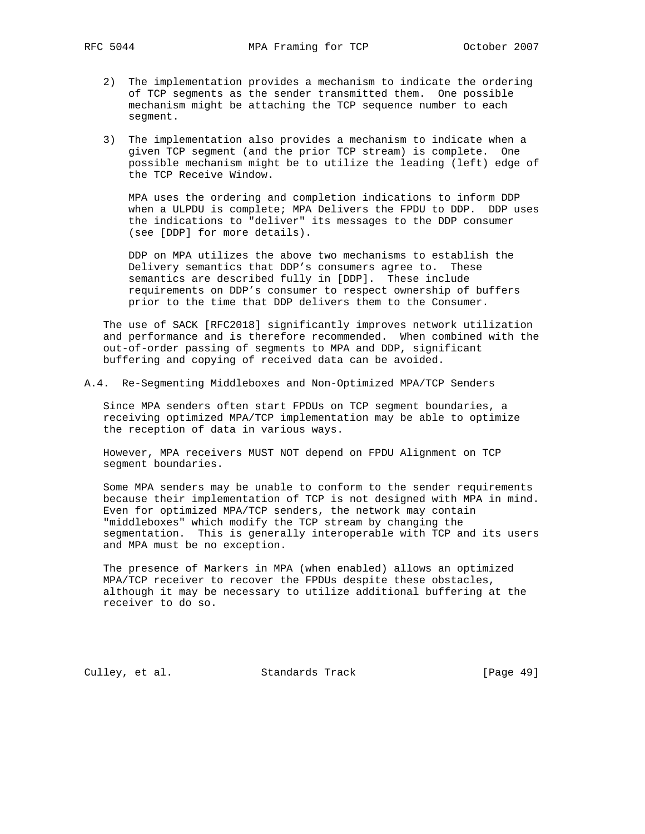- 2) The implementation provides a mechanism to indicate the ordering of TCP segments as the sender transmitted them. One possible mechanism might be attaching the TCP sequence number to each segment.
- 3) The implementation also provides a mechanism to indicate when a given TCP segment (and the prior TCP stream) is complete. One possible mechanism might be to utilize the leading (left) edge of the TCP Receive Window.

 MPA uses the ordering and completion indications to inform DDP when a ULPDU is complete; MPA Delivers the FPDU to DDP. DDP uses the indications to "deliver" its messages to the DDP consumer (see [DDP] for more details).

 DDP on MPA utilizes the above two mechanisms to establish the Delivery semantics that DDP's consumers agree to. These semantics are described fully in [DDP]. These include requirements on DDP's consumer to respect ownership of buffers prior to the time that DDP delivers them to the Consumer.

 The use of SACK [RFC2018] significantly improves network utilization and performance and is therefore recommended. When combined with the out-of-order passing of segments to MPA and DDP, significant buffering and copying of received data can be avoided.

## A.4. Re-Segmenting Middleboxes and Non-Optimized MPA/TCP Senders

 Since MPA senders often start FPDUs on TCP segment boundaries, a receiving optimized MPA/TCP implementation may be able to optimize the reception of data in various ways.

 However, MPA receivers MUST NOT depend on FPDU Alignment on TCP segment boundaries.

 Some MPA senders may be unable to conform to the sender requirements because their implementation of TCP is not designed with MPA in mind. Even for optimized MPA/TCP senders, the network may contain "middleboxes" which modify the TCP stream by changing the segmentation. This is generally interoperable with TCP and its users and MPA must be no exception.

 The presence of Markers in MPA (when enabled) allows an optimized MPA/TCP receiver to recover the FPDUs despite these obstacles, although it may be necessary to utilize additional buffering at the receiver to do so.

Culley, et al. Standards Track [Page 49]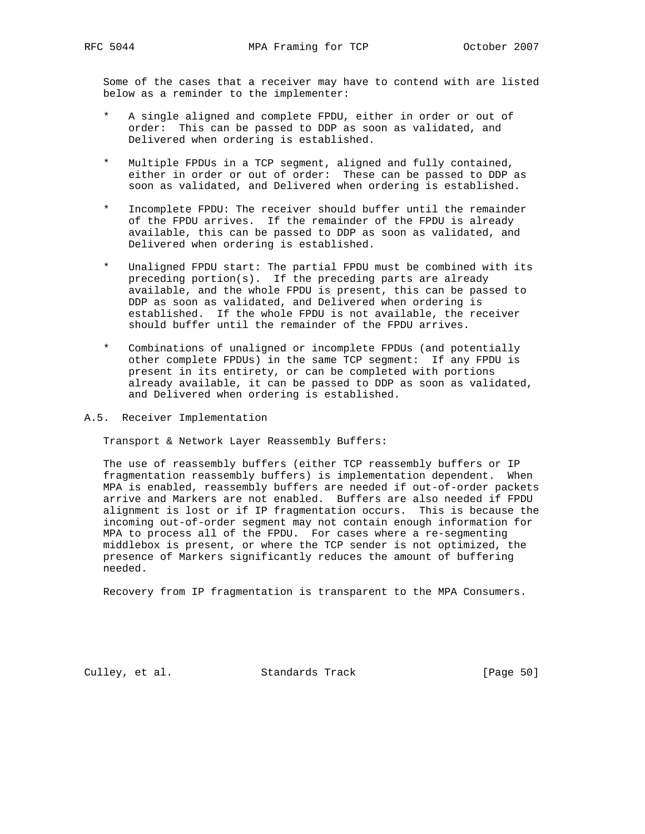Some of the cases that a receiver may have to contend with are listed below as a reminder to the implementer:

- A single aligned and complete FPDU, either in order or out of order: This can be passed to DDP as soon as validated, and Delivered when ordering is established.
- \* Multiple FPDUs in a TCP segment, aligned and fully contained, either in order or out of order: These can be passed to DDP as soon as validated, and Delivered when ordering is established.
- Incomplete FPDU: The receiver should buffer until the remainder of the FPDU arrives. If the remainder of the FPDU is already available, this can be passed to DDP as soon as validated, and Delivered when ordering is established.
- Unaligned FPDU start: The partial FPDU must be combined with its preceding portion(s). If the preceding parts are already available, and the whole FPDU is present, this can be passed to DDP as soon as validated, and Delivered when ordering is established. If the whole FPDU is not available, the receiver should buffer until the remainder of the FPDU arrives.
- Combinations of unaligned or incomplete FPDUs (and potentially other complete FPDUs) in the same TCP segment: If any FPDU is present in its entirety, or can be completed with portions already available, it can be passed to DDP as soon as validated, and Delivered when ordering is established.
- A.5. Receiver Implementation

Transport & Network Layer Reassembly Buffers:

 The use of reassembly buffers (either TCP reassembly buffers or IP fragmentation reassembly buffers) is implementation dependent. When MPA is enabled, reassembly buffers are needed if out-of-order packets arrive and Markers are not enabled. Buffers are also needed if FPDU alignment is lost or if IP fragmentation occurs. This is because the incoming out-of-order segment may not contain enough information for MPA to process all of the FPDU. For cases where a re-segmenting middlebox is present, or where the TCP sender is not optimized, the presence of Markers significantly reduces the amount of buffering needed.

Recovery from IP fragmentation is transparent to the MPA Consumers.

Culley, et al. Standards Track [Page 50]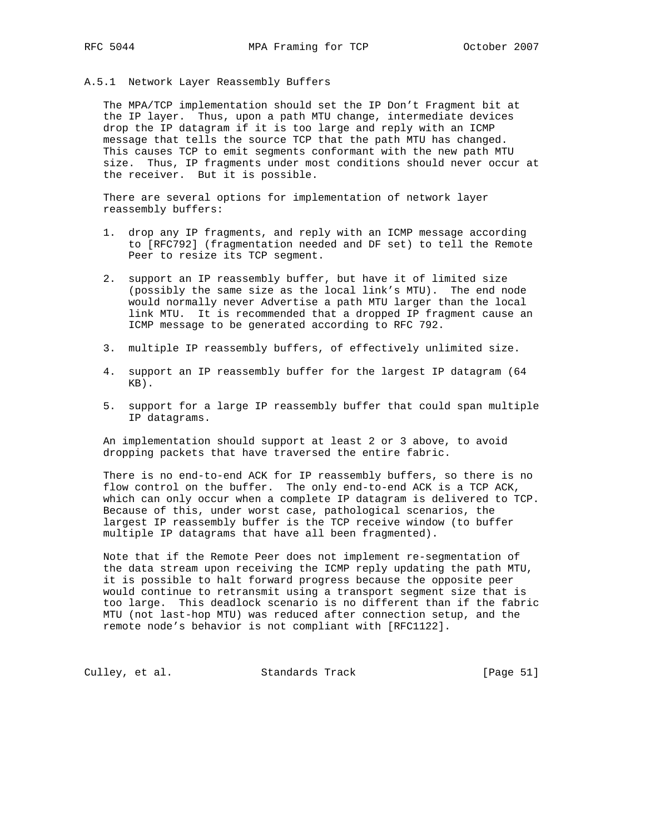#### A.5.1 Network Layer Reassembly Buffers

 The MPA/TCP implementation should set the IP Don't Fragment bit at the IP layer. Thus, upon a path MTU change, intermediate devices drop the IP datagram if it is too large and reply with an ICMP message that tells the source TCP that the path MTU has changed. This causes TCP to emit segments conformant with the new path MTU size. Thus, IP fragments under most conditions should never occur at the receiver. But it is possible.

 There are several options for implementation of network layer reassembly buffers:

- 1. drop any IP fragments, and reply with an ICMP message according to [RFC792] (fragmentation needed and DF set) to tell the Remote Peer to resize its TCP segment.
- 2. support an IP reassembly buffer, but have it of limited size (possibly the same size as the local link's MTU). The end node would normally never Advertise a path MTU larger than the local link MTU. It is recommended that a dropped IP fragment cause an ICMP message to be generated according to RFC 792.
- 3. multiple IP reassembly buffers, of effectively unlimited size.
- 4. support an IP reassembly buffer for the largest IP datagram (64 KB).
- 5. support for a large IP reassembly buffer that could span multiple IP datagrams.

 An implementation should support at least 2 or 3 above, to avoid dropping packets that have traversed the entire fabric.

 There is no end-to-end ACK for IP reassembly buffers, so there is no flow control on the buffer. The only end-to-end ACK is a TCP ACK, which can only occur when a complete IP datagram is delivered to TCP. Because of this, under worst case, pathological scenarios, the largest IP reassembly buffer is the TCP receive window (to buffer multiple IP datagrams that have all been fragmented).

 Note that if the Remote Peer does not implement re-segmentation of the data stream upon receiving the ICMP reply updating the path MTU, it is possible to halt forward progress because the opposite peer would continue to retransmit using a transport segment size that is too large. This deadlock scenario is no different than if the fabric MTU (not last-hop MTU) was reduced after connection setup, and the remote node's behavior is not compliant with [RFC1122].

Culley, et al. Standards Track [Page 51]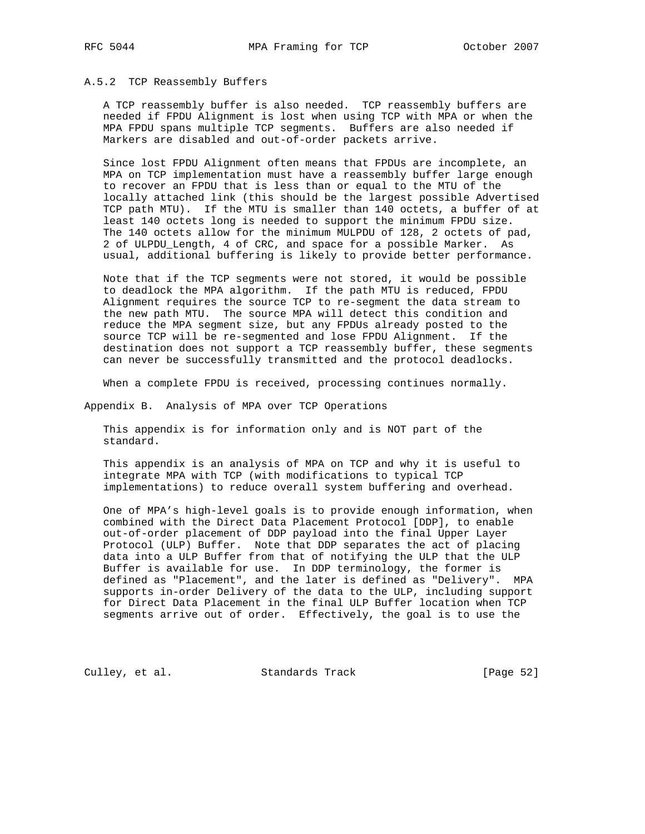#### A.5.2 TCP Reassembly Buffers

 A TCP reassembly buffer is also needed. TCP reassembly buffers are needed if FPDU Alignment is lost when using TCP with MPA or when the MPA FPDU spans multiple TCP segments. Buffers are also needed if Markers are disabled and out-of-order packets arrive.

 Since lost FPDU Alignment often means that FPDUs are incomplete, an MPA on TCP implementation must have a reassembly buffer large enough to recover an FPDU that is less than or equal to the MTU of the locally attached link (this should be the largest possible Advertised TCP path MTU). If the MTU is smaller than 140 octets, a buffer of at least 140 octets long is needed to support the minimum FPDU size. The 140 octets allow for the minimum MULPDU of 128, 2 octets of pad, 2 of ULPDU\_Length, 4 of CRC, and space for a possible Marker. As usual, additional buffering is likely to provide better performance.

 Note that if the TCP segments were not stored, it would be possible to deadlock the MPA algorithm. If the path MTU is reduced, FPDU Alignment requires the source TCP to re-segment the data stream to the new path MTU. The source MPA will detect this condition and reduce the MPA segment size, but any FPDUs already posted to the source TCP will be re-segmented and lose FPDU Alignment. If the destination does not support a TCP reassembly buffer, these segments can never be successfully transmitted and the protocol deadlocks.

When a complete FPDU is received, processing continues normally.

Appendix B. Analysis of MPA over TCP Operations

 This appendix is for information only and is NOT part of the standard.

 This appendix is an analysis of MPA on TCP and why it is useful to integrate MPA with TCP (with modifications to typical TCP implementations) to reduce overall system buffering and overhead.

 One of MPA's high-level goals is to provide enough information, when combined with the Direct Data Placement Protocol [DDP], to enable out-of-order placement of DDP payload into the final Upper Layer Protocol (ULP) Buffer. Note that DDP separates the act of placing data into a ULP Buffer from that of notifying the ULP that the ULP Buffer is available for use. In DDP terminology, the former is defined as "Placement", and the later is defined as "Delivery". MPA supports in-order Delivery of the data to the ULP, including support for Direct Data Placement in the final ULP Buffer location when TCP segments arrive out of order. Effectively, the goal is to use the

Culley, et al. Standards Track [Page 52]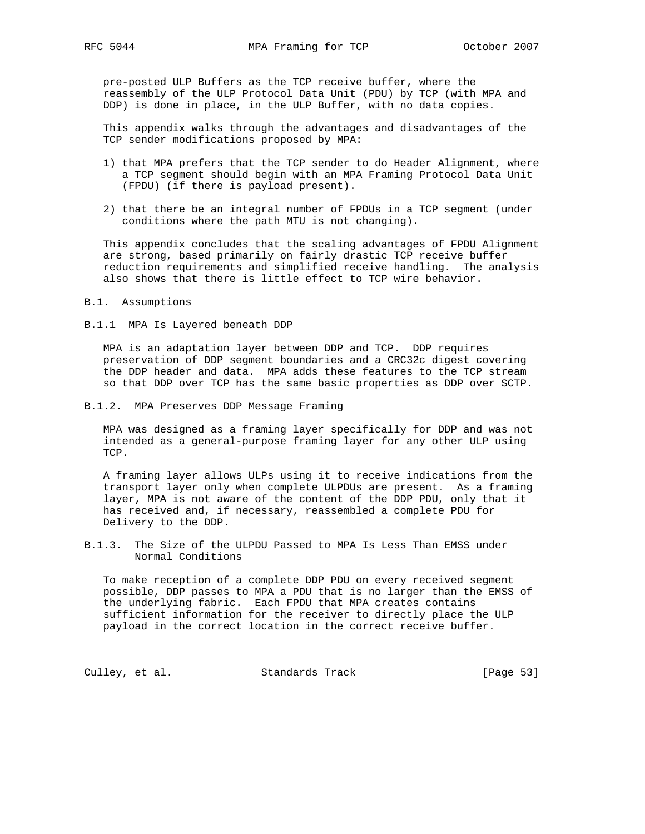pre-posted ULP Buffers as the TCP receive buffer, where the reassembly of the ULP Protocol Data Unit (PDU) by TCP (with MPA and DDP) is done in place, in the ULP Buffer, with no data copies.

 This appendix walks through the advantages and disadvantages of the TCP sender modifications proposed by MPA:

- 1) that MPA prefers that the TCP sender to do Header Alignment, where a TCP segment should begin with an MPA Framing Protocol Data Unit (FPDU) (if there is payload present).
- 2) that there be an integral number of FPDUs in a TCP segment (under conditions where the path MTU is not changing).

 This appendix concludes that the scaling advantages of FPDU Alignment are strong, based primarily on fairly drastic TCP receive buffer reduction requirements and simplified receive handling. The analysis also shows that there is little effect to TCP wire behavior.

#### B.1. Assumptions

B.1.1 MPA Is Layered beneath DDP

 MPA is an adaptation layer between DDP and TCP. DDP requires preservation of DDP segment boundaries and a CRC32c digest covering the DDP header and data. MPA adds these features to the TCP stream so that DDP over TCP has the same basic properties as DDP over SCTP.

B.1.2. MPA Preserves DDP Message Framing

 MPA was designed as a framing layer specifically for DDP and was not intended as a general-purpose framing layer for any other ULP using TCP.

 A framing layer allows ULPs using it to receive indications from the transport layer only when complete ULPDUs are present. As a framing layer, MPA is not aware of the content of the DDP PDU, only that it has received and, if necessary, reassembled a complete PDU for Delivery to the DDP.

B.1.3. The Size of the ULPDU Passed to MPA Is Less Than EMSS under Normal Conditions

 To make reception of a complete DDP PDU on every received segment possible, DDP passes to MPA a PDU that is no larger than the EMSS of the underlying fabric. Each FPDU that MPA creates contains sufficient information for the receiver to directly place the ULP payload in the correct location in the correct receive buffer.

Culley, et al. Standards Track [Page 53]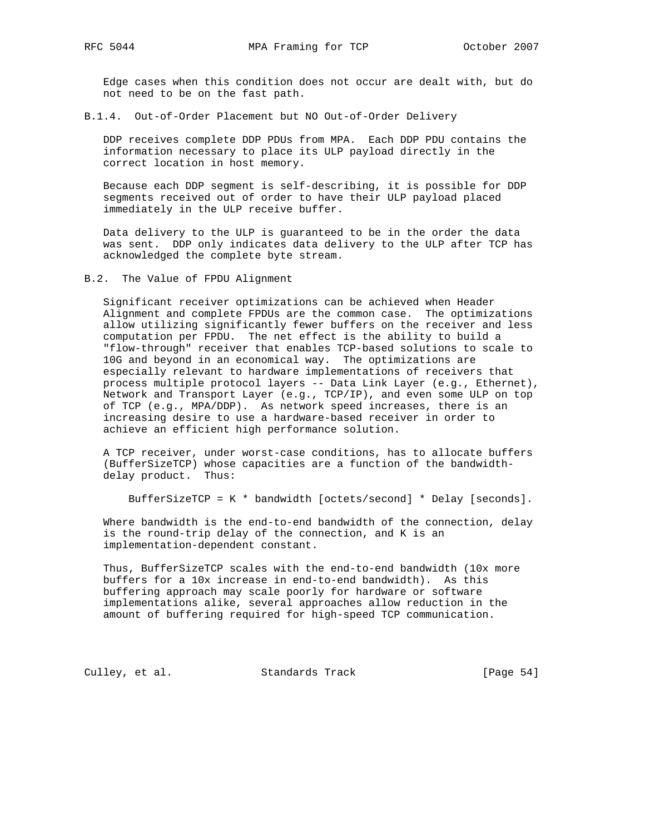Edge cases when this condition does not occur are dealt with, but do not need to be on the fast path.

B.1.4. Out-of-Order Placement but NO Out-of-Order Delivery

 DDP receives complete DDP PDUs from MPA. Each DDP PDU contains the information necessary to place its ULP payload directly in the correct location in host memory.

 Because each DDP segment is self-describing, it is possible for DDP segments received out of order to have their ULP payload placed immediately in the ULP receive buffer.

 Data delivery to the ULP is guaranteed to be in the order the data was sent. DDP only indicates data delivery to the ULP after TCP has acknowledged the complete byte stream.

B.2. The Value of FPDU Alignment

 Significant receiver optimizations can be achieved when Header Alignment and complete FPDUs are the common case. The optimizations allow utilizing significantly fewer buffers on the receiver and less computation per FPDU. The net effect is the ability to build a "flow-through" receiver that enables TCP-based solutions to scale to 10G and beyond in an economical way. The optimizations are especially relevant to hardware implementations of receivers that process multiple protocol layers -- Data Link Layer (e.g., Ethernet), Network and Transport Layer (e.g., TCP/IP), and even some ULP on top of TCP (e.g., MPA/DDP). As network speed increases, there is an increasing desire to use a hardware-based receiver in order to achieve an efficient high performance solution.

 A TCP receiver, under worst-case conditions, has to allocate buffers (BufferSizeTCP) whose capacities are a function of the bandwidth delay product. Thus:

BufferSizeTCP = K \* bandwidth [octets/second] \* Delay [seconds].

 Where bandwidth is the end-to-end bandwidth of the connection, delay is the round-trip delay of the connection, and K is an implementation-dependent constant.

 Thus, BufferSizeTCP scales with the end-to-end bandwidth (10x more buffers for a 10x increase in end-to-end bandwidth). As this buffering approach may scale poorly for hardware or software implementations alike, several approaches allow reduction in the amount of buffering required for high-speed TCP communication.

Culley, et al. Standards Track [Page 54]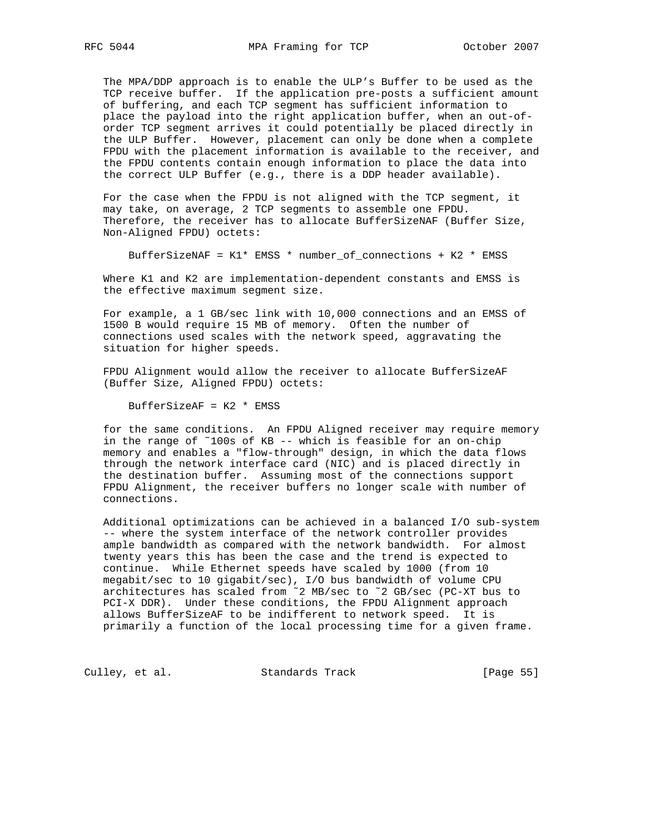The MPA/DDP approach is to enable the ULP's Buffer to be used as the TCP receive buffer. If the application pre-posts a sufficient amount of buffering, and each TCP segment has sufficient information to place the payload into the right application buffer, when an out-of order TCP segment arrives it could potentially be placed directly in the ULP Buffer. However, placement can only be done when a complete FPDU with the placement information is available to the receiver, and the FPDU contents contain enough information to place the data into the correct ULP Buffer (e.g., there is a DDP header available).

 For the case when the FPDU is not aligned with the TCP segment, it may take, on average, 2 TCP segments to assemble one FPDU. Therefore, the receiver has to allocate BufferSizeNAF (Buffer Size, Non-Aligned FPDU) octets:

BufferSizeNAF = K1\* EMSS \* number\_of\_connections + K2 \* EMSS

 Where K1 and K2 are implementation-dependent constants and EMSS is the effective maximum segment size.

 For example, a 1 GB/sec link with 10,000 connections and an EMSS of 1500 B would require 15 MB of memory. Often the number of connections used scales with the network speed, aggravating the situation for higher speeds.

 FPDU Alignment would allow the receiver to allocate BufferSizeAF (Buffer Size, Aligned FPDU) octets:

BufferSizeAF = K2 \* EMSS

 for the same conditions. An FPDU Aligned receiver may require memory in the range of ˜100s of KB -- which is feasible for an on-chip memory and enables a "flow-through" design, in which the data flows through the network interface card (NIC) and is placed directly in the destination buffer. Assuming most of the connections support FPDU Alignment, the receiver buffers no longer scale with number of connections.

 Additional optimizations can be achieved in a balanced I/O sub-system -- where the system interface of the network controller provides ample bandwidth as compared with the network bandwidth. For almost twenty years this has been the case and the trend is expected to continue. While Ethernet speeds have scaled by 1000 (from 10 megabit/sec to 10 gigabit/sec), I/O bus bandwidth of volume CPU architectures has scaled from ˜2 MB/sec to ˜2 GB/sec (PC-XT bus to PCI-X DDR). Under these conditions, the FPDU Alignment approach allows BufferSizeAF to be indifferent to network speed. It is primarily a function of the local processing time for a given frame.

Culley, et al. Standards Track [Page 55]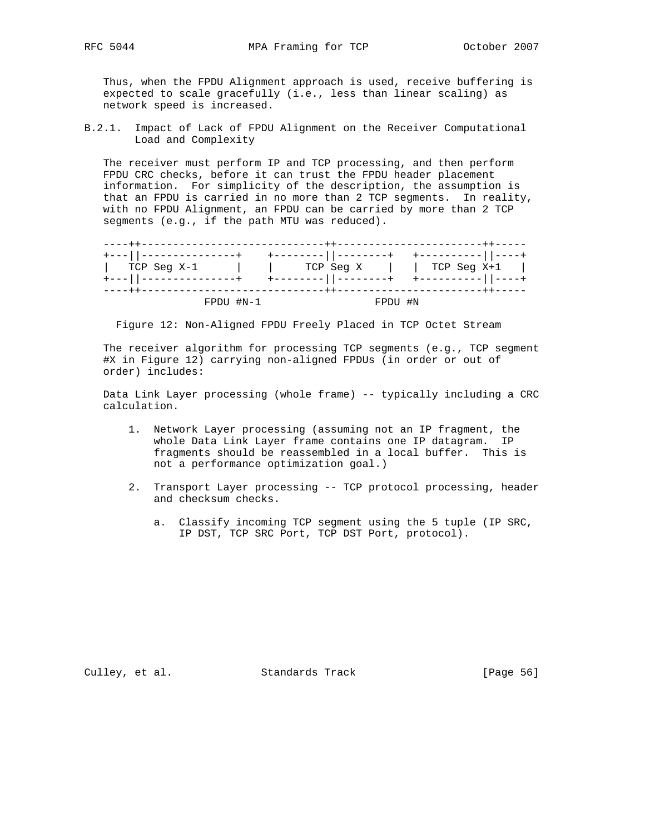Thus, when the FPDU Alignment approach is used, receive buffering is expected to scale gracefully (i.e., less than linear scaling) as network speed is increased.

B.2.1. Impact of Lack of FPDU Alignment on the Receiver Computational Load and Complexity

 The receiver must perform IP and TCP processing, and then perform FPDU CRC checks, before it can trust the FPDU header placement information. For simplicity of the description, the assumption is that an FPDU is carried in no more than 2 TCP segments. In reality, with no FPDU Alignment, an FPDU can be carried by more than 2 TCP segments (e.g., if the path MTU was reduced).

|                        |             | . - - - - - + + - - - -                  |                     |
|------------------------|-------------|------------------------------------------|---------------------|
| +---  ---------------+ |             | ----------  --------+ +----------  ----+ |                     |
| TCP Seg X-1            |             | TCP Seq X                                | $\vert$ TCP Seg X+1 |
| +---  ---------------+ |             | ------  --------+ +----------  ---       |                     |
|                        | $FPDU$ #N-1 | FPDU #N                                  |                     |

Figure 12: Non-Aligned FPDU Freely Placed in TCP Octet Stream

 The receiver algorithm for processing TCP segments (e.g., TCP segment #X in Figure 12) carrying non-aligned FPDUs (in order or out of order) includes:

 Data Link Layer processing (whole frame) -- typically including a CRC calculation.

- 1. Network Layer processing (assuming not an IP fragment, the whole Data Link Layer frame contains one IP datagram. IP fragments should be reassembled in a local buffer. This is not a performance optimization goal.)
- 2. Transport Layer processing -- TCP protocol processing, header and checksum checks.
	- a. Classify incoming TCP segment using the 5 tuple (IP SRC, IP DST, TCP SRC Port, TCP DST Port, protocol).

Culley, et al. Standards Track [Page 56]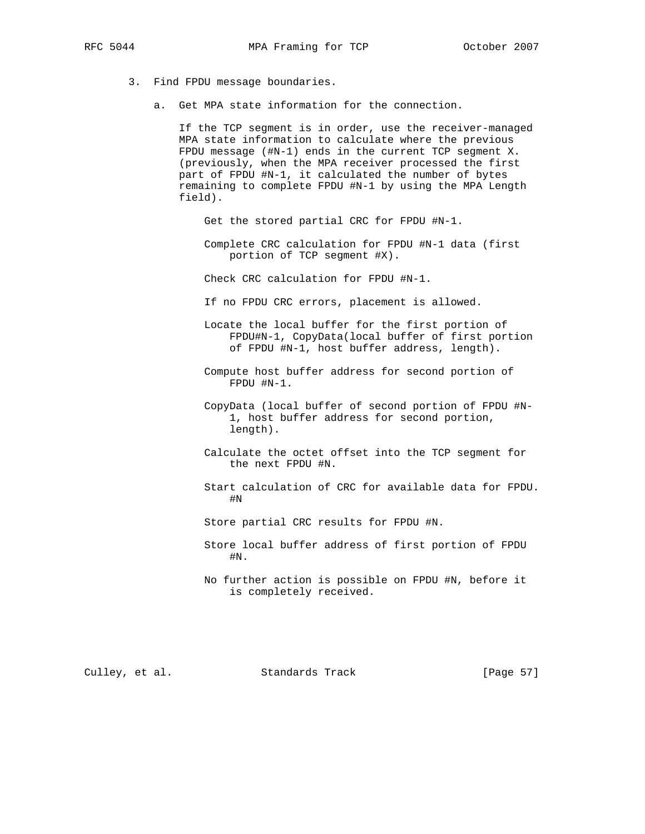- - 3. Find FPDU message boundaries.
		- a. Get MPA state information for the connection.

 If the TCP segment is in order, use the receiver-managed MPA state information to calculate where the previous FPDU message (#N-1) ends in the current TCP segment X. (previously, when the MPA receiver processed the first part of FPDU #N-1, it calculated the number of bytes remaining to complete FPDU #N-1 by using the MPA Length field).

- Get the stored partial CRC for FPDU #N-1.
- Complete CRC calculation for FPDU #N-1 data (first portion of TCP segment #X).
- Check CRC calculation for FPDU #N-1.
- If no FPDU CRC errors, placement is allowed.
- Locate the local buffer for the first portion of FPDU#N-1, CopyData(local buffer of first portion of FPDU #N-1, host buffer address, length).
- Compute host buffer address for second portion of FPDU #N-1.
- CopyData (local buffer of second portion of FPDU #N- 1, host buffer address for second portion, length).
- Calculate the octet offset into the TCP segment for the next FPDU #N.
- Start calculation of CRC for available data for FPDU. #N
	- Store partial CRC results for FPDU #N.
	- Store local buffer address of first portion of FPDU #N.
	- No further action is possible on FPDU #N, before it is completely received.

Culley, et al. Standards Track [Page 57]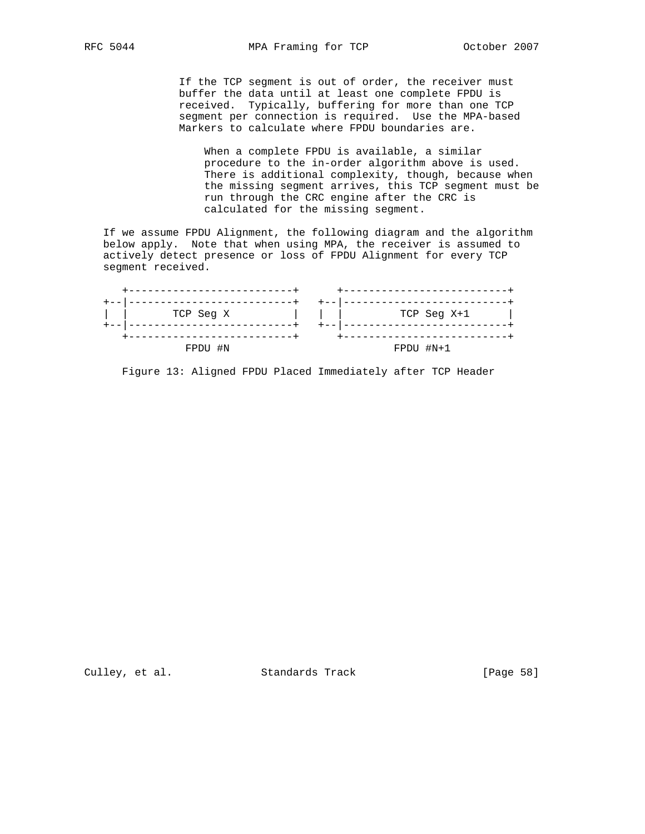If the TCP segment is out of order, the receiver must buffer the data until at least one complete FPDU is received. Typically, buffering for more than one TCP segment per connection is required. Use the MPA-based Markers to calculate where FPDU boundaries are.

 When a complete FPDU is available, a similar procedure to the in-order algorithm above is used. There is additional complexity, though, because when the missing segment arrives, this TCP segment must be run through the CRC engine after the CRC is calculated for the missing segment.

 If we assume FPDU Alignment, the following diagram and the algorithm below apply. Note that when using MPA, the receiver is assumed to actively detect presence or loss of FPDU Alignment for every TCP segment received.

| TCP Seg X | $TCP$ Seq $X+1$ |
|-----------|-----------------|
|           |                 |
| FPDU #N   | FPDU #N+1       |

Figure 13: Aligned FPDU Placed Immediately after TCP Header

Culley, et al. Standards Track [Page 58]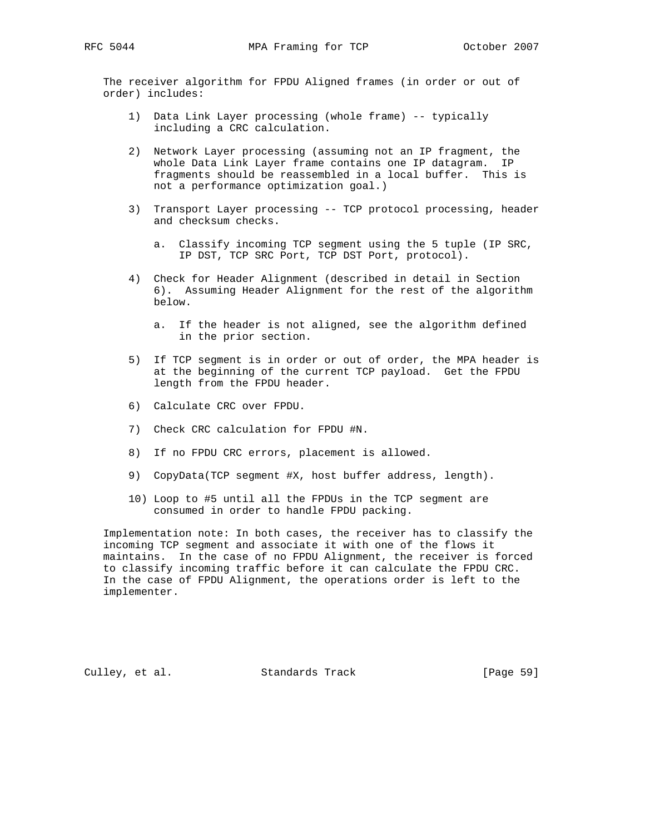The receiver algorithm for FPDU Aligned frames (in order or out of order) includes:

- 1) Data Link Layer processing (whole frame) -- typically including a CRC calculation.
- 2) Network Layer processing (assuming not an IP fragment, the whole Data Link Layer frame contains one IP datagram. IP fragments should be reassembled in a local buffer. This is not a performance optimization goal.)
- 3) Transport Layer processing -- TCP protocol processing, header and checksum checks.
	- a. Classify incoming TCP segment using the 5 tuple (IP SRC, IP DST, TCP SRC Port, TCP DST Port, protocol).
- 4) Check for Header Alignment (described in detail in Section 6). Assuming Header Alignment for the rest of the algorithm below.
	- a. If the header is not aligned, see the algorithm defined in the prior section.
- 5) If TCP segment is in order or out of order, the MPA header is at the beginning of the current TCP payload. Get the FPDU length from the FPDU header.
- 6) Calculate CRC over FPDU.
- 7) Check CRC calculation for FPDU #N.
- 8) If no FPDU CRC errors, placement is allowed.
- 9) CopyData(TCP segment #X, host buffer address, length).
- 10) Loop to #5 until all the FPDUs in the TCP segment are consumed in order to handle FPDU packing.

 Implementation note: In both cases, the receiver has to classify the incoming TCP segment and associate it with one of the flows it maintains. In the case of no FPDU Alignment, the receiver is forced to classify incoming traffic before it can calculate the FPDU CRC. In the case of FPDU Alignment, the operations order is left to the implementer.

Culley, et al. Standards Track [Page 59]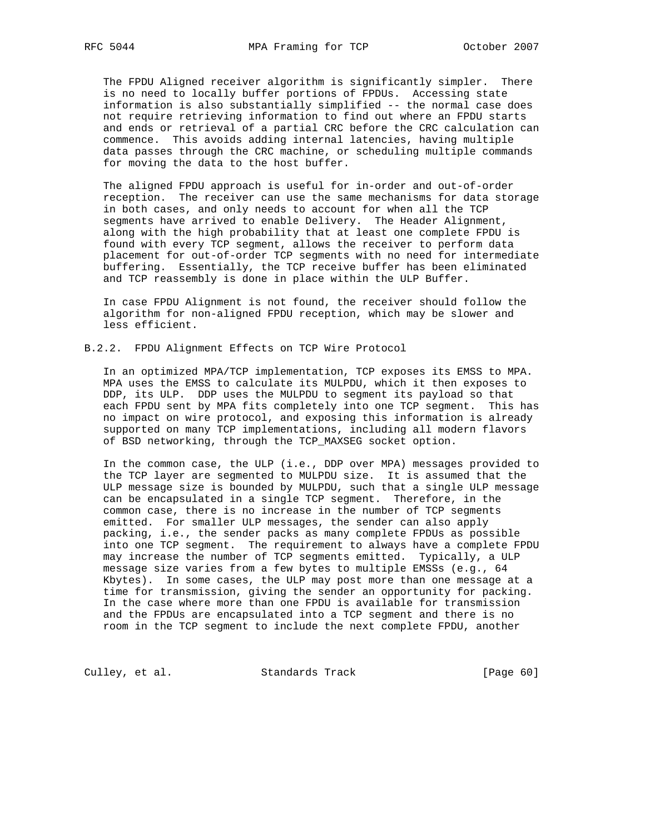The FPDU Aligned receiver algorithm is significantly simpler. There is no need to locally buffer portions of FPDUs. Accessing state information is also substantially simplified -- the normal case does not require retrieving information to find out where an FPDU starts and ends or retrieval of a partial CRC before the CRC calculation can commence. This avoids adding internal latencies, having multiple data passes through the CRC machine, or scheduling multiple commands for moving the data to the host buffer.

 The aligned FPDU approach is useful for in-order and out-of-order reception. The receiver can use the same mechanisms for data storage in both cases, and only needs to account for when all the TCP segments have arrived to enable Delivery. The Header Alignment, along with the high probability that at least one complete FPDU is found with every TCP segment, allows the receiver to perform data placement for out-of-order TCP segments with no need for intermediate buffering. Essentially, the TCP receive buffer has been eliminated and TCP reassembly is done in place within the ULP Buffer.

 In case FPDU Alignment is not found, the receiver should follow the algorithm for non-aligned FPDU reception, which may be slower and less efficient.

#### B.2.2. FPDU Alignment Effects on TCP Wire Protocol

 In an optimized MPA/TCP implementation, TCP exposes its EMSS to MPA. MPA uses the EMSS to calculate its MULPDU, which it then exposes to DDP, its ULP. DDP uses the MULPDU to segment its payload so that each FPDU sent by MPA fits completely into one TCP segment. This has no impact on wire protocol, and exposing this information is already supported on many TCP implementations, including all modern flavors of BSD networking, through the TCP\_MAXSEG socket option.

 In the common case, the ULP (i.e., DDP over MPA) messages provided to the TCP layer are segmented to MULPDU size. It is assumed that the ULP message size is bounded by MULPDU, such that a single ULP message can be encapsulated in a single TCP segment. Therefore, in the common case, there is no increase in the number of TCP segments emitted. For smaller ULP messages, the sender can also apply packing, i.e., the sender packs as many complete FPDUs as possible into one TCP segment. The requirement to always have a complete FPDU may increase the number of TCP segments emitted. Typically, a ULP message size varies from a few bytes to multiple EMSSs (e.g., 64 Kbytes). In some cases, the ULP may post more than one message at a time for transmission, giving the sender an opportunity for packing. In the case where more than one FPDU is available for transmission and the FPDUs are encapsulated into a TCP segment and there is no room in the TCP segment to include the next complete FPDU, another

Culley, et al. Standards Track [Page 60]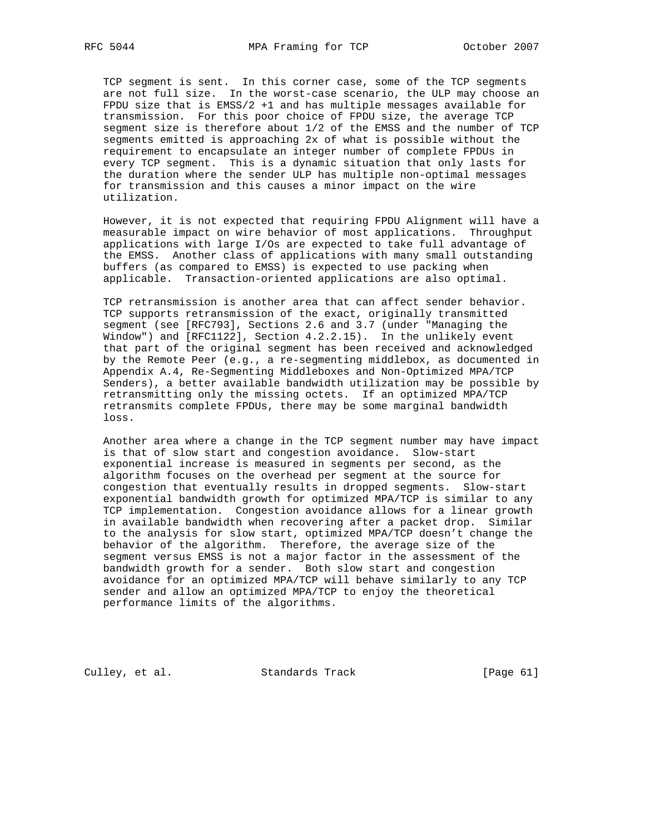TCP segment is sent. In this corner case, some of the TCP segments are not full size. In the worst-case scenario, the ULP may choose an FPDU size that is EMSS/2 +1 and has multiple messages available for transmission. For this poor choice of FPDU size, the average TCP segment size is therefore about 1/2 of the EMSS and the number of TCP segments emitted is approaching 2x of what is possible without the requirement to encapsulate an integer number of complete FPDUs in every TCP segment. This is a dynamic situation that only lasts for the duration where the sender ULP has multiple non-optimal messages for transmission and this causes a minor impact on the wire utilization.

 However, it is not expected that requiring FPDU Alignment will have a measurable impact on wire behavior of most applications. Throughput applications with large I/Os are expected to take full advantage of the EMSS. Another class of applications with many small outstanding buffers (as compared to EMSS) is expected to use packing when applicable. Transaction-oriented applications are also optimal.

 TCP retransmission is another area that can affect sender behavior. TCP supports retransmission of the exact, originally transmitted segment (see [RFC793], Sections 2.6 and 3.7 (under "Managing the Window") and [RFC1122], Section 4.2.2.15). In the unlikely event that part of the original segment has been received and acknowledged by the Remote Peer (e.g., a re-segmenting middlebox, as documented in Appendix A.4, Re-Segmenting Middleboxes and Non-Optimized MPA/TCP Senders), a better available bandwidth utilization may be possible by retransmitting only the missing octets. If an optimized MPA/TCP retransmits complete FPDUs, there may be some marginal bandwidth loss.

 Another area where a change in the TCP segment number may have impact is that of slow start and congestion avoidance. Slow-start exponential increase is measured in segments per second, as the algorithm focuses on the overhead per segment at the source for congestion that eventually results in dropped segments. Slow-start exponential bandwidth growth for optimized MPA/TCP is similar to any TCP implementation. Congestion avoidance allows for a linear growth in available bandwidth when recovering after a packet drop. Similar to the analysis for slow start, optimized MPA/TCP doesn't change the behavior of the algorithm. Therefore, the average size of the segment versus EMSS is not a major factor in the assessment of the bandwidth growth for a sender. Both slow start and congestion avoidance for an optimized MPA/TCP will behave similarly to any TCP sender and allow an optimized MPA/TCP to enjoy the theoretical performance limits of the algorithms.

Culley, et al. Standards Track [Page 61]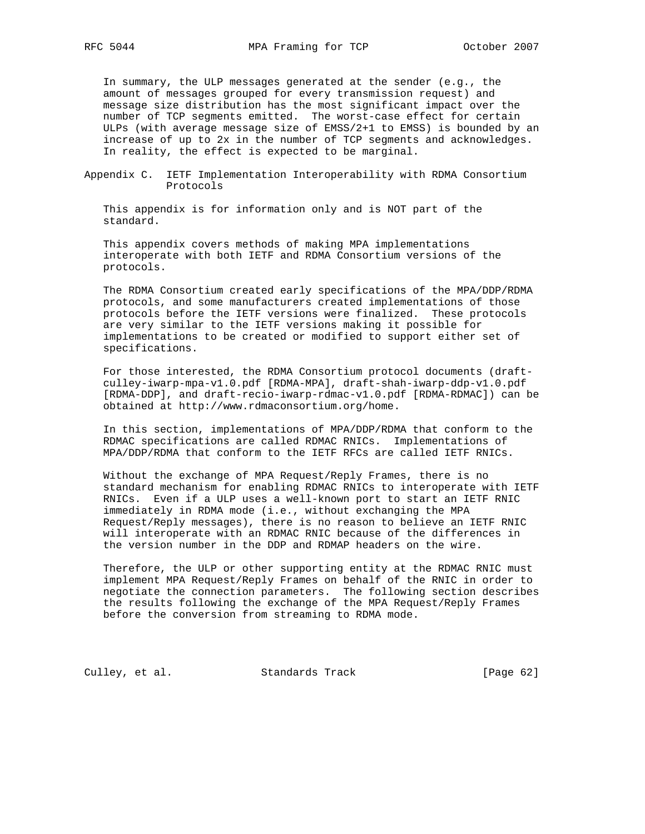In summary, the ULP messages generated at the sender (e.g., the amount of messages grouped for every transmission request) and message size distribution has the most significant impact over the number of TCP segments emitted. The worst-case effect for certain ULPs (with average message size of EMSS/2+1 to EMSS) is bounded by an increase of up to 2x in the number of TCP segments and acknowledges. In reality, the effect is expected to be marginal.

Appendix C. IETF Implementation Interoperability with RDMA Consortium Protocols

 This appendix is for information only and is NOT part of the standard.

 This appendix covers methods of making MPA implementations interoperate with both IETF and RDMA Consortium versions of the protocols.

 The RDMA Consortium created early specifications of the MPA/DDP/RDMA protocols, and some manufacturers created implementations of those protocols before the IETF versions were finalized. These protocols are very similar to the IETF versions making it possible for implementations to be created or modified to support either set of specifications.

 For those interested, the RDMA Consortium protocol documents (draft culley-iwarp-mpa-v1.0.pdf [RDMA-MPA], draft-shah-iwarp-ddp-v1.0.pdf [RDMA-DDP], and draft-recio-iwarp-rdmac-v1.0.pdf [RDMA-RDMAC]) can be obtained at http://www.rdmaconsortium.org/home.

 In this section, implementations of MPA/DDP/RDMA that conform to the RDMAC specifications are called RDMAC RNICs. Implementations of MPA/DDP/RDMA that conform to the IETF RFCs are called IETF RNICs.

 Without the exchange of MPA Request/Reply Frames, there is no standard mechanism for enabling RDMAC RNICs to interoperate with IETF RNICs. Even if a ULP uses a well-known port to start an IETF RNIC immediately in RDMA mode (i.e., without exchanging the MPA Request/Reply messages), there is no reason to believe an IETF RNIC will interoperate with an RDMAC RNIC because of the differences in the version number in the DDP and RDMAP headers on the wire.

 Therefore, the ULP or other supporting entity at the RDMAC RNIC must implement MPA Request/Reply Frames on behalf of the RNIC in order to negotiate the connection parameters. The following section describes the results following the exchange of the MPA Request/Reply Frames before the conversion from streaming to RDMA mode.

Culley, et al. Standards Track [Page 62]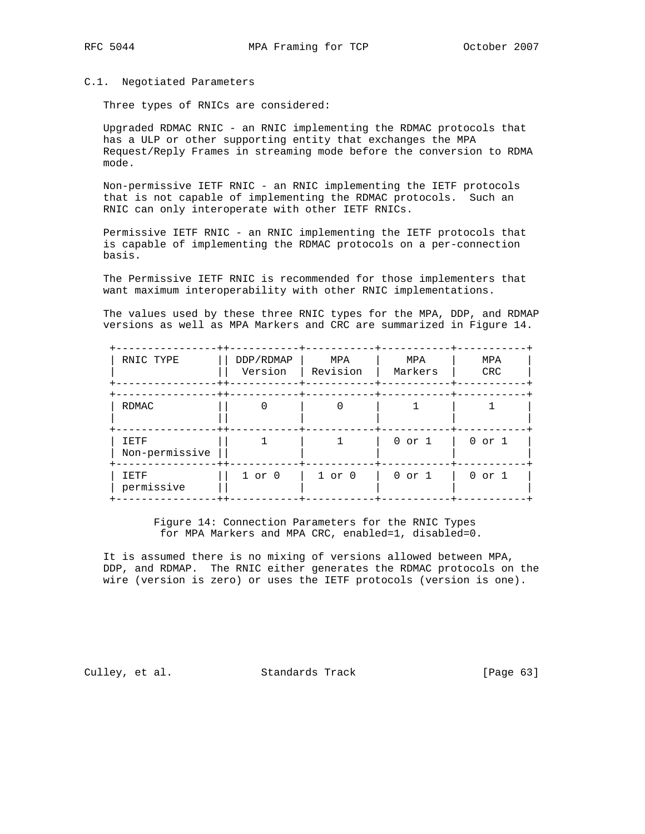#### C.1. Negotiated Parameters

Three types of RNICs are considered:

 Upgraded RDMAC RNIC - an RNIC implementing the RDMAC protocols that has a ULP or other supporting entity that exchanges the MPA Request/Reply Frames in streaming mode before the conversion to RDMA mode.

 Non-permissive IETF RNIC - an RNIC implementing the IETF protocols that is not capable of implementing the RDMAC protocols. Such an RNIC can only interoperate with other IETF RNICs.

 Permissive IETF RNIC - an RNIC implementing the IETF protocols that is capable of implementing the RDMAC protocols on a per-connection basis.

 The Permissive IETF RNIC is recommended for those implementers that want maximum interoperability with other RNIC implementations.

 The values used by these three RNIC types for the MPA, DDP, and RDMAP versions as well as MPA Markers and CRC are summarized in Figure 14.

| RNIC TYPE<br>$++$                    | DDP/RDMAP<br>Version | MPA<br>Revision | MPA<br>Markers | MPA<br><b>CRC</b> |
|--------------------------------------|----------------------|-----------------|----------------|-------------------|
| $++$<br><b>RDMAC</b>                 |                      |                 |                |                   |
| $++$<br>IETF<br>Non-permissive       |                      |                 | $0$ or $1$     | $0$ or $1$        |
| $- + +$<br><b>IETF</b><br>permissive | $1$ or $0$           | $1$ or $0$      | 0 or 1         | $0$ or $1$        |

 Figure 14: Connection Parameters for the RNIC Types for MPA Markers and MPA CRC, enabled=1, disabled=0.

 It is assumed there is no mixing of versions allowed between MPA, DDP, and RDMAP. The RNIC either generates the RDMAC protocols on the wire (version is zero) or uses the IETF protocols (version is one).

Culley, et al. Standards Track [Page 63]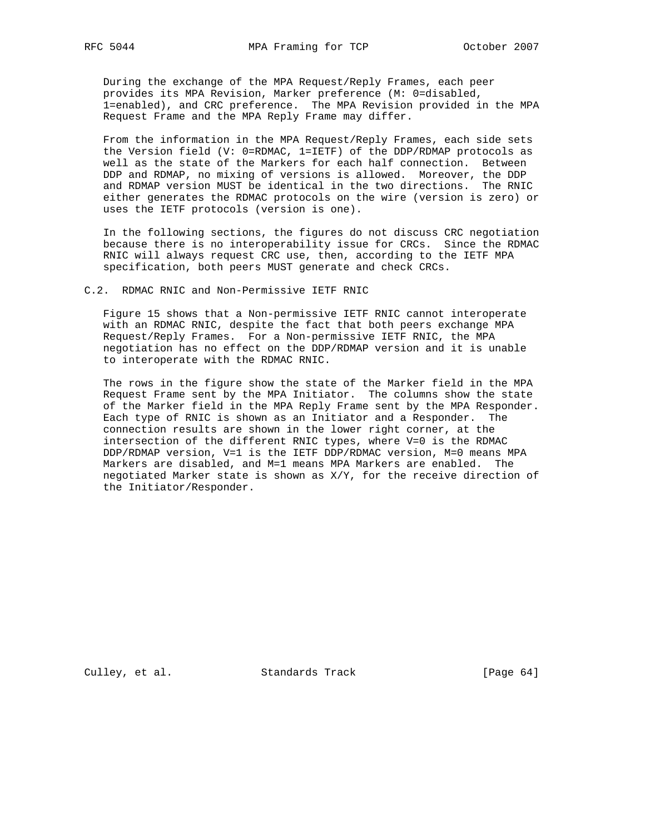During the exchange of the MPA Request/Reply Frames, each peer provides its MPA Revision, Marker preference (M: 0=disabled, 1=enabled), and CRC preference. The MPA Revision provided in the MPA Request Frame and the MPA Reply Frame may differ.

 From the information in the MPA Request/Reply Frames, each side sets the Version field (V: 0=RDMAC, 1=IETF) of the DDP/RDMAP protocols as well as the state of the Markers for each half connection. Between DDP and RDMAP, no mixing of versions is allowed. Moreover, the DDP and RDMAP version MUST be identical in the two directions. The RNIC either generates the RDMAC protocols on the wire (version is zero) or uses the IETF protocols (version is one).

 In the following sections, the figures do not discuss CRC negotiation because there is no interoperability issue for CRCs. Since the RDMAC RNIC will always request CRC use, then, according to the IETF MPA specification, both peers MUST generate and check CRCs.

#### C.2. RDMAC RNIC and Non-Permissive IETF RNIC

 Figure 15 shows that a Non-permissive IETF RNIC cannot interoperate with an RDMAC RNIC, despite the fact that both peers exchange MPA Request/Reply Frames. For a Non-permissive IETF RNIC, the MPA negotiation has no effect on the DDP/RDMAP version and it is unable to interoperate with the RDMAC RNIC.

 The rows in the figure show the state of the Marker field in the MPA Request Frame sent by the MPA Initiator. The columns show the state of the Marker field in the MPA Reply Frame sent by the MPA Responder. Each type of RNIC is shown as an Initiator and a Responder. The connection results are shown in the lower right corner, at the intersection of the different RNIC types, where V=0 is the RDMAC DDP/RDMAP version, V=1 is the IETF DDP/RDMAC version, M=0 means MPA Markers are disabled, and M=1 means MPA Markers are enabled. The negotiated Marker state is shown as X/Y, for the receive direction of the Initiator/Responder.

Culley, et al. Standards Track [Page 64]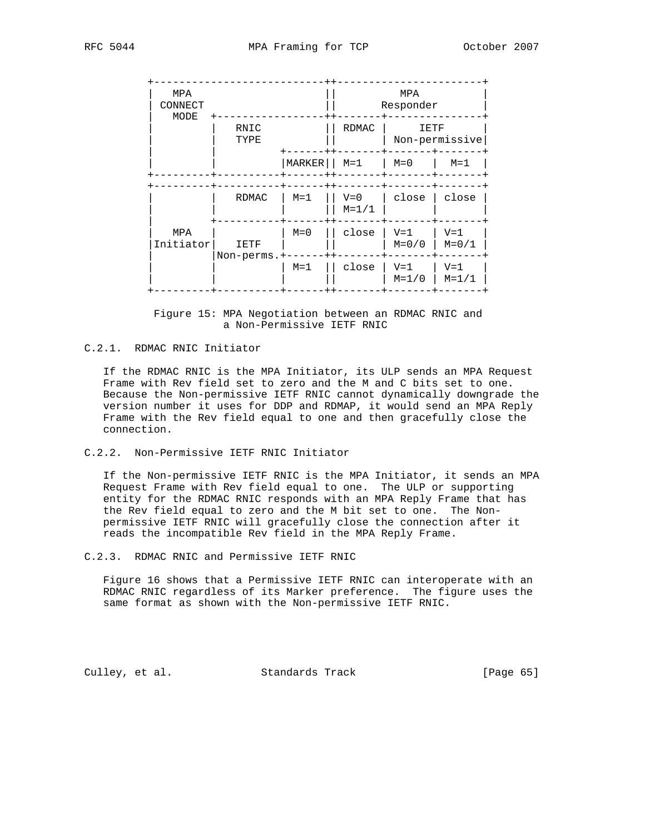| MPA<br>CONNECT   |                     |         | MPA<br>Responder   |                        |                      |
|------------------|---------------------|---------|--------------------|------------------------|----------------------|
| MODE             | RNIC<br>TYPE        |         | RDMAC              | IETF<br>Non-permissive |                      |
|                  |                     | MARKER  | $M = 1$            | $M=0$                  | $M = 1$              |
|                  |                     |         |                    |                        |                      |
|                  | RDMAC               | $M = 1$ | $V = 0$<br>$M=1/1$ | close                  | close                |
| MPA<br>Initiator | IETF<br>Non-perms.+ | $M = 0$ | close              | $V = 1$<br>$M=0/0$     | $V = 1$<br>$M = 0/1$ |
|                  |                     | $M = 1$ | close              | $V = 1$<br>$M=1/0$     | $V = 1$<br>$M = 1/1$ |

 Figure 15: MPA Negotiation between an RDMAC RNIC and a Non-Permissive IETF RNIC

## C.2.1. RDMAC RNIC Initiator

 If the RDMAC RNIC is the MPA Initiator, its ULP sends an MPA Request Frame with Rev field set to zero and the M and C bits set to one. Because the Non-permissive IETF RNIC cannot dynamically downgrade the version number it uses for DDP and RDMAP, it would send an MPA Reply Frame with the Rev field equal to one and then gracefully close the connection.

C.2.2. Non-Permissive IETF RNIC Initiator

 If the Non-permissive IETF RNIC is the MPA Initiator, it sends an MPA Request Frame with Rev field equal to one. The ULP or supporting entity for the RDMAC RNIC responds with an MPA Reply Frame that has the Rev field equal to zero and the M bit set to one. The Non permissive IETF RNIC will gracefully close the connection after it reads the incompatible Rev field in the MPA Reply Frame.

C.2.3. RDMAC RNIC and Permissive IETF RNIC

 Figure 16 shows that a Permissive IETF RNIC can interoperate with an RDMAC RNIC regardless of its Marker preference. The figure uses the same format as shown with the Non-permissive IETF RNIC.

Culley, et al. Standards Track [Page 65]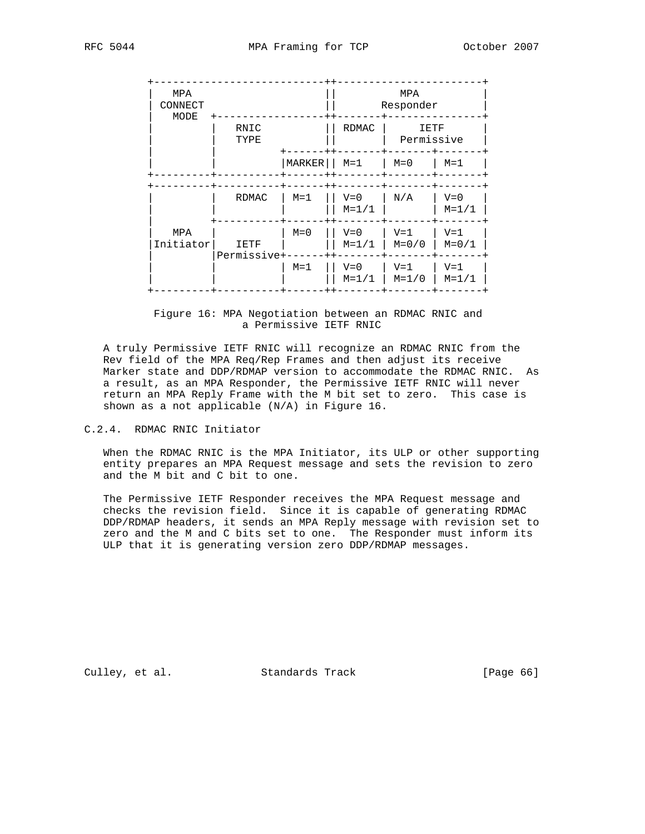| MPA<br>CONNECT   |                     |                                    | MPA<br>Responder     |                    |                      |
|------------------|---------------------|------------------------------------|----------------------|--------------------|----------------------|
| MODE             | RNIC<br>TYPE        | <b>RDMAC</b><br>IETF<br>Permissive |                      |                    |                      |
|                  |                     | MARKER                             | $M = 1$              | $M=0$              | $M = 1$              |
|                  | RDMAC               | $M = 1$                            | $V = 0$<br>$M = 1/1$ | N/A                | $V = 0$<br>$M=1/1$   |
| MPA<br>Initiator | IETF<br>Permissive+ | $M = 0$                            | $V = 0$<br>$M = 1/1$ | $V = 1$<br>$M=0/0$ | $V = 1$<br>$M = 0/1$ |
|                  |                     | $M = 1$                            | $V = 0$<br>$M = 1/1$ | $V = 1$<br>$M=1/0$ | $V = 1$<br>$M = 1/1$ |

## Figure 16: MPA Negotiation between an RDMAC RNIC and a Permissive IETF RNIC

 A truly Permissive IETF RNIC will recognize an RDMAC RNIC from the Rev field of the MPA Req/Rep Frames and then adjust its receive Marker state and DDP/RDMAP version to accommodate the RDMAC RNIC. As a result, as an MPA Responder, the Permissive IETF RNIC will never return an MPA Reply Frame with the M bit set to zero. This case is shown as a not applicable (N/A) in Figure 16.

# C.2.4. RDMAC RNIC Initiator

 When the RDMAC RNIC is the MPA Initiator, its ULP or other supporting entity prepares an MPA Request message and sets the revision to zero and the M bit and C bit to one.

 The Permissive IETF Responder receives the MPA Request message and checks the revision field. Since it is capable of generating RDMAC DDP/RDMAP headers, it sends an MPA Reply message with revision set to zero and the M and C bits set to one. The Responder must inform its ULP that it is generating version zero DDP/RDMAP messages.

Culley, et al. Standards Track [Page 66]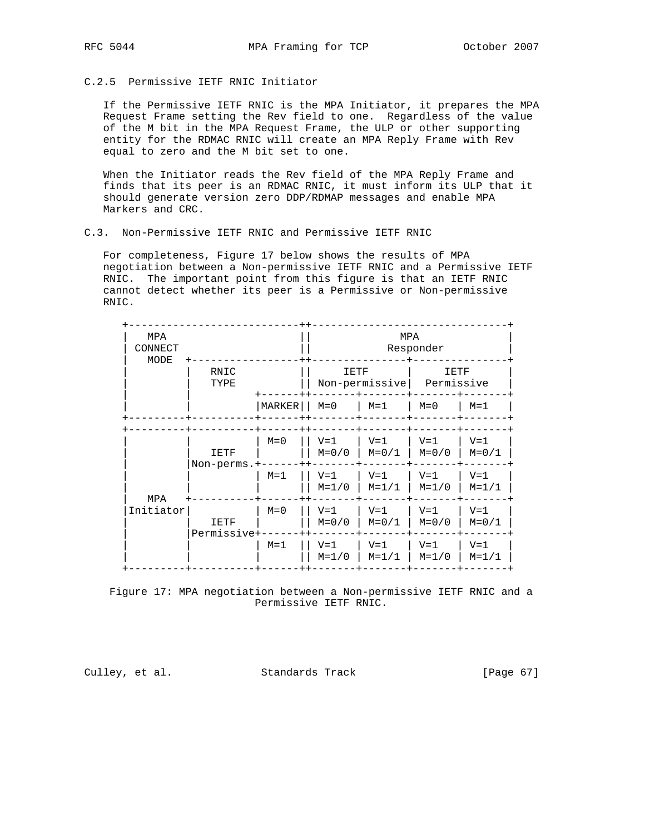## C.2.5 Permissive IETF RNIC Initiator

 If the Permissive IETF RNIC is the MPA Initiator, it prepares the MPA Request Frame setting the Rev field to one. Regardless of the value of the M bit in the MPA Request Frame, the ULP or other supporting entity for the RDMAC RNIC will create an MPA Reply Frame with Rev equal to zero and the M bit set to one.

 When the Initiator reads the Rev field of the MPA Reply Frame and finds that its peer is an RDMAC RNIC, it must inform its ULP that it should generate version zero DDP/RDMAP messages and enable MPA Markers and CRC.

## C.3. Non-Permissive IETF RNIC and Permissive IETF RNIC

 For completeness, Figure 17 below shows the results of MPA negotiation between a Non-permissive IETF RNIC and a Permissive IETF RNIC. The important point from this figure is that an IETF RNIC cannot detect whether its peer is a Permissive or Non-permissive RNIC.

| MPA<br>CONNECT<br>MODE |              |               | MPA<br>Responder       |                      |                    |                      |
|------------------------|--------------|---------------|------------------------|----------------------|--------------------|----------------------|
|                        | RNIC<br>TYPE |               | IETF<br>Non-permissive |                      | IETF<br>Permissive |                      |
|                        |              | <b>MARKER</b> | $M=0$                  | $M = 1$              | $M=0$              | $M = 1$              |
|                        | IETF         | $M = 0$       | $V = 1$<br>$M=0/0$     | $V = 1$<br>$M = 0/1$ | $V = 1$<br>$M=0/0$ | $V = 1$<br>$M = 0/1$ |
| MPA<br>Initiator       | Non-perms.+  | $M = 1$       | $V = 1$<br>$M=1/0$     | $V = 1$<br>$M = 1/1$ | $V = 1$<br>$M=1/0$ | $V = 1$<br>$M = 1/1$ |
|                        | IETF         | $M=0$         | $V = 1$<br>$M=0/0$     | $V = 1$<br>$M = 0/1$ | $V = 1$<br>$M=0/0$ | $V = 1$<br>$M = 0/1$ |
|                        | Permissive+  | $M = 1$       | $V = 1$<br>$M=1/0$     | $V = 1$<br>$M=1/1$   | $V = 1$<br>$M=1/0$ | $V = 1$<br>$M = 1/1$ |

 Figure 17: MPA negotiation between a Non-permissive IETF RNIC and a Permissive IETF RNIC.

Culley, et al. Standards Track [Page 67]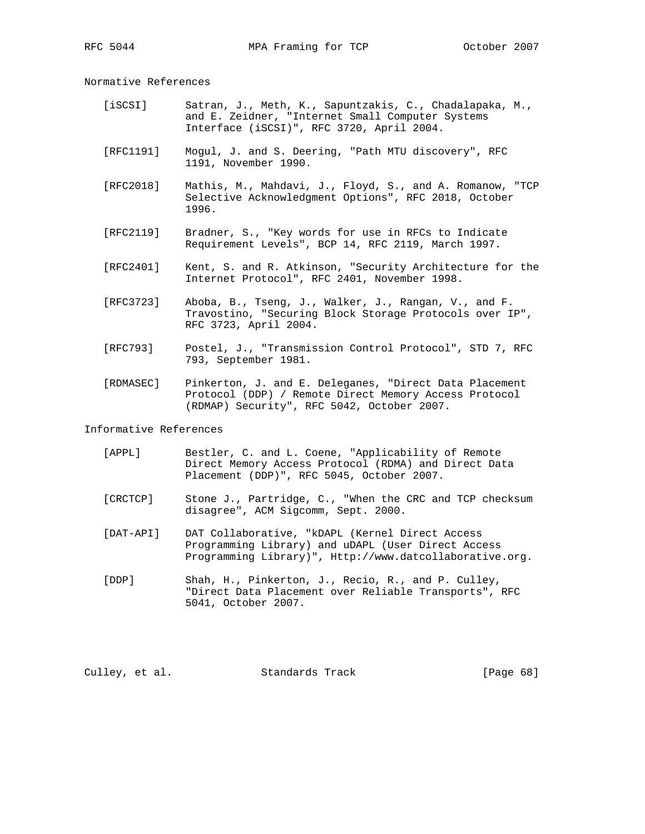Normative References

- [iSCSI] Satran, J., Meth, K., Sapuntzakis, C., Chadalapaka, M., and E. Zeidner, "Internet Small Computer Systems Interface (iSCSI)", RFC 3720, April 2004.
- [RFC1191] Mogul, J. and S. Deering, "Path MTU discovery", RFC 1191, November 1990.
- [RFC2018] Mathis, M., Mahdavi, J., Floyd, S., and A. Romanow, "TCP Selective Acknowledgment Options", RFC 2018, October 1996.
- [RFC2119] Bradner, S., "Key words for use in RFCs to Indicate Requirement Levels", BCP 14, RFC 2119, March 1997.
- [RFC2401] Kent, S. and R. Atkinson, "Security Architecture for the Internet Protocol", RFC 2401, November 1998.
- [RFC3723] Aboba, B., Tseng, J., Walker, J., Rangan, V., and F. Travostino, "Securing Block Storage Protocols over IP", RFC 3723, April 2004.
- [RFC793] Postel, J., "Transmission Control Protocol", STD 7, RFC 793, September 1981.
- [RDMASEC] Pinkerton, J. and E. Deleganes, "Direct Data Placement Protocol (DDP) / Remote Direct Memory Access Protocol (RDMAP) Security", RFC 5042, October 2007.

### Informative References

- [APPL] Bestler, C. and L. Coene, "Applicability of Remote Direct Memory Access Protocol (RDMA) and Direct Data Placement (DDP)", RFC 5045, October 2007.
- [CRCTCP] Stone J., Partridge, C., "When the CRC and TCP checksum disagree", ACM Sigcomm, Sept. 2000.
- [DAT-API] DAT Collaborative, "kDAPL (Kernel Direct Access Programming Library) and uDAPL (User Direct Access Programming Library)", Http://www.datcollaborative.org.
- [DDP] Shah, H., Pinkerton, J., Recio, R., and P. Culley, "Direct Data Placement over Reliable Transports", RFC 5041, October 2007.

Culley, et al. Standards Track [Page 68]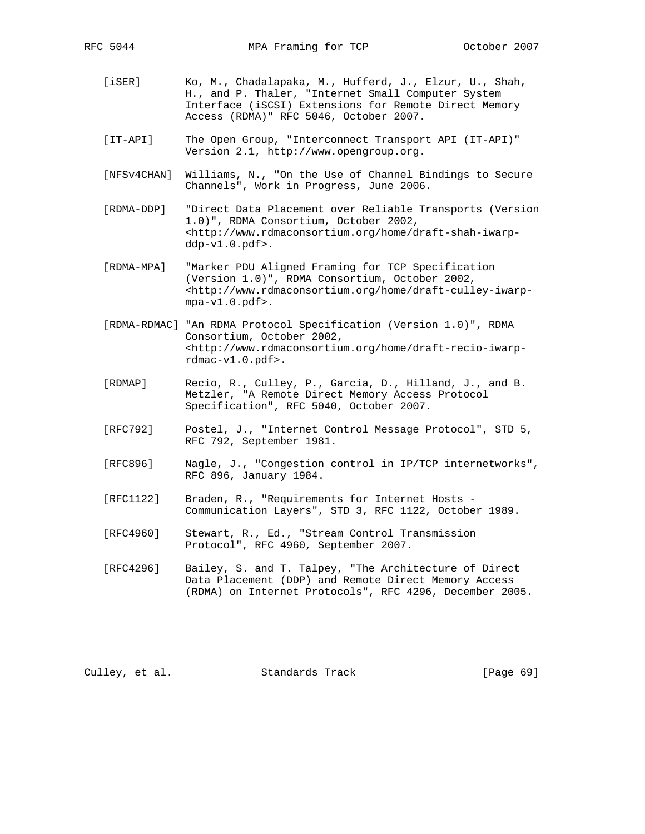- [iSER] Ko, M., Chadalapaka, M., Hufferd, J., Elzur, U., Shah, H., and P. Thaler, "Internet Small Computer System Interface (iSCSI) Extensions for Remote Direct Memory Access (RDMA)" RFC 5046, October 2007.
- [IT-API] The Open Group, "Interconnect Transport API (IT-API)" Version 2.1, http://www.opengroup.org.
- [NFSv4CHAN] Williams, N., "On the Use of Channel Bindings to Secure Channels", Work in Progress, June 2006.
- [RDMA-DDP] "Direct Data Placement over Reliable Transports (Version 1.0)", RDMA Consortium, October 2002, <http://www.rdmaconsortium.org/home/draft-shah-iwarp ddp-v1.0.pdf>.
- [RDMA-MPA] "Marker PDU Aligned Framing for TCP Specification (Version 1.0)", RDMA Consortium, October 2002, <http://www.rdmaconsortium.org/home/draft-culley-iwarp mpa-v1.0.pdf>.
- [RDMA-RDMAC] "An RDMA Protocol Specification (Version 1.0)", RDMA Consortium, October 2002, <http://www.rdmaconsortium.org/home/draft-recio-iwarp rdmac-v1.0.pdf>.
- [RDMAP] Recio, R., Culley, P., Garcia, D., Hilland, J., and B. Metzler, "A Remote Direct Memory Access Protocol Specification", RFC 5040, October 2007.
- [RFC792] Postel, J., "Internet Control Message Protocol", STD 5, RFC 792, September 1981.
- [RFC896] Nagle, J., "Congestion control in IP/TCP internetworks", RFC 896, January 1984.
- [RFC1122] Braden, R., "Requirements for Internet Hosts Communication Layers", STD 3, RFC 1122, October 1989.
- [RFC4960] Stewart, R., Ed., "Stream Control Transmission Protocol", RFC 4960, September 2007.
- [RFC4296] Bailey, S. and T. Talpey, "The Architecture of Direct Data Placement (DDP) and Remote Direct Memory Access (RDMA) on Internet Protocols", RFC 4296, December 2005.

Culley, et al. Standards Track [Page 69]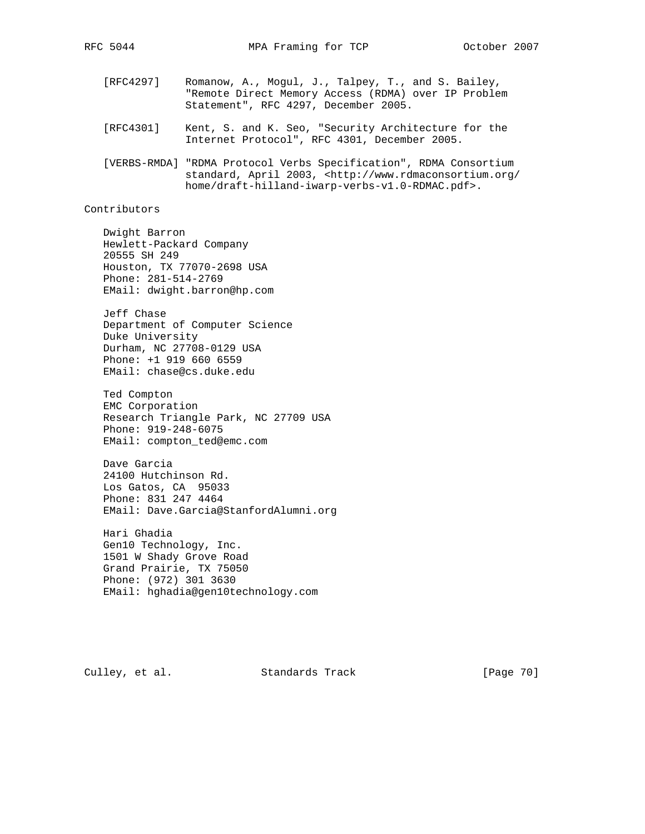- - [RFC4297] Romanow, A., Mogul, J., Talpey, T., and S. Bailey, "Remote Direct Memory Access (RDMA) over IP Problem Statement", RFC 4297, December 2005.
	- [RFC4301] Kent, S. and K. Seo, "Security Architecture for the Internet Protocol", RFC 4301, December 2005.
	- [VERBS-RMDA] "RDMA Protocol Verbs Specification", RDMA Consortium standard, April 2003, <http://www.rdmaconsortium.org/ home/draft-hilland-iwarp-verbs-v1.0-RDMAC.pdf>.

Contributors

 Dwight Barron Hewlett-Packard Company 20555 SH 249 Houston, TX 77070-2698 USA Phone: 281-514-2769 EMail: dwight.barron@hp.com

 Jeff Chase Department of Computer Science Duke University Durham, NC 27708-0129 USA Phone: +1 919 660 6559 EMail: chase@cs.duke.edu

 Ted Compton EMC Corporation Research Triangle Park, NC 27709 USA Phone: 919-248-6075 EMail: compton\_ted@emc.com

 Dave Garcia 24100 Hutchinson Rd. Los Gatos, CA 95033 Phone: 831 247 4464 EMail: Dave.Garcia@StanfordAlumni.org

 Hari Ghadia Gen10 Technology, Inc. 1501 W Shady Grove Road Grand Prairie, TX 75050 Phone: (972) 301 3630 EMail: hghadia@gen10technology.com

Culley, et al. Standards Track [Page 70]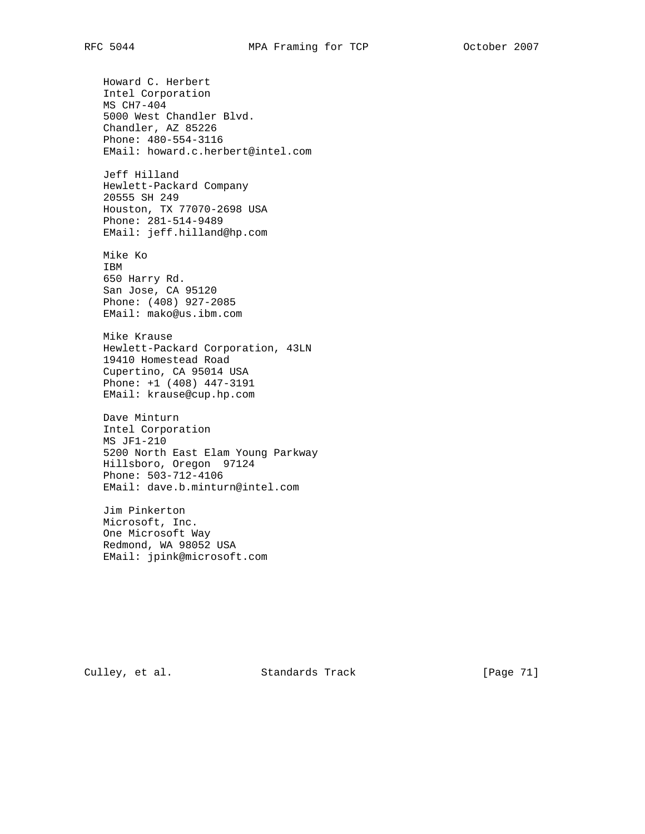Howard C. Herbert Intel Corporation MS CH7-404 5000 West Chandler Blvd. Chandler, AZ 85226 Phone: 480-554-3116 EMail: howard.c.herbert@intel.com Jeff Hilland Hewlett-Packard Company 20555 SH 249 Houston, TX 77070-2698 USA Phone: 281-514-9489 EMail: jeff.hilland@hp.com Mike Ko IBM 650 Harry Rd. San Jose, CA 95120 Phone: (408) 927-2085 EMail: mako@us.ibm.com Mike Krause Hewlett-Packard Corporation, 43LN 19410 Homestead Road Cupertino, CA 95014 USA Phone: +1 (408) 447-3191 EMail: krause@cup.hp.com Dave Minturn Intel Corporation MS JF1-210 5200 North East Elam Young Parkway Hillsboro, Oregon 97124 Phone: 503-712-4106 EMail: dave.b.minturn@intel.com Jim Pinkerton Microsoft, Inc. One Microsoft Way Redmond, WA 98052 USA

EMail: jpink@microsoft.com

Culley, et al. Standards Track [Page 71]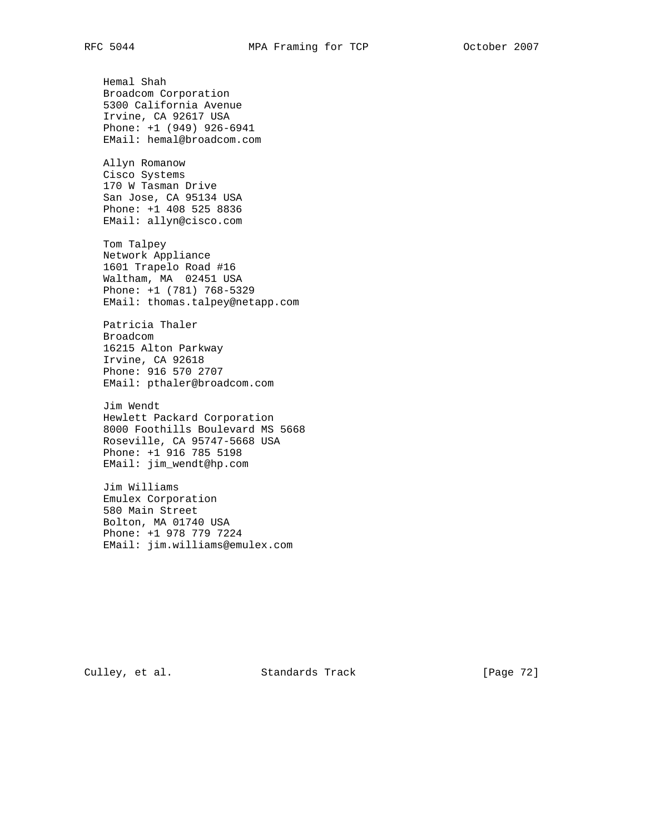Hemal Shah Broadcom Corporation 5300 California Avenue Irvine, CA 92617 USA Phone: +1 (949) 926-6941 EMail: hemal@broadcom.com

 Allyn Romanow Cisco Systems 170 W Tasman Drive San Jose, CA 95134 USA Phone: +1 408 525 8836 EMail: allyn@cisco.com

 Tom Talpey Network Appliance 1601 Trapelo Road #16 Waltham, MA 02451 USA Phone: +1 (781) 768-5329 EMail: thomas.talpey@netapp.com

 Patricia Thaler Broadcom 16215 Alton Parkway Irvine, CA 92618 Phone: 916 570 2707 EMail: pthaler@broadcom.com

 Jim Wendt Hewlett Packard Corporation 8000 Foothills Boulevard MS 5668 Roseville, CA 95747-5668 USA Phone: +1 916 785 5198 EMail: jim\_wendt@hp.com

 Jim Williams Emulex Corporation 580 Main Street Bolton, MA 01740 USA Phone: +1 978 779 7224 EMail: jim.williams@emulex.com

Culley, et al. Standards Track [Page 72]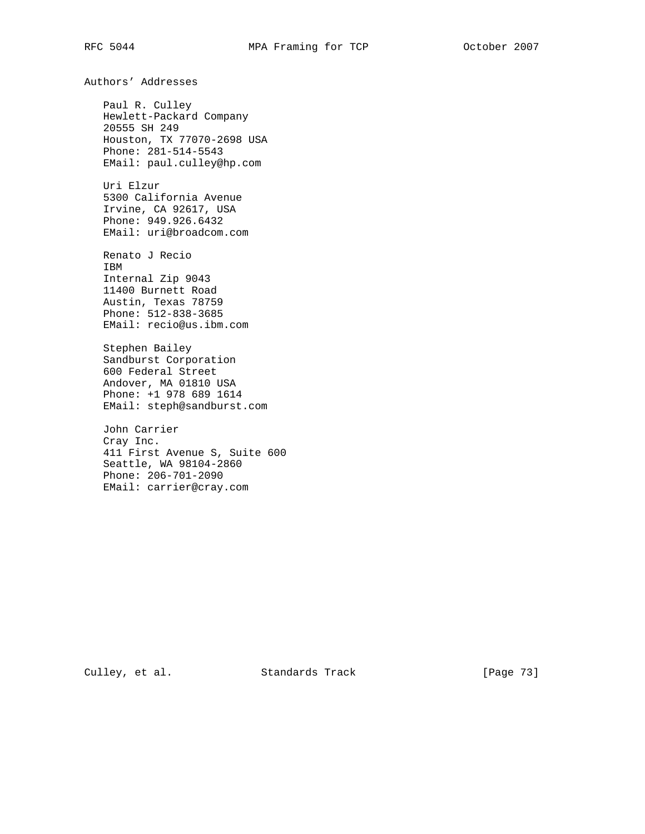Authors' Addresses Paul R. Culley Hewlett-Packard Company 20555 SH 249 Houston, TX 77070-2698 USA Phone: 281-514-5543 EMail: paul.culley@hp.com Uri Elzur 5300 California Avenue Irvine, CA 92617, USA Phone: 949.926.6432 EMail: uri@broadcom.com Renato J Recio IBM Internal Zip 9043 11400 Burnett Road Austin, Texas 78759 Phone: 512-838-3685 EMail: recio@us.ibm.com Stephen Bailey Sandburst Corporation 600 Federal Street Andover, MA 01810 USA Phone: +1 978 689 1614 EMail: steph@sandburst.com John Carrier Cray Inc. 411 First Avenue S, Suite 600 Seattle, WA 98104-2860 Phone: 206-701-2090 EMail: carrier@cray.com

Culley, et al. Standards Track [Page 73]